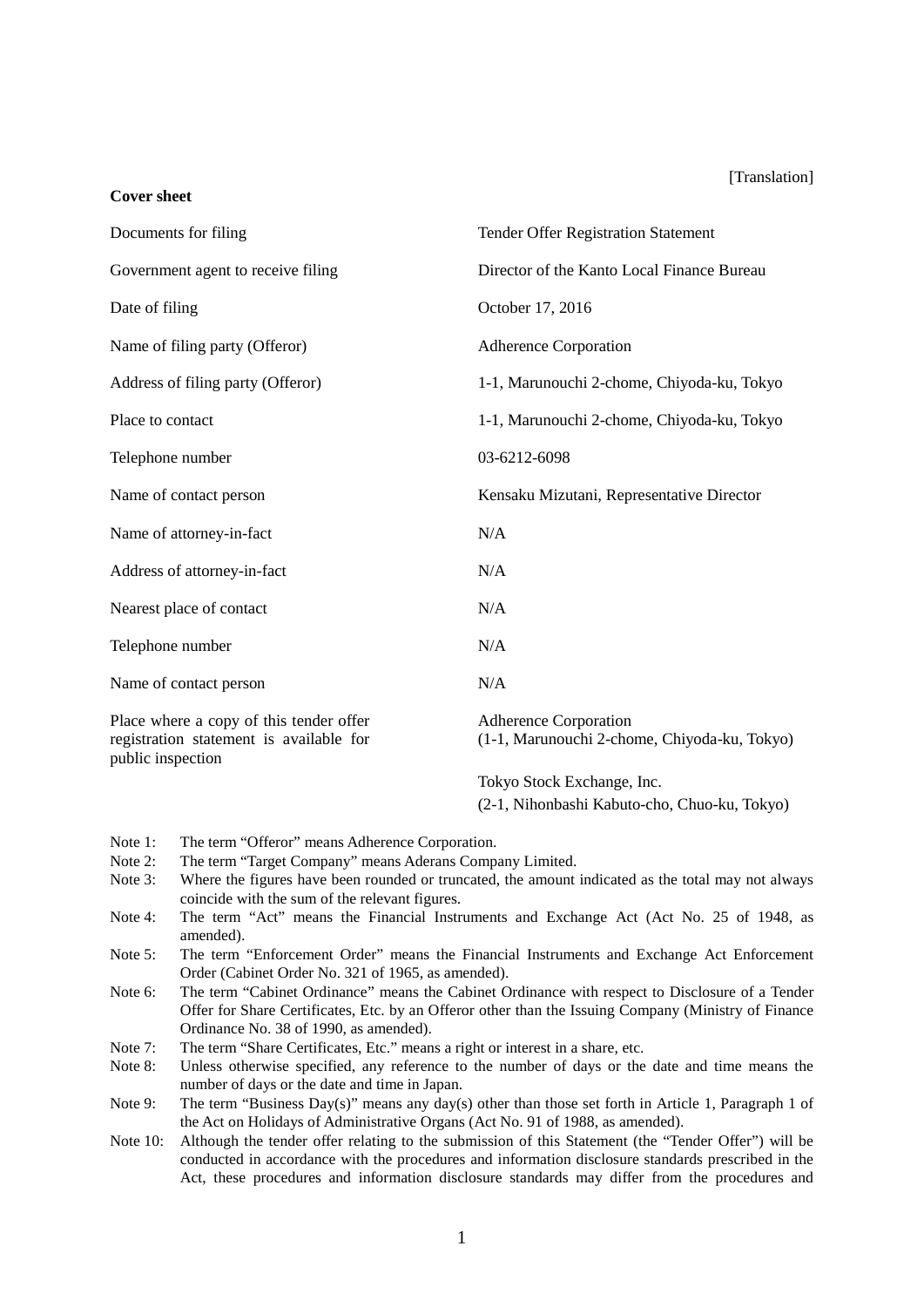#### [Translation]

| Documents for filing                                                                                    | <b>Tender Offer Registration Statement</b>                            |  |
|---------------------------------------------------------------------------------------------------------|-----------------------------------------------------------------------|--|
| Government agent to receive filing                                                                      | Director of the Kanto Local Finance Bureau                            |  |
| Date of filing                                                                                          | October 17, 2016                                                      |  |
| Name of filing party (Offeror)                                                                          | <b>Adherence Corporation</b>                                          |  |
| Address of filing party (Offeror)                                                                       | 1-1, Marunouchi 2-chome, Chiyoda-ku, Tokyo                            |  |
| Place to contact                                                                                        | 1-1, Marunouchi 2-chome, Chiyoda-ku, Tokyo                            |  |
| Telephone number                                                                                        | 03-6212-6098                                                          |  |
| Name of contact person                                                                                  | Kensaku Mizutani, Representative Director                             |  |
| Name of attorney-in-fact                                                                                | N/A                                                                   |  |
| Address of attorney-in-fact                                                                             | N/A                                                                   |  |
| Nearest place of contact                                                                                | N/A                                                                   |  |
| Telephone number                                                                                        | N/A                                                                   |  |
| Name of contact person                                                                                  | N/A                                                                   |  |
| Place where a copy of this tender offer<br>registration statement is available for<br>public inspection | Adherence Corporation<br>(1-1, Marunouchi 2-chome, Chiyoda-ku, Tokyo) |  |
|                                                                                                         |                                                                       |  |

Tokyo Stock Exchange, Inc.

(2-1, Nihonbashi Kabuto-cho, Chuo-ku, Tokyo)

Note 1: The term "Offeror" means Adherence Corporation.<br>Note 2: The term "Target Company" means Aderans Comp

**Cover sheet** 

- The term "Target Company" means Aderans Company Limited.
- Note 3: Where the figures have been rounded or truncated, the amount indicated as the total may not always coincide with the sum of the relevant figures.
- Note 4: The term "Act" means the Financial Instruments and Exchange Act (Act No. 25 of 1948, as amended).
- Note 5: The term "Enforcement Order" means the Financial Instruments and Exchange Act Enforcement Order (Cabinet Order No. 321 of 1965, as amended).
- Note 6: The term "Cabinet Ordinance" means the Cabinet Ordinance with respect to Disclosure of a Tender Offer for Share Certificates, Etc. by an Offeror other than the Issuing Company (Ministry of Finance Ordinance No. 38 of 1990, as amended).
- Note 7: The term "Share Certificates, Etc." means a right or interest in a share, etc.
- Note 8: Unless otherwise specified, any reference to the number of days or the date and time means the number of days or the date and time in Japan.
- Note 9: The term "Business Day(s)" means any day(s) other than those set forth in Article 1, Paragraph 1 of the Act on Holidays of Administrative Organs (Act No. 91 of 1988, as amended).
- Note 10: Although the tender offer relating to the submission of this Statement (the "Tender Offer") will be conducted in accordance with the procedures and information disclosure standards prescribed in the Act, these procedures and information disclosure standards may differ from the procedures and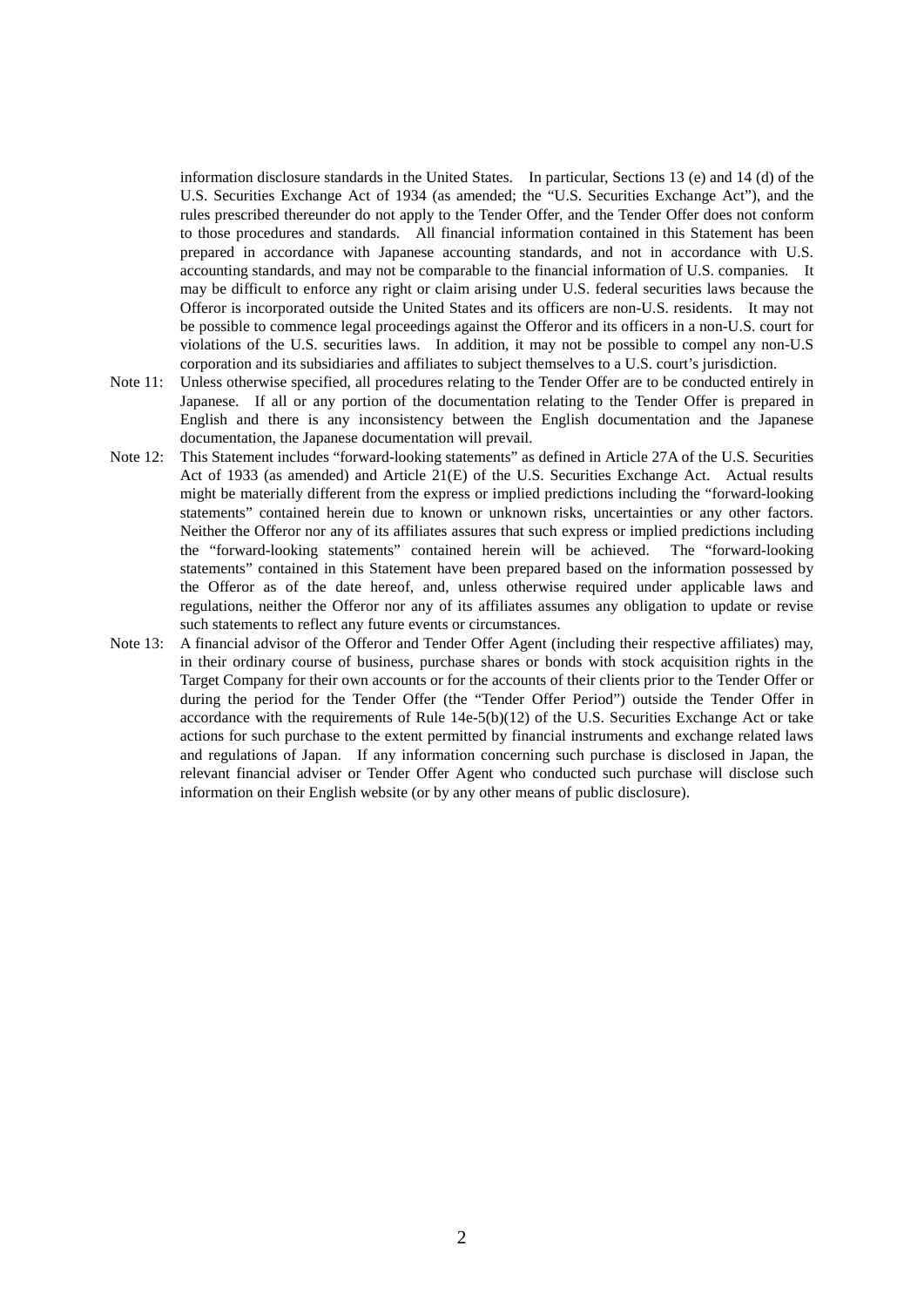information disclosure standards in the United States. In particular, Sections 13 (e) and 14 (d) of the U.S. Securities Exchange Act of 1934 (as amended; the "U.S. Securities Exchange Act"), and the rules prescribed thereunder do not apply to the Tender Offer, and the Tender Offer does not conform to those procedures and standards. All financial information contained in this Statement has been prepared in accordance with Japanese accounting standards, and not in accordance with U.S. accounting standards, and may not be comparable to the financial information of U.S. companies. It may be difficult to enforce any right or claim arising under U.S. federal securities laws because the Offeror is incorporated outside the United States and its officers are non-U.S. residents. It may not be possible to commence legal proceedings against the Offeror and its officers in a non-U.S. court for violations of the U.S. securities laws. In addition, it may not be possible to compel any non-U.S corporation and its subsidiaries and affiliates to subject themselves to a U.S. court's jurisdiction.

- Note 11: Unless otherwise specified, all procedures relating to the Tender Offer are to be conducted entirely in Japanese. If all or any portion of the documentation relating to the Tender Offer is prepared in English and there is any inconsistency between the English documentation and the Japanese documentation, the Japanese documentation will prevail.
- Note 12: This Statement includes "forward-looking statements" as defined in Article 27A of the U.S. Securities Act of 1933 (as amended) and Article 21(E) of the U.S. Securities Exchange Act. Actual results might be materially different from the express or implied predictions including the "forward-looking statements" contained herein due to known or unknown risks, uncertainties or any other factors. Neither the Offeror nor any of its affiliates assures that such express or implied predictions including the "forward-looking statements" contained herein will be achieved. The "forward-looking statements" contained in this Statement have been prepared based on the information possessed by the Offeror as of the date hereof, and, unless otherwise required under applicable laws and regulations, neither the Offeror nor any of its affiliates assumes any obligation to update or revise such statements to reflect any future events or circumstances.
- Note 13: A financial advisor of the Offeror and Tender Offer Agent (including their respective affiliates) may, in their ordinary course of business, purchase shares or bonds with stock acquisition rights in the Target Company for their own accounts or for the accounts of their clients prior to the Tender Offer or during the period for the Tender Offer (the "Tender Offer Period") outside the Tender Offer in accordance with the requirements of Rule 14e-5(b)(12) of the U.S. Securities Exchange Act or take actions for such purchase to the extent permitted by financial instruments and exchange related laws and regulations of Japan. If any information concerning such purchase is disclosed in Japan, the relevant financial adviser or Tender Offer Agent who conducted such purchase will disclose such information on their English website (or by any other means of public disclosure).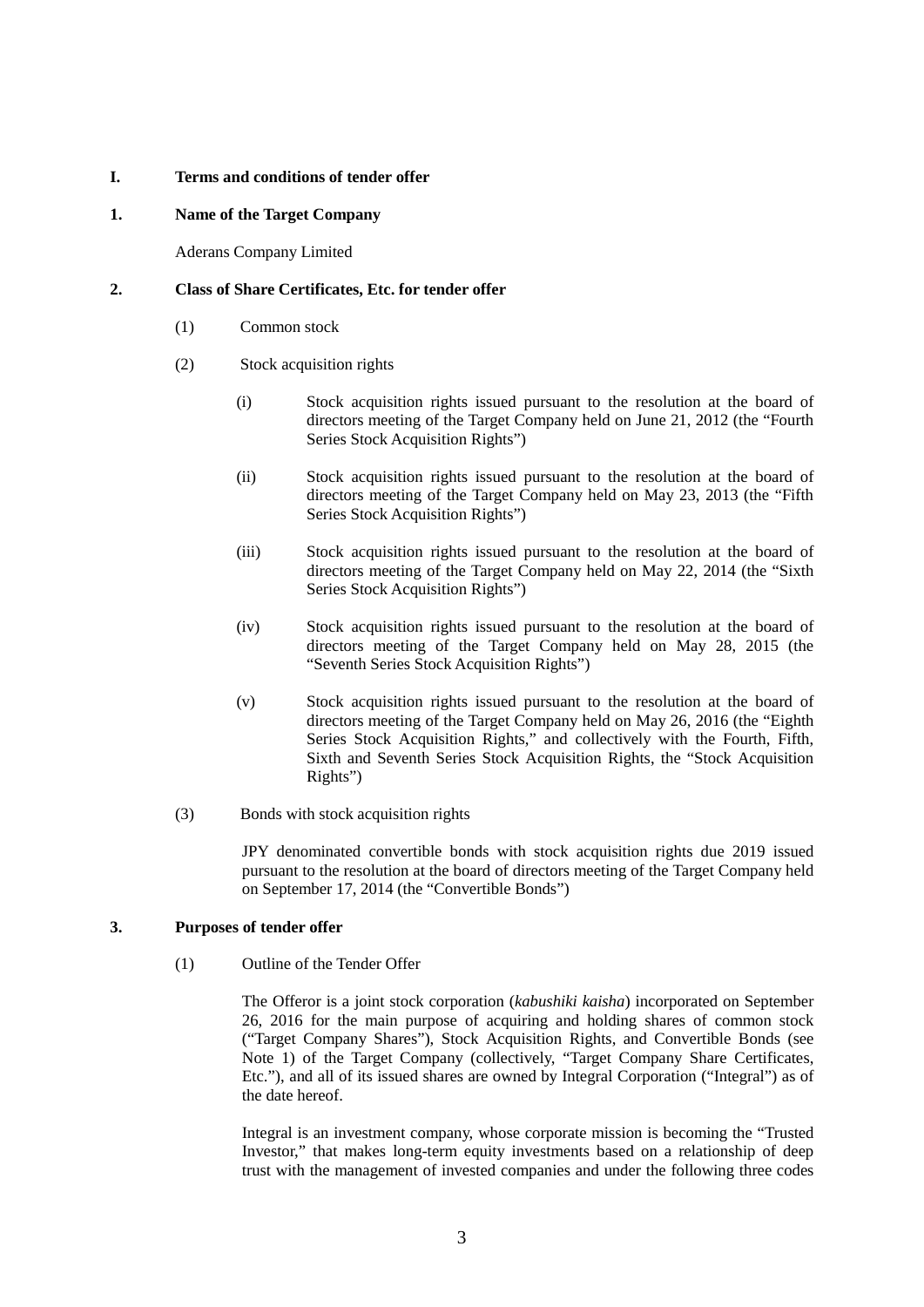### **I. Terms and conditions of tender offer**

# **1. Name of the Target Company**

Aderans Company Limited

# **2. Class of Share Certificates, Etc. for tender offer**

- (1) Common stock
- (2) Stock acquisition rights
	- (i) Stock acquisition rights issued pursuant to the resolution at the board of directors meeting of the Target Company held on June 21, 2012 (the "Fourth Series Stock Acquisition Rights")
	- (ii) Stock acquisition rights issued pursuant to the resolution at the board of directors meeting of the Target Company held on May 23, 2013 (the "Fifth Series Stock Acquisition Rights")
	- (iii) Stock acquisition rights issued pursuant to the resolution at the board of directors meeting of the Target Company held on May 22, 2014 (the "Sixth Series Stock Acquisition Rights")
	- (iv) Stock acquisition rights issued pursuant to the resolution at the board of directors meeting of the Target Company held on May 28, 2015 (the "Seventh Series Stock Acquisition Rights")
	- (v) Stock acquisition rights issued pursuant to the resolution at the board of directors meeting of the Target Company held on May 26, 2016 (the "Eighth Series Stock Acquisition Rights," and collectively with the Fourth, Fifth, Sixth and Seventh Series Stock Acquisition Rights, the "Stock Acquisition Rights")
- (3) Bonds with stock acquisition rights

JPY denominated convertible bonds with stock acquisition rights due 2019 issued pursuant to the resolution at the board of directors meeting of the Target Company held on September 17, 2014 (the "Convertible Bonds")

# **3. Purposes of tender offer**

(1) Outline of the Tender Offer

The Offeror is a joint stock corporation (*kabushiki kaisha*) incorporated on September 26, 2016 for the main purpose of acquiring and holding shares of common stock ("Target Company Shares"), Stock Acquisition Rights, and Convertible Bonds (see Note 1) of the Target Company (collectively, "Target Company Share Certificates, Etc."), and all of its issued shares are owned by Integral Corporation ("Integral") as of the date hereof.

Integral is an investment company, whose corporate mission is becoming the "Trusted Investor," that makes long-term equity investments based on a relationship of deep trust with the management of invested companies and under the following three codes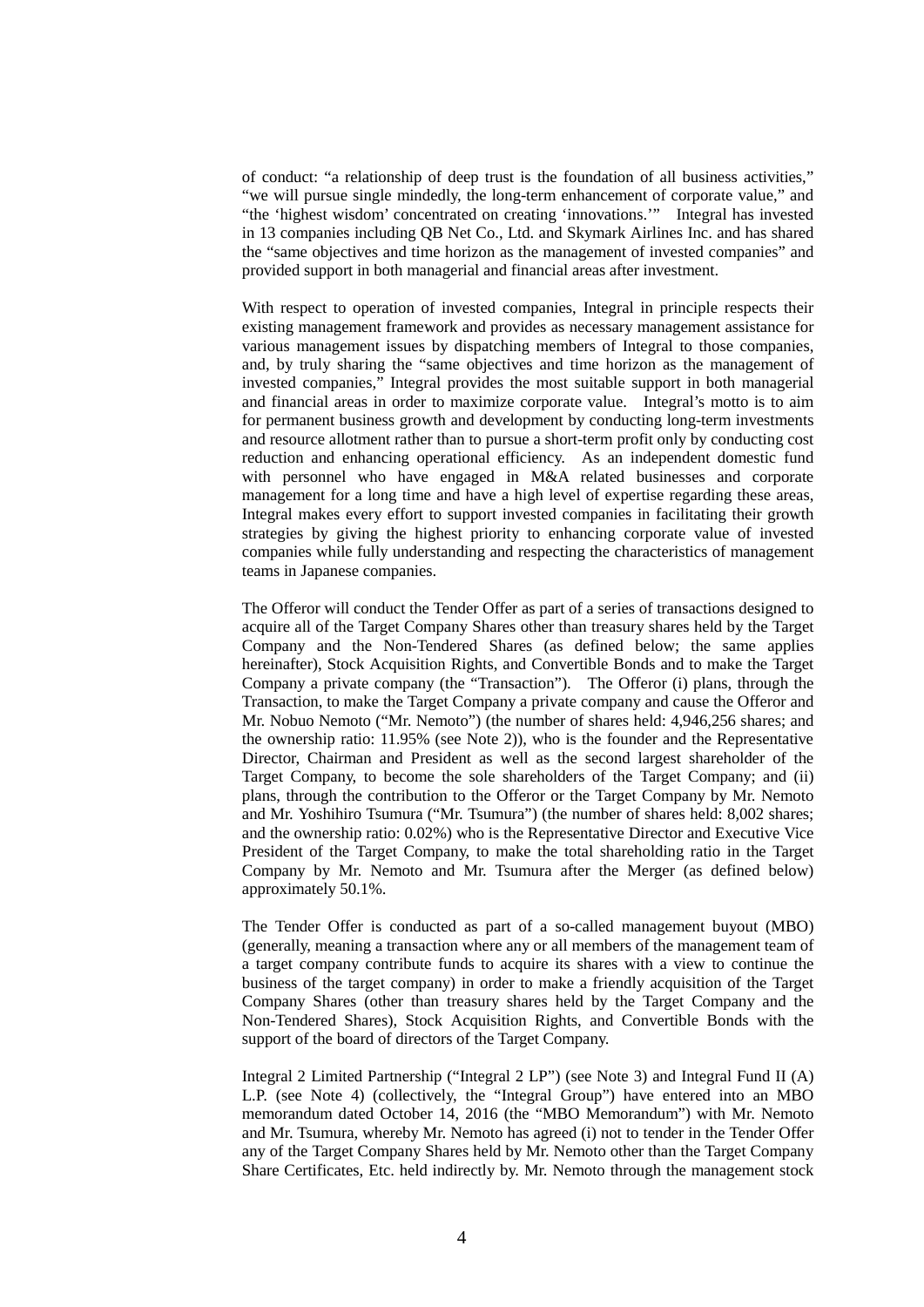of conduct: "a relationship of deep trust is the foundation of all business activities," "we will pursue single mindedly, the long-term enhancement of corporate value," and "the 'highest wisdom' concentrated on creating 'innovations.'" Integral has invested in 13 companies including QB Net Co., Ltd. and Skymark Airlines Inc. and has shared the "same objectives and time horizon as the management of invested companies" and provided support in both managerial and financial areas after investment.

With respect to operation of invested companies, Integral in principle respects their existing management framework and provides as necessary management assistance for various management issues by dispatching members of Integral to those companies, and, by truly sharing the "same objectives and time horizon as the management of invested companies," Integral provides the most suitable support in both managerial and financial areas in order to maximize corporate value. Integral's motto is to aim for permanent business growth and development by conducting long-term investments and resource allotment rather than to pursue a short-term profit only by conducting cost reduction and enhancing operational efficiency. As an independent domestic fund with personnel who have engaged in M&A related businesses and corporate management for a long time and have a high level of expertise regarding these areas, Integral makes every effort to support invested companies in facilitating their growth strategies by giving the highest priority to enhancing corporate value of invested companies while fully understanding and respecting the characteristics of management teams in Japanese companies.

The Offeror will conduct the Tender Offer as part of a series of transactions designed to acquire all of the Target Company Shares other than treasury shares held by the Target Company and the Non-Tendered Shares (as defined below; the same applies hereinafter), Stock Acquisition Rights, and Convertible Bonds and to make the Target Company a private company (the "Transaction"). The Offeror (i) plans, through the Transaction, to make the Target Company a private company and cause the Offeror and Mr. Nobuo Nemoto ("Mr. Nemoto") (the number of shares held: 4,946,256 shares; and the ownership ratio: 11.95% (see Note 2)), who is the founder and the Representative Director, Chairman and President as well as the second largest shareholder of the Target Company, to become the sole shareholders of the Target Company; and (ii) plans, through the contribution to the Offeror or the Target Company by Mr. Nemoto and Mr. Yoshihiro Tsumura ("Mr. Tsumura") (the number of shares held: 8,002 shares; and the ownership ratio: 0.02%) who is the Representative Director and Executive Vice President of the Target Company, to make the total shareholding ratio in the Target Company by Mr. Nemoto and Mr. Tsumura after the Merger (as defined below) approximately 50.1%.

The Tender Offer is conducted as part of a so-called management buyout (MBO) (generally, meaning a transaction where any or all members of the management team of a target company contribute funds to acquire its shares with a view to continue the business of the target company) in order to make a friendly acquisition of the Target Company Shares (other than treasury shares held by the Target Company and the Non-Tendered Shares), Stock Acquisition Rights, and Convertible Bonds with the support of the board of directors of the Target Company.

Integral 2 Limited Partnership ("Integral 2 LP") (see Note 3) and Integral Fund II (A) L.P. (see Note 4) (collectively, the "Integral Group") have entered into an MBO memorandum dated October 14, 2016 (the "MBO Memorandum") with Mr. Nemoto and Mr. Tsumura, whereby Mr. Nemoto has agreed (i) not to tender in the Tender Offer any of the Target Company Shares held by Mr. Nemoto other than the Target Company Share Certificates, Etc. held indirectly by. Mr. Nemoto through the management stock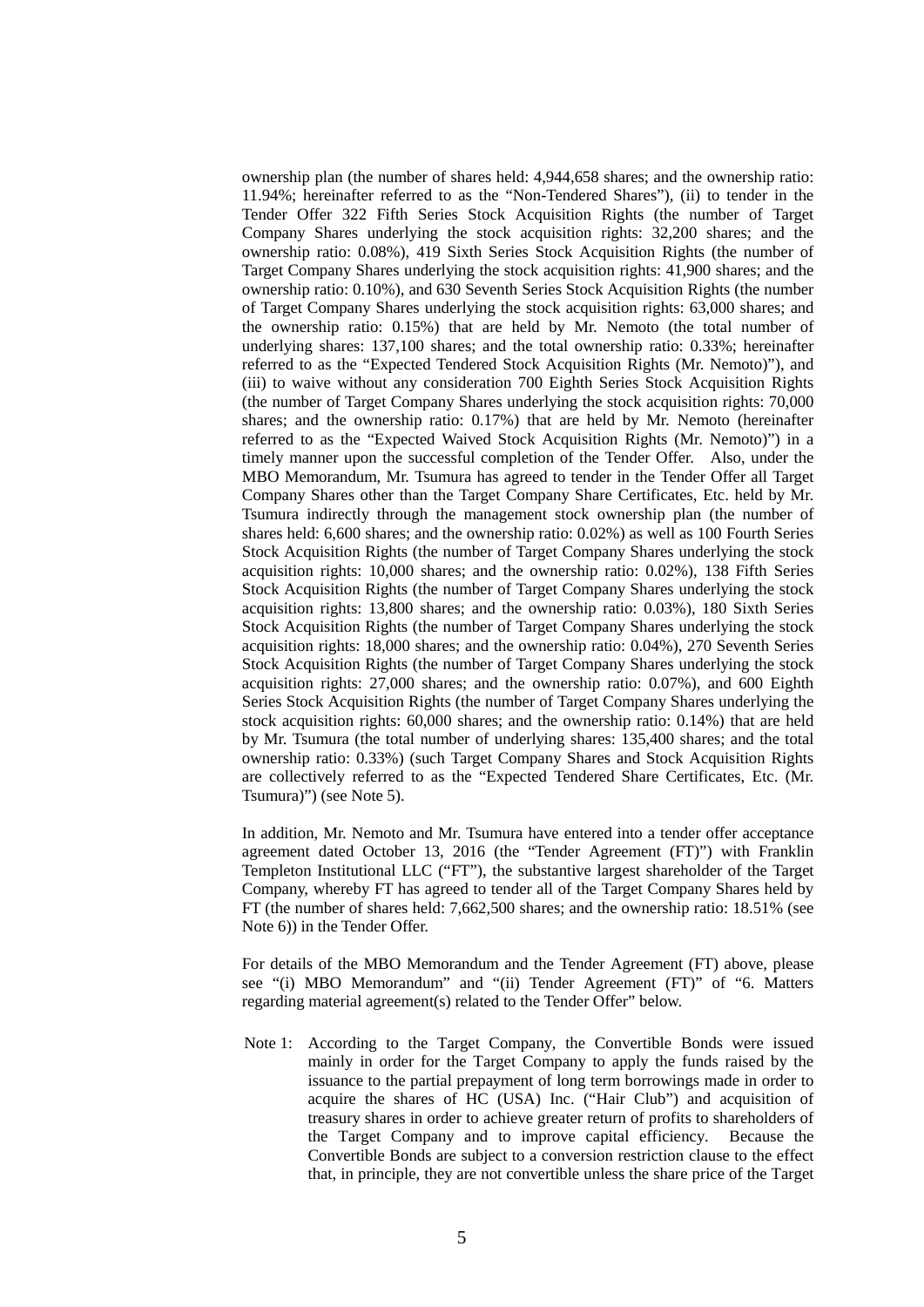ownership plan (the number of shares held: 4,944,658 shares; and the ownership ratio: 11.94%; hereinafter referred to as the "Non-Tendered Shares"), (ii) to tender in the Tender Offer 322 Fifth Series Stock Acquisition Rights (the number of Target Company Shares underlying the stock acquisition rights: 32,200 shares; and the ownership ratio: 0.08%), 419 Sixth Series Stock Acquisition Rights (the number of Target Company Shares underlying the stock acquisition rights: 41,900 shares; and the ownership ratio: 0.10%), and 630 Seventh Series Stock Acquisition Rights (the number of Target Company Shares underlying the stock acquisition rights: 63,000 shares; and the ownership ratio: 0.15%) that are held by Mr. Nemoto (the total number of underlying shares: 137,100 shares; and the total ownership ratio: 0.33%; hereinafter referred to as the "Expected Tendered Stock Acquisition Rights (Mr. Nemoto)"), and (iii) to waive without any consideration 700 Eighth Series Stock Acquisition Rights (the number of Target Company Shares underlying the stock acquisition rights: 70,000 shares; and the ownership ratio: 0.17%) that are held by Mr. Nemoto (hereinafter referred to as the "Expected Waived Stock Acquisition Rights (Mr. Nemoto)") in a timely manner upon the successful completion of the Tender Offer. Also, under the MBO Memorandum, Mr. Tsumura has agreed to tender in the Tender Offer all Target Company Shares other than the Target Company Share Certificates, Etc. held by Mr. Tsumura indirectly through the management stock ownership plan (the number of shares held: 6,600 shares; and the ownership ratio: 0.02%) as well as 100 Fourth Series Stock Acquisition Rights (the number of Target Company Shares underlying the stock acquisition rights: 10,000 shares; and the ownership ratio: 0.02%), 138 Fifth Series Stock Acquisition Rights (the number of Target Company Shares underlying the stock acquisition rights: 13,800 shares; and the ownership ratio: 0.03%), 180 Sixth Series Stock Acquisition Rights (the number of Target Company Shares underlying the stock acquisition rights: 18,000 shares; and the ownership ratio: 0.04%), 270 Seventh Series Stock Acquisition Rights (the number of Target Company Shares underlying the stock acquisition rights: 27,000 shares; and the ownership ratio: 0.07%), and 600 Eighth Series Stock Acquisition Rights (the number of Target Company Shares underlying the stock acquisition rights: 60,000 shares; and the ownership ratio: 0.14%) that are held by Mr. Tsumura (the total number of underlying shares: 135,400 shares; and the total ownership ratio: 0.33%) (such Target Company Shares and Stock Acquisition Rights are collectively referred to as the "Expected Tendered Share Certificates, Etc. (Mr. Tsumura)") (see Note 5).

In addition, Mr. Nemoto and Mr. Tsumura have entered into a tender offer acceptance agreement dated October 13, 2016 (the "Tender Agreement (FT)") with Franklin Templeton Institutional LLC ("FT"), the substantive largest shareholder of the Target Company, whereby FT has agreed to tender all of the Target Company Shares held by FT (the number of shares held: 7,662,500 shares; and the ownership ratio: 18.51% (see Note 6)) in the Tender Offer.

For details of the MBO Memorandum and the Tender Agreement (FT) above, please see "(i) MBO Memorandum" and "(ii) Tender Agreement (FT)" of "6. Matters regarding material agreement(s) related to the Tender Offer" below.

Note 1: According to the Target Company, the Convertible Bonds were issued mainly in order for the Target Company to apply the funds raised by the issuance to the partial prepayment of long term borrowings made in order to acquire the shares of HC (USA) Inc. ("Hair Club") and acquisition of treasury shares in order to achieve greater return of profits to shareholders of the Target Company and to improve capital efficiency. Because the Convertible Bonds are subject to a conversion restriction clause to the effect that, in principle, they are not convertible unless the share price of the Target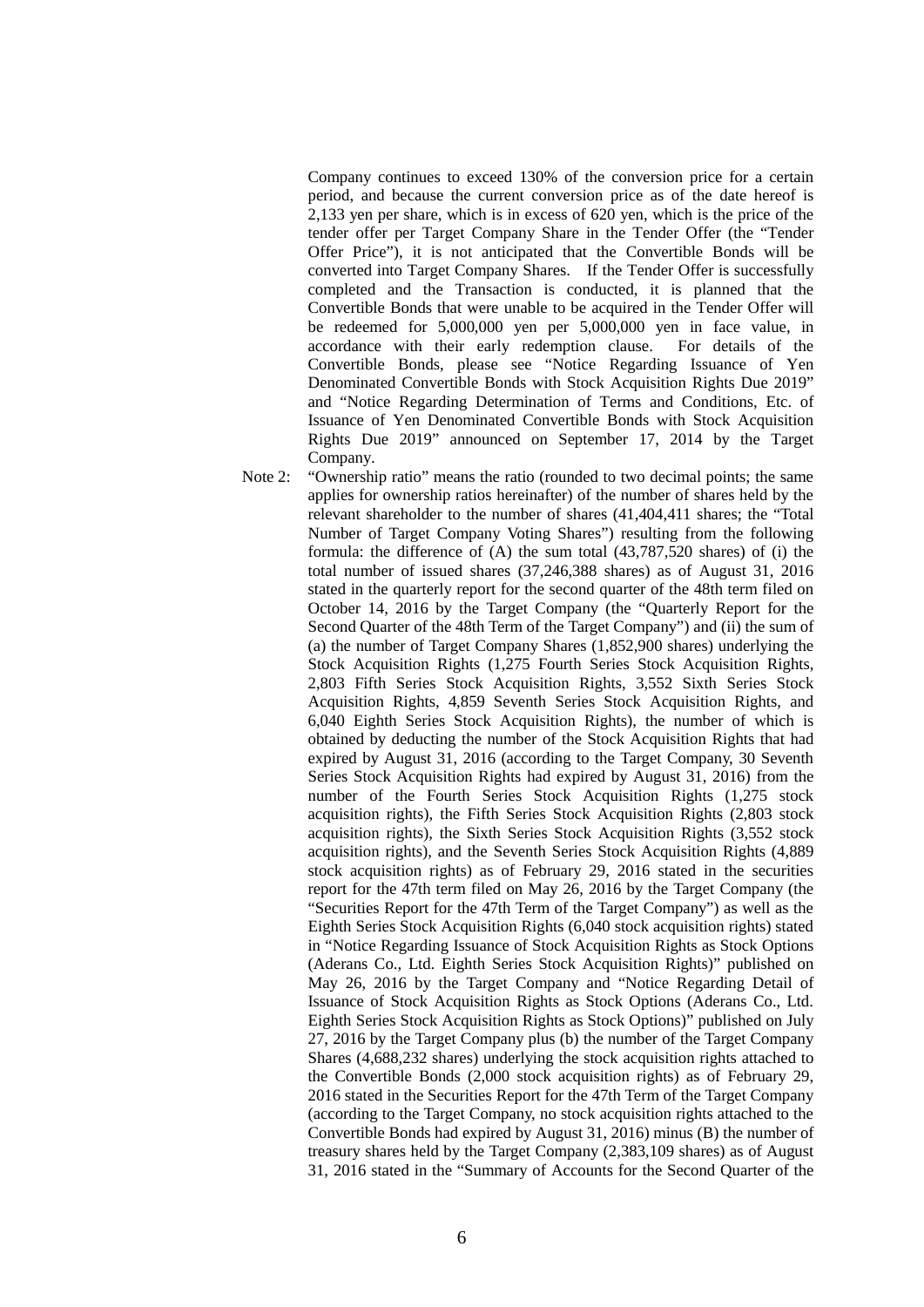Company continues to exceed 130% of the conversion price for a certain period, and because the current conversion price as of the date hereof is 2,133 yen per share, which is in excess of  $620$  yen, which is the price of the tender offer per Target Company Share in the Tender Offer (the "Tender Offer Price"), it is not anticipated that the Convertible Bonds will be converted into Target Company Shares. If the Tender Offer is successfully completed and the Transaction is conducted, it is planned that the Convertible Bonds that were unable to be acquired in the Tender Offer will be redeemed for 5,000,000 yen per 5,000,000 yen in face value, in accordance with their early redemption clause. For details of the Convertible Bonds, please see "Notice Regarding Issuance of Yen Denominated Convertible Bonds with Stock Acquisition Rights Due 2019" and "Notice Regarding Determination of Terms and Conditions, Etc. of Issuance of Yen Denominated Convertible Bonds with Stock Acquisition Rights Due 2019" announced on September 17, 2014 by the Target Company.

Note 2: "Ownership ratio" means the ratio (rounded to two decimal points; the same applies for ownership ratios hereinafter) of the number of shares held by the relevant shareholder to the number of shares (41,404,411 shares; the "Total Number of Target Company Voting Shares") resulting from the following formula: the difference of (A) the sum total (43,787,520 shares) of (i) the total number of issued shares (37,246,388 shares) as of August 31, 2016 stated in the quarterly report for the second quarter of the 48th term filed on October 14, 2016 by the Target Company (the "Quarterly Report for the Second Quarter of the 48th Term of the Target Company") and (ii) the sum of (a) the number of Target Company Shares (1,852,900 shares) underlying the Stock Acquisition Rights (1,275 Fourth Series Stock Acquisition Rights, 2,803 Fifth Series Stock Acquisition Rights, 3,552 Sixth Series Stock Acquisition Rights, 4,859 Seventh Series Stock Acquisition Rights, and 6,040 Eighth Series Stock Acquisition Rights), the number of which is obtained by deducting the number of the Stock Acquisition Rights that had expired by August 31, 2016 (according to the Target Company, 30 Seventh Series Stock Acquisition Rights had expired by August 31, 2016) from the number of the Fourth Series Stock Acquisition Rights (1,275 stock acquisition rights), the Fifth Series Stock Acquisition Rights (2,803 stock acquisition rights), the Sixth Series Stock Acquisition Rights (3,552 stock acquisition rights), and the Seventh Series Stock Acquisition Rights (4,889 stock acquisition rights) as of February 29, 2016 stated in the securities report for the 47th term filed on May 26, 2016 by the Target Company (the "Securities Report for the 47th Term of the Target Company") as well as the Eighth Series Stock Acquisition Rights (6,040 stock acquisition rights) stated in "Notice Regarding Issuance of Stock Acquisition Rights as Stock Options (Aderans Co., Ltd. Eighth Series Stock Acquisition Rights)" published on May 26, 2016 by the Target Company and "Notice Regarding Detail of Issuance of Stock Acquisition Rights as Stock Options (Aderans Co., Ltd. Eighth Series Stock Acquisition Rights as Stock Options)" published on July 27, 2016 by the Target Company plus (b) the number of the Target Company Shares (4,688,232 shares) underlying the stock acquisition rights attached to the Convertible Bonds (2,000 stock acquisition rights) as of February 29, 2016 stated in the Securities Report for the 47th Term of the Target Company (according to the Target Company, no stock acquisition rights attached to the Convertible Bonds had expired by August 31, 2016) minus (B) the number of treasury shares held by the Target Company (2,383,109 shares) as of August 31, 2016 stated in the "Summary of Accounts for the Second Quarter of the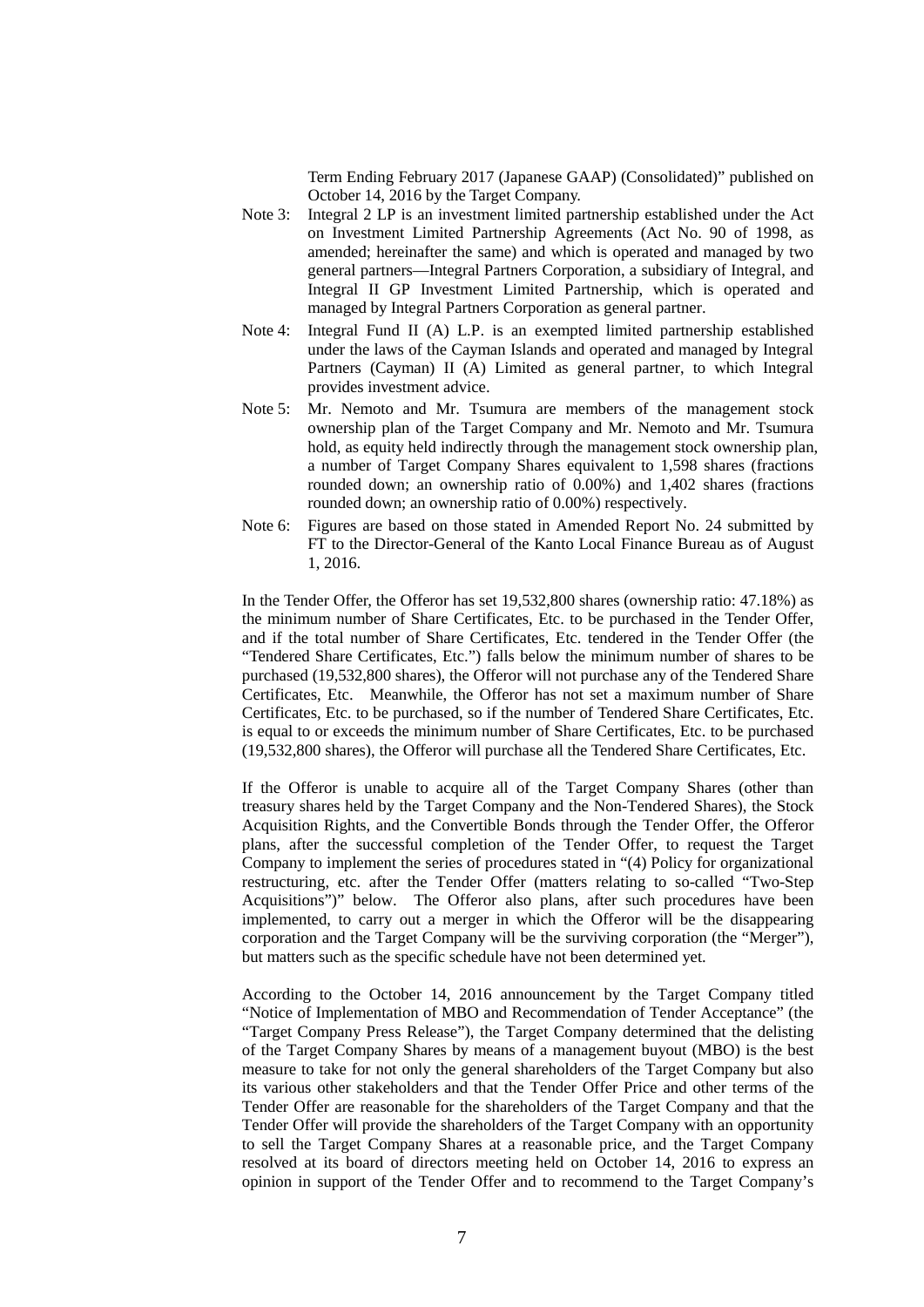Term Ending February 2017 (Japanese GAAP) (Consolidated)" published on October 14, 2016 by the Target Company.

- Note 3: Integral 2 LP is an investment limited partnership established under the Act on Investment Limited Partnership Agreements (Act No. 90 of 1998, as amended; hereinafter the same) and which is operated and managed by two general partners—Integral Partners Corporation, a subsidiary of Integral, and Integral II GP Investment Limited Partnership, which is operated and managed by Integral Partners Corporation as general partner.
- Note 4: Integral Fund II (A) L.P. is an exempted limited partnership established under the laws of the Cayman Islands and operated and managed by Integral Partners (Cayman) II (A) Limited as general partner, to which Integral provides investment advice.
- Note 5: Mr. Nemoto and Mr. Tsumura are members of the management stock ownership plan of the Target Company and Mr. Nemoto and Mr. Tsumura hold, as equity held indirectly through the management stock ownership plan, a number of Target Company Shares equivalent to 1,598 shares (fractions rounded down; an ownership ratio of 0.00%) and 1,402 shares (fractions rounded down; an ownership ratio of 0.00%) respectively.
- Note 6: Figures are based on those stated in Amended Report No. 24 submitted by FT to the Director-General of the Kanto Local Finance Bureau as of August 1, 2016.

In the Tender Offer, the Offeror has set 19,532,800 shares (ownership ratio: 47.18%) as the minimum number of Share Certificates, Etc. to be purchased in the Tender Offer, and if the total number of Share Certificates, Etc. tendered in the Tender Offer (the "Tendered Share Certificates, Etc.") falls below the minimum number of shares to be purchased (19,532,800 shares), the Offeror will not purchase any of the Tendered Share Certificates, Etc. Meanwhile, the Offeror has not set a maximum number of Share Certificates, Etc. to be purchased, so if the number of Tendered Share Certificates, Etc. is equal to or exceeds the minimum number of Share Certificates, Etc. to be purchased (19,532,800 shares), the Offeror will purchase all the Tendered Share Certificates, Etc.

If the Offeror is unable to acquire all of the Target Company Shares (other than treasury shares held by the Target Company and the Non-Tendered Shares), the Stock Acquisition Rights, and the Convertible Bonds through the Tender Offer, the Offeror plans, after the successful completion of the Tender Offer, to request the Target Company to implement the series of procedures stated in "(4) Policy for organizational restructuring, etc. after the Tender Offer (matters relating to so-called "Two-Step Acquisitions")" below. The Offeror also plans, after such procedures have been implemented, to carry out a merger in which the Offeror will be the disappearing corporation and the Target Company will be the surviving corporation (the "Merger"), but matters such as the specific schedule have not been determined yet.

According to the October 14, 2016 announcement by the Target Company titled "Notice of Implementation of MBO and Recommendation of Tender Acceptance" (the "Target Company Press Release"), the Target Company determined that the delisting of the Target Company Shares by means of a management buyout (MBO) is the best measure to take for not only the general shareholders of the Target Company but also its various other stakeholders and that the Tender Offer Price and other terms of the Tender Offer are reasonable for the shareholders of the Target Company and that the Tender Offer will provide the shareholders of the Target Company with an opportunity to sell the Target Company Shares at a reasonable price, and the Target Company resolved at its board of directors meeting held on October 14, 2016 to express an opinion in support of the Tender Offer and to recommend to the Target Company's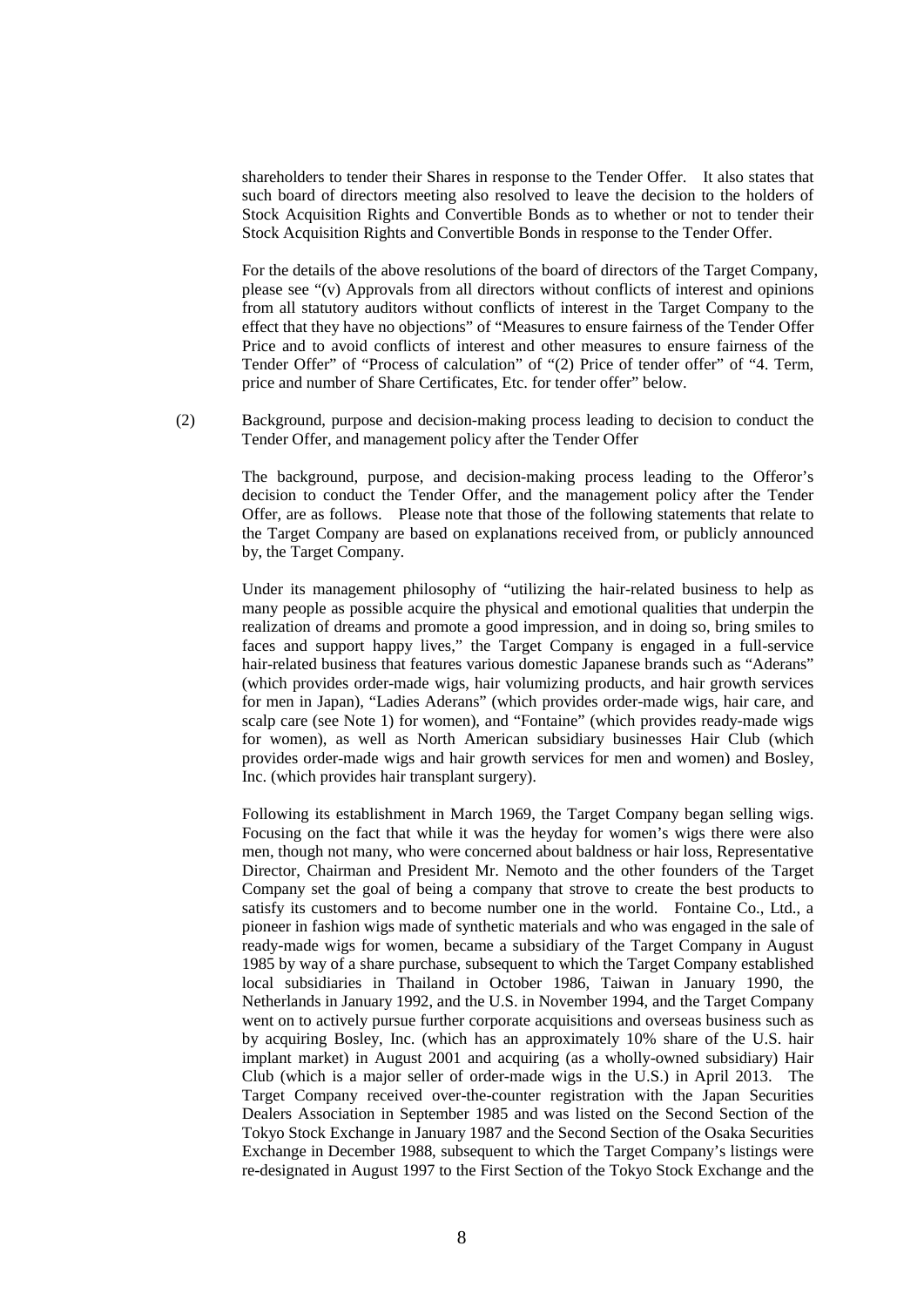shareholders to tender their Shares in response to the Tender Offer. It also states that such board of directors meeting also resolved to leave the decision to the holders of Stock Acquisition Rights and Convertible Bonds as to whether or not to tender their Stock Acquisition Rights and Convertible Bonds in response to the Tender Offer.

For the details of the above resolutions of the board of directors of the Target Company, please see "(v) Approvals from all directors without conflicts of interest and opinions from all statutory auditors without conflicts of interest in the Target Company to the effect that they have no objections" of "Measures to ensure fairness of the Tender Offer Price and to avoid conflicts of interest and other measures to ensure fairness of the Tender Offer" of "Process of calculation" of "(2) Price of tender offer" of "4. Term, price and number of Share Certificates, Etc. for tender offer" below.

 (2) Background, purpose and decision-making process leading to decision to conduct the Tender Offer, and management policy after the Tender Offer

> The background, purpose, and decision-making process leading to the Offeror's decision to conduct the Tender Offer, and the management policy after the Tender Offer, are as follows. Please note that those of the following statements that relate to the Target Company are based on explanations received from, or publicly announced by, the Target Company.

> Under its management philosophy of "utilizing the hair-related business to help as many people as possible acquire the physical and emotional qualities that underpin the realization of dreams and promote a good impression, and in doing so, bring smiles to faces and support happy lives," the Target Company is engaged in a full-service hair-related business that features various domestic Japanese brands such as "Aderans" (which provides order-made wigs, hair volumizing products, and hair growth services for men in Japan), "Ladies Aderans" (which provides order-made wigs, hair care, and scalp care (see Note 1) for women), and "Fontaine" (which provides ready-made wigs for women), as well as North American subsidiary businesses Hair Club (which provides order-made wigs and hair growth services for men and women) and Bosley, Inc. (which provides hair transplant surgery).

> Following its establishment in March 1969, the Target Company began selling wigs. Focusing on the fact that while it was the heyday for women's wigs there were also men, though not many, who were concerned about baldness or hair loss, Representative Director, Chairman and President Mr. Nemoto and the other founders of the Target Company set the goal of being a company that strove to create the best products to satisfy its customers and to become number one in the world. Fontaine Co., Ltd., a pioneer in fashion wigs made of synthetic materials and who was engaged in the sale of ready-made wigs for women, became a subsidiary of the Target Company in August 1985 by way of a share purchase, subsequent to which the Target Company established local subsidiaries in Thailand in October 1986, Taiwan in January 1990, the Netherlands in January 1992, and the U.S. in November 1994, and the Target Company went on to actively pursue further corporate acquisitions and overseas business such as by acquiring Bosley, Inc. (which has an approximately 10% share of the U.S. hair implant market) in August 2001 and acquiring (as a wholly-owned subsidiary) Hair Club (which is a major seller of order-made wigs in the U.S.) in April 2013. The Target Company received over-the-counter registration with the Japan Securities Dealers Association in September 1985 and was listed on the Second Section of the Tokyo Stock Exchange in January 1987 and the Second Section of the Osaka Securities Exchange in December 1988, subsequent to which the Target Company's listings were re-designated in August 1997 to the First Section of the Tokyo Stock Exchange and the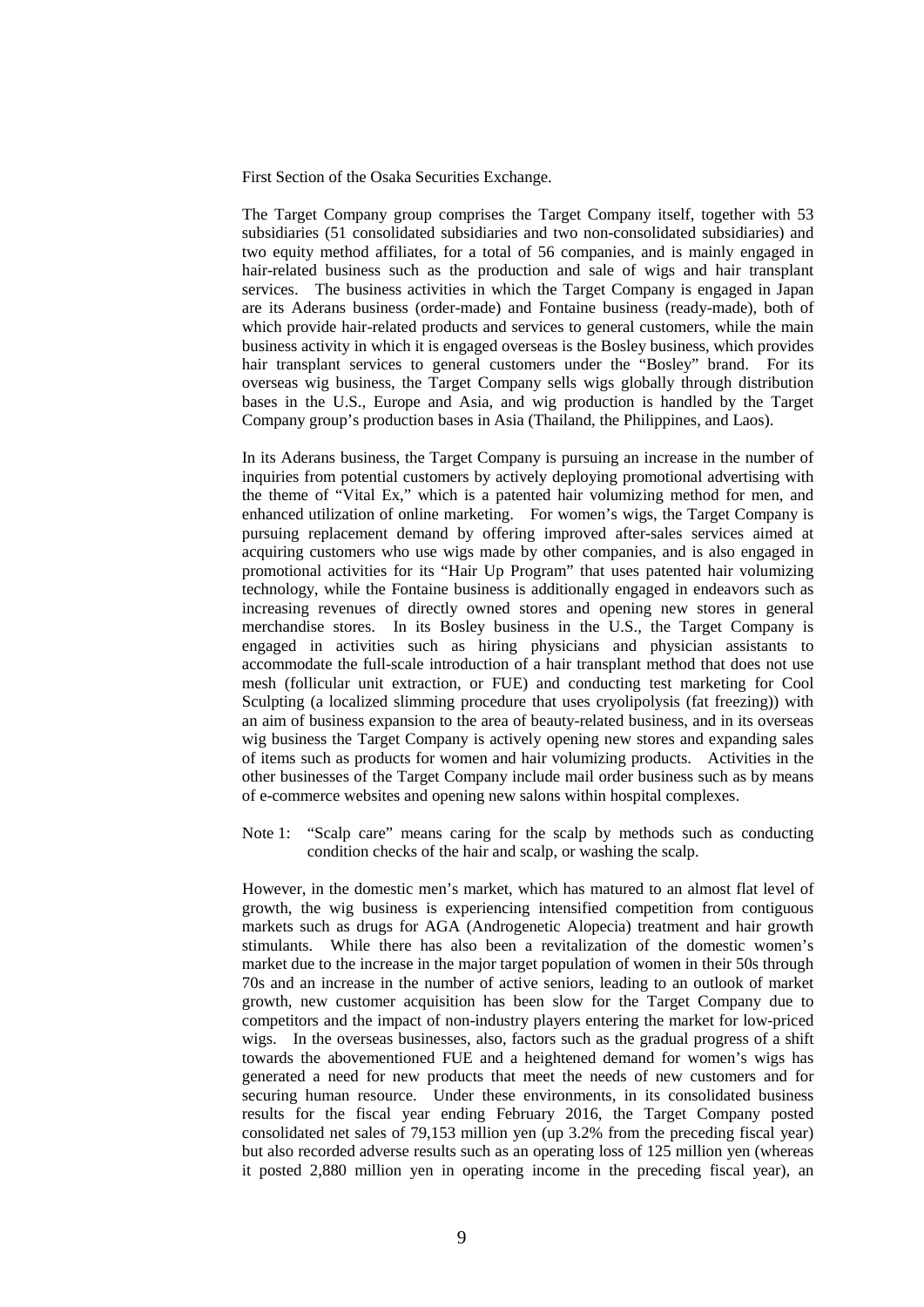First Section of the Osaka Securities Exchange.

The Target Company group comprises the Target Company itself, together with 53 subsidiaries (51 consolidated subsidiaries and two non-consolidated subsidiaries) and two equity method affiliates, for a total of 56 companies, and is mainly engaged in hair-related business such as the production and sale of wigs and hair transplant services. The business activities in which the Target Company is engaged in Japan are its Aderans business (order-made) and Fontaine business (ready-made), both of which provide hair-related products and services to general customers, while the main business activity in which it is engaged overseas is the Bosley business, which provides hair transplant services to general customers under the "Bosley" brand. For its overseas wig business, the Target Company sells wigs globally through distribution bases in the U.S., Europe and Asia, and wig production is handled by the Target Company group's production bases in Asia (Thailand, the Philippines, and Laos).

In its Aderans business, the Target Company is pursuing an increase in the number of inquiries from potential customers by actively deploying promotional advertising with the theme of "Vital Ex," which is a patented hair volumizing method for men, and enhanced utilization of online marketing. For women's wigs, the Target Company is pursuing replacement demand by offering improved after-sales services aimed at acquiring customers who use wigs made by other companies, and is also engaged in promotional activities for its "Hair Up Program" that uses patented hair volumizing technology, while the Fontaine business is additionally engaged in endeavors such as increasing revenues of directly owned stores and opening new stores in general merchandise stores. In its Bosley business in the U.S., the Target Company is engaged in activities such as hiring physicians and physician assistants to accommodate the full-scale introduction of a hair transplant method that does not use mesh (follicular unit extraction, or FUE) and conducting test marketing for Cool Sculpting (a localized slimming procedure that uses cryolipolysis (fat freezing)) with an aim of business expansion to the area of beauty-related business, and in its overseas wig business the Target Company is actively opening new stores and expanding sales of items such as products for women and hair volumizing products. Activities in the other businesses of the Target Company include mail order business such as by means of e-commerce websites and opening new salons within hospital complexes.

Note 1: "Scalp care" means caring for the scalp by methods such as conducting condition checks of the hair and scalp, or washing the scalp.

However, in the domestic men's market, which has matured to an almost flat level of growth, the wig business is experiencing intensified competition from contiguous markets such as drugs for AGA (Androgenetic Alopecia) treatment and hair growth stimulants. While there has also been a revitalization of the domestic women's market due to the increase in the major target population of women in their 50s through 70s and an increase in the number of active seniors, leading to an outlook of market growth, new customer acquisition has been slow for the Target Company due to competitors and the impact of non-industry players entering the market for low-priced wigs. In the overseas businesses, also, factors such as the gradual progress of a shift towards the abovementioned FUE and a heightened demand for women's wigs has generated a need for new products that meet the needs of new customers and for securing human resource. Under these environments, in its consolidated business results for the fiscal year ending February 2016, the Target Company posted consolidated net sales of 79,153 million yen (up 3.2% from the preceding fiscal year) but also recorded adverse results such as an operating loss of 125 million yen (whereas it posted 2,880 million yen in operating income in the preceding fiscal year), an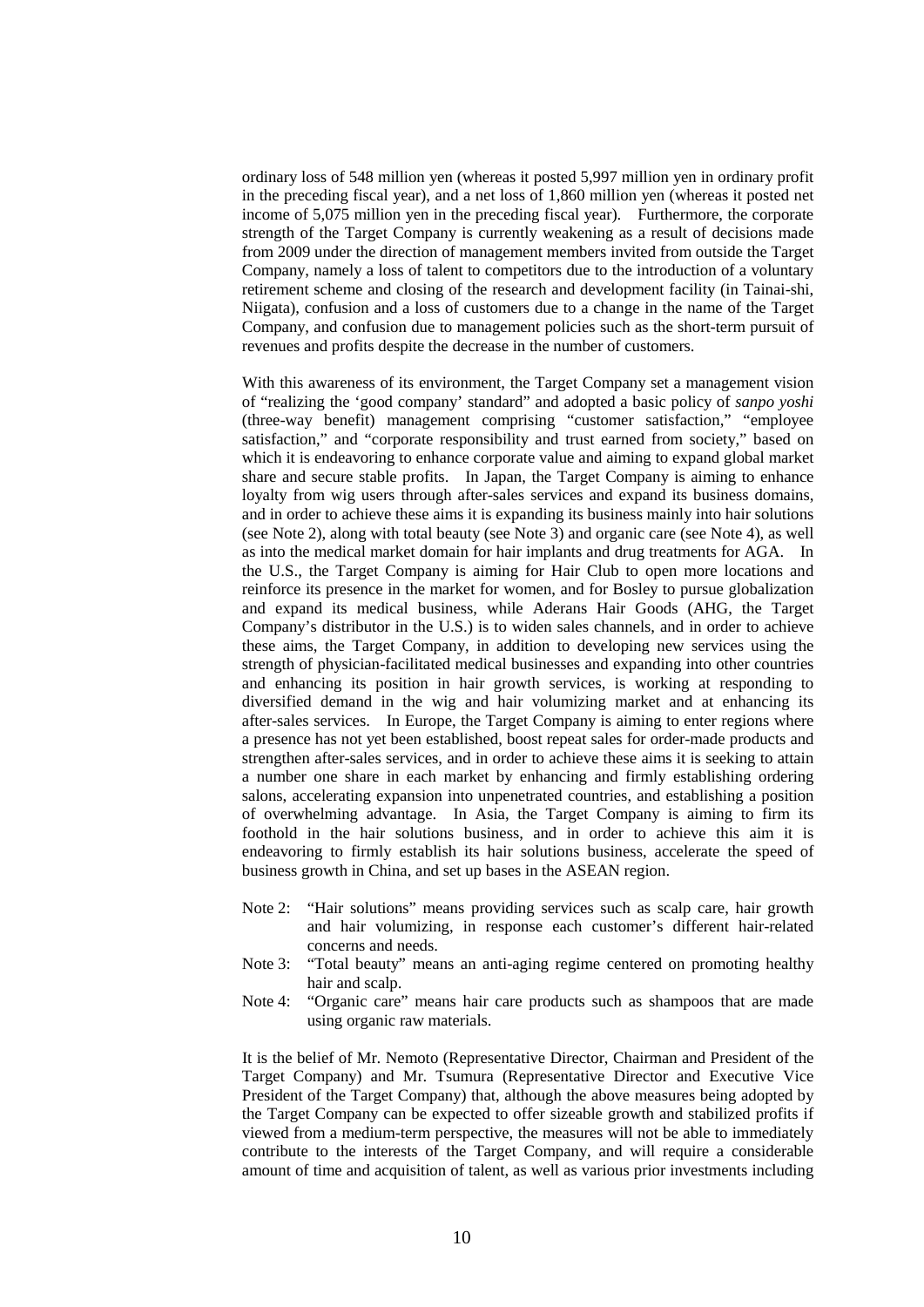ordinary loss of 548 million yen (whereas it posted 5,997 million yen in ordinary profit in the preceding fiscal year), and a net loss of 1,860 million yen (whereas it posted net income of 5,075 million yen in the preceding fiscal year). Furthermore, the corporate strength of the Target Company is currently weakening as a result of decisions made from 2009 under the direction of management members invited from outside the Target Company, namely a loss of talent to competitors due to the introduction of a voluntary retirement scheme and closing of the research and development facility (in Tainai-shi, Niigata), confusion and a loss of customers due to a change in the name of the Target Company, and confusion due to management policies such as the short-term pursuit of revenues and profits despite the decrease in the number of customers.

With this awareness of its environment, the Target Company set a management vision of "realizing the 'good company' standard" and adopted a basic policy of *sanpo yoshi* (three-way benefit) management comprising "customer satisfaction," "employee satisfaction," and "corporate responsibility and trust earned from society," based on which it is endeavoring to enhance corporate value and aiming to expand global market share and secure stable profits. In Japan, the Target Company is aiming to enhance loyalty from wig users through after-sales services and expand its business domains, and in order to achieve these aims it is expanding its business mainly into hair solutions (see Note 2), along with total beauty (see Note 3) and organic care (see Note 4), as well as into the medical market domain for hair implants and drug treatments for AGA. In the U.S., the Target Company is aiming for Hair Club to open more locations and reinforce its presence in the market for women, and for Bosley to pursue globalization and expand its medical business, while Aderans Hair Goods (AHG, the Target Company's distributor in the U.S.) is to widen sales channels, and in order to achieve these aims, the Target Company, in addition to developing new services using the strength of physician-facilitated medical businesses and expanding into other countries and enhancing its position in hair growth services, is working at responding to diversified demand in the wig and hair volumizing market and at enhancing its after-sales services. In Europe, the Target Company is aiming to enter regions where a presence has not yet been established, boost repeat sales for order-made products and strengthen after-sales services, and in order to achieve these aims it is seeking to attain a number one share in each market by enhancing and firmly establishing ordering salons, accelerating expansion into unpenetrated countries, and establishing a position of overwhelming advantage. In Asia, the Target Company is aiming to firm its foothold in the hair solutions business, and in order to achieve this aim it is endeavoring to firmly establish its hair solutions business, accelerate the speed of business growth in China, and set up bases in the ASEAN region.

- Note 2: "Hair solutions" means providing services such as scalp care, hair growth and hair volumizing, in response each customer's different hair-related concerns and needs.
- Note 3: "Total beauty" means an anti-aging regime centered on promoting healthy hair and scalp.
- Note 4: "Organic care" means hair care products such as shampoos that are made using organic raw materials.

It is the belief of Mr. Nemoto (Representative Director, Chairman and President of the Target Company) and Mr. Tsumura (Representative Director and Executive Vice President of the Target Company) that, although the above measures being adopted by the Target Company can be expected to offer sizeable growth and stabilized profits if viewed from a medium-term perspective, the measures will not be able to immediately contribute to the interests of the Target Company, and will require a considerable amount of time and acquisition of talent, as well as various prior investments including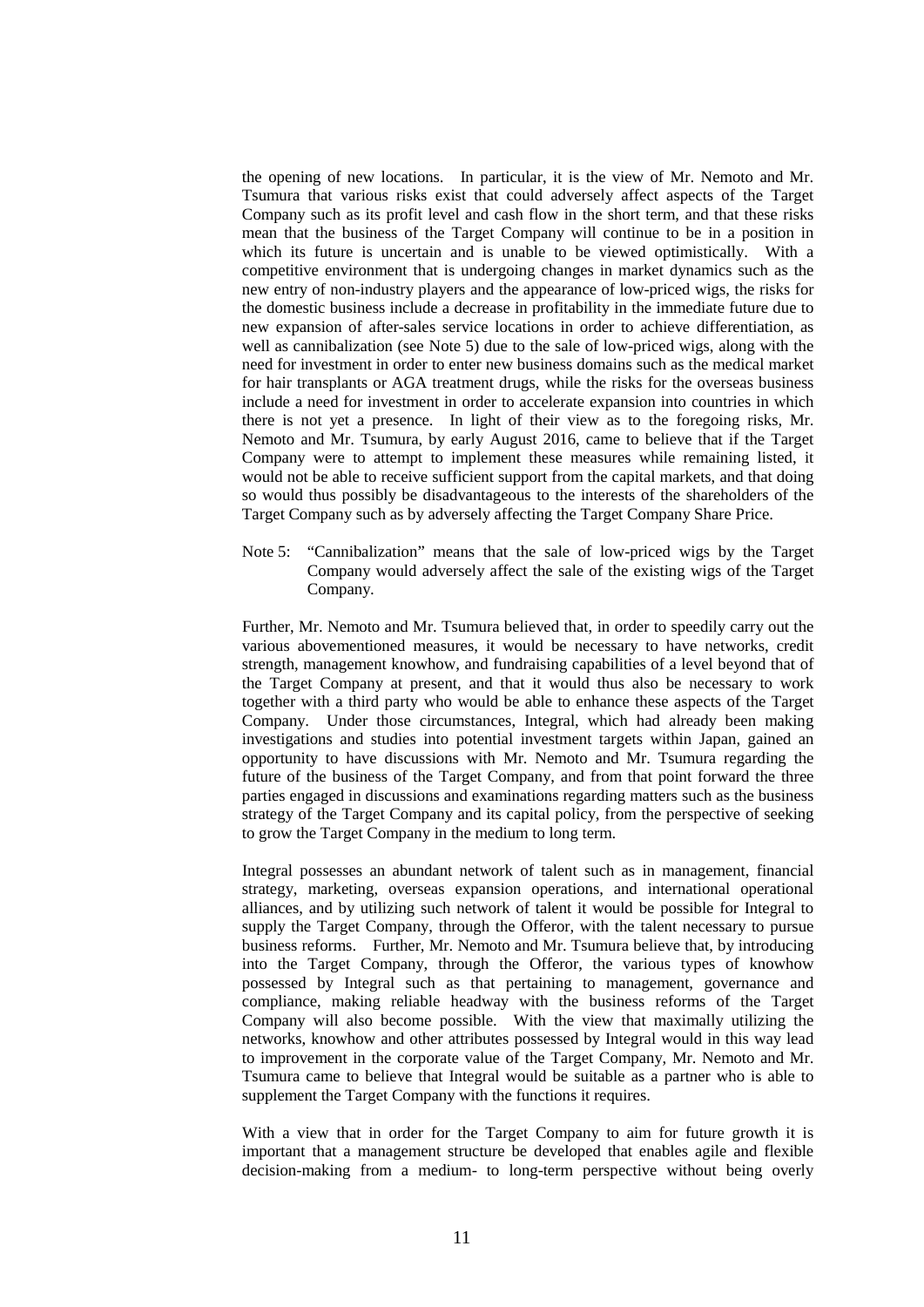the opening of new locations. In particular, it is the view of Mr. Nemoto and Mr. Tsumura that various risks exist that could adversely affect aspects of the Target Company such as its profit level and cash flow in the short term, and that these risks mean that the business of the Target Company will continue to be in a position in which its future is uncertain and is unable to be viewed optimistically. With a competitive environment that is undergoing changes in market dynamics such as the new entry of non-industry players and the appearance of low-priced wigs, the risks for the domestic business include a decrease in profitability in the immediate future due to new expansion of after-sales service locations in order to achieve differentiation, as well as cannibalization (see Note 5) due to the sale of low-priced wigs, along with the need for investment in order to enter new business domains such as the medical market for hair transplants or AGA treatment drugs, while the risks for the overseas business include a need for investment in order to accelerate expansion into countries in which there is not yet a presence. In light of their view as to the foregoing risks, Mr. Nemoto and Mr. Tsumura, by early August 2016, came to believe that if the Target Company were to attempt to implement these measures while remaining listed, it would not be able to receive sufficient support from the capital markets, and that doing so would thus possibly be disadvantageous to the interests of the shareholders of the Target Company such as by adversely affecting the Target Company Share Price.

Note 5: "Cannibalization" means that the sale of low-priced wigs by the Target Company would adversely affect the sale of the existing wigs of the Target Company.

Further, Mr. Nemoto and Mr. Tsumura believed that, in order to speedily carry out the various abovementioned measures, it would be necessary to have networks, credit strength, management knowhow, and fundraising capabilities of a level beyond that of the Target Company at present, and that it would thus also be necessary to work together with a third party who would be able to enhance these aspects of the Target Company. Under those circumstances, Integral, which had already been making investigations and studies into potential investment targets within Japan, gained an opportunity to have discussions with Mr. Nemoto and Mr. Tsumura regarding the future of the business of the Target Company, and from that point forward the three parties engaged in discussions and examinations regarding matters such as the business strategy of the Target Company and its capital policy, from the perspective of seeking to grow the Target Company in the medium to long term.

Integral possesses an abundant network of talent such as in management, financial strategy, marketing, overseas expansion operations, and international operational alliances, and by utilizing such network of talent it would be possible for Integral to supply the Target Company, through the Offeror, with the talent necessary to pursue business reforms. Further, Mr. Nemoto and Mr. Tsumura believe that, by introducing into the Target Company, through the Offeror, the various types of knowhow possessed by Integral such as that pertaining to management, governance and compliance, making reliable headway with the business reforms of the Target Company will also become possible. With the view that maximally utilizing the networks, knowhow and other attributes possessed by Integral would in this way lead to improvement in the corporate value of the Target Company, Mr. Nemoto and Mr. Tsumura came to believe that Integral would be suitable as a partner who is able to supplement the Target Company with the functions it requires.

With a view that in order for the Target Company to aim for future growth it is important that a management structure be developed that enables agile and flexible decision-making from a medium- to long-term perspective without being overly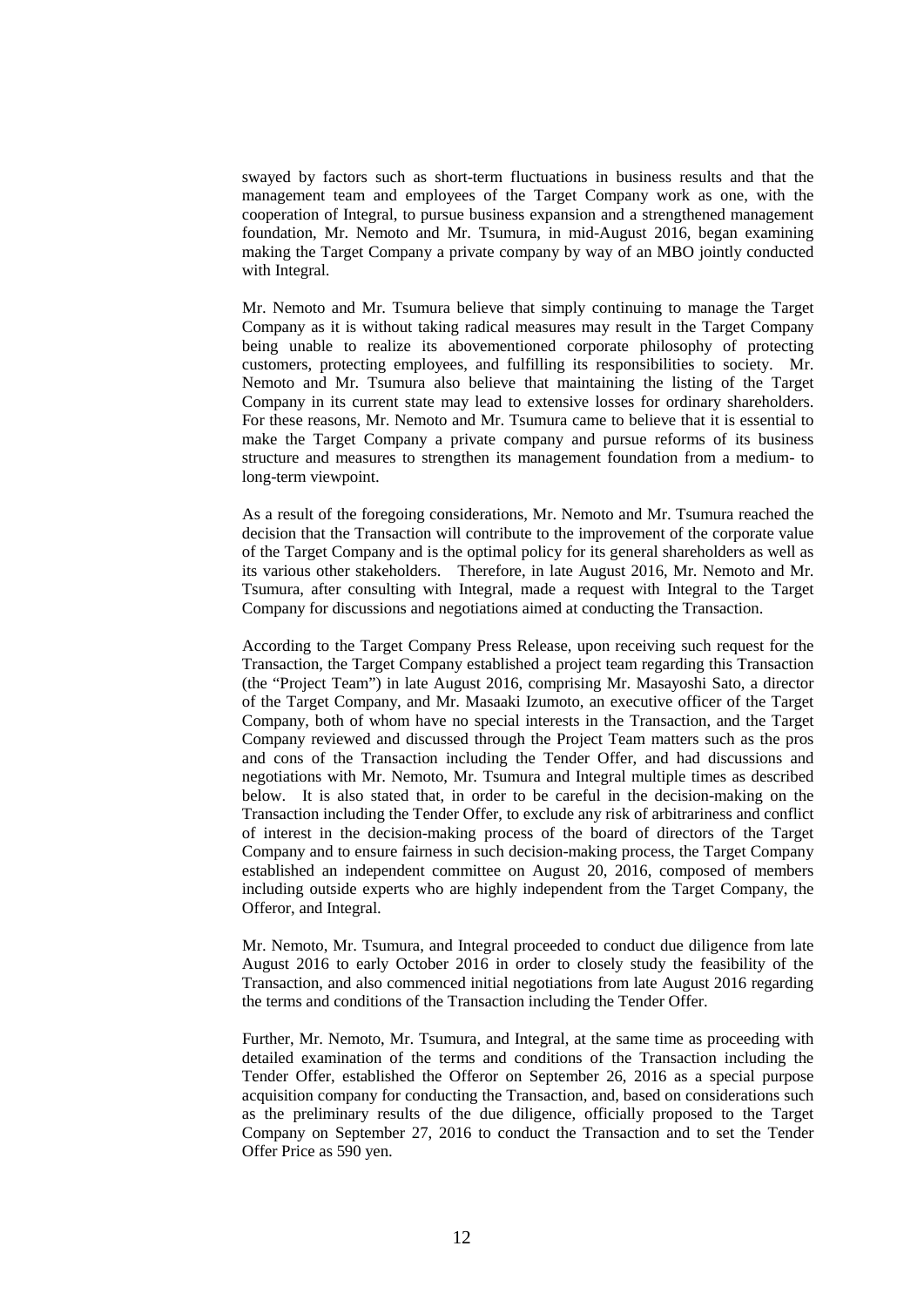swayed by factors such as short-term fluctuations in business results and that the management team and employees of the Target Company work as one, with the cooperation of Integral, to pursue business expansion and a strengthened management foundation, Mr. Nemoto and Mr. Tsumura, in mid-August 2016, began examining making the Target Company a private company by way of an MBO jointly conducted with Integral.

Mr. Nemoto and Mr. Tsumura believe that simply continuing to manage the Target Company as it is without taking radical measures may result in the Target Company being unable to realize its abovementioned corporate philosophy of protecting customers, protecting employees, and fulfilling its responsibilities to society. Mr. Nemoto and Mr. Tsumura also believe that maintaining the listing of the Target Company in its current state may lead to extensive losses for ordinary shareholders. For these reasons, Mr. Nemoto and Mr. Tsumura came to believe that it is essential to make the Target Company a private company and pursue reforms of its business structure and measures to strengthen its management foundation from a medium- to long-term viewpoint.

As a result of the foregoing considerations, Mr. Nemoto and Mr. Tsumura reached the decision that the Transaction will contribute to the improvement of the corporate value of the Target Company and is the optimal policy for its general shareholders as well as its various other stakeholders. Therefore, in late August 2016, Mr. Nemoto and Mr. Tsumura, after consulting with Integral, made a request with Integral to the Target Company for discussions and negotiations aimed at conducting the Transaction.

According to the Target Company Press Release, upon receiving such request for the Transaction, the Target Company established a project team regarding this Transaction (the "Project Team") in late August 2016, comprising Mr. Masayoshi Sato, a director of the Target Company, and Mr. Masaaki Izumoto, an executive officer of the Target Company, both of whom have no special interests in the Transaction, and the Target Company reviewed and discussed through the Project Team matters such as the pros and cons of the Transaction including the Tender Offer, and had discussions and negotiations with Mr. Nemoto, Mr. Tsumura and Integral multiple times as described below. It is also stated that, in order to be careful in the decision-making on the Transaction including the Tender Offer, to exclude any risk of arbitrariness and conflict of interest in the decision-making process of the board of directors of the Target Company and to ensure fairness in such decision-making process, the Target Company established an independent committee on August 20, 2016, composed of members including outside experts who are highly independent from the Target Company, the Offeror, and Integral.

Mr. Nemoto, Mr. Tsumura, and Integral proceeded to conduct due diligence from late August 2016 to early October 2016 in order to closely study the feasibility of the Transaction, and also commenced initial negotiations from late August 2016 regarding the terms and conditions of the Transaction including the Tender Offer.

Further, Mr. Nemoto, Mr. Tsumura, and Integral, at the same time as proceeding with detailed examination of the terms and conditions of the Transaction including the Tender Offer, established the Offeror on September 26, 2016 as a special purpose acquisition company for conducting the Transaction, and, based on considerations such as the preliminary results of the due diligence, officially proposed to the Target Company on September 27, 2016 to conduct the Transaction and to set the Tender Offer Price as 590 yen.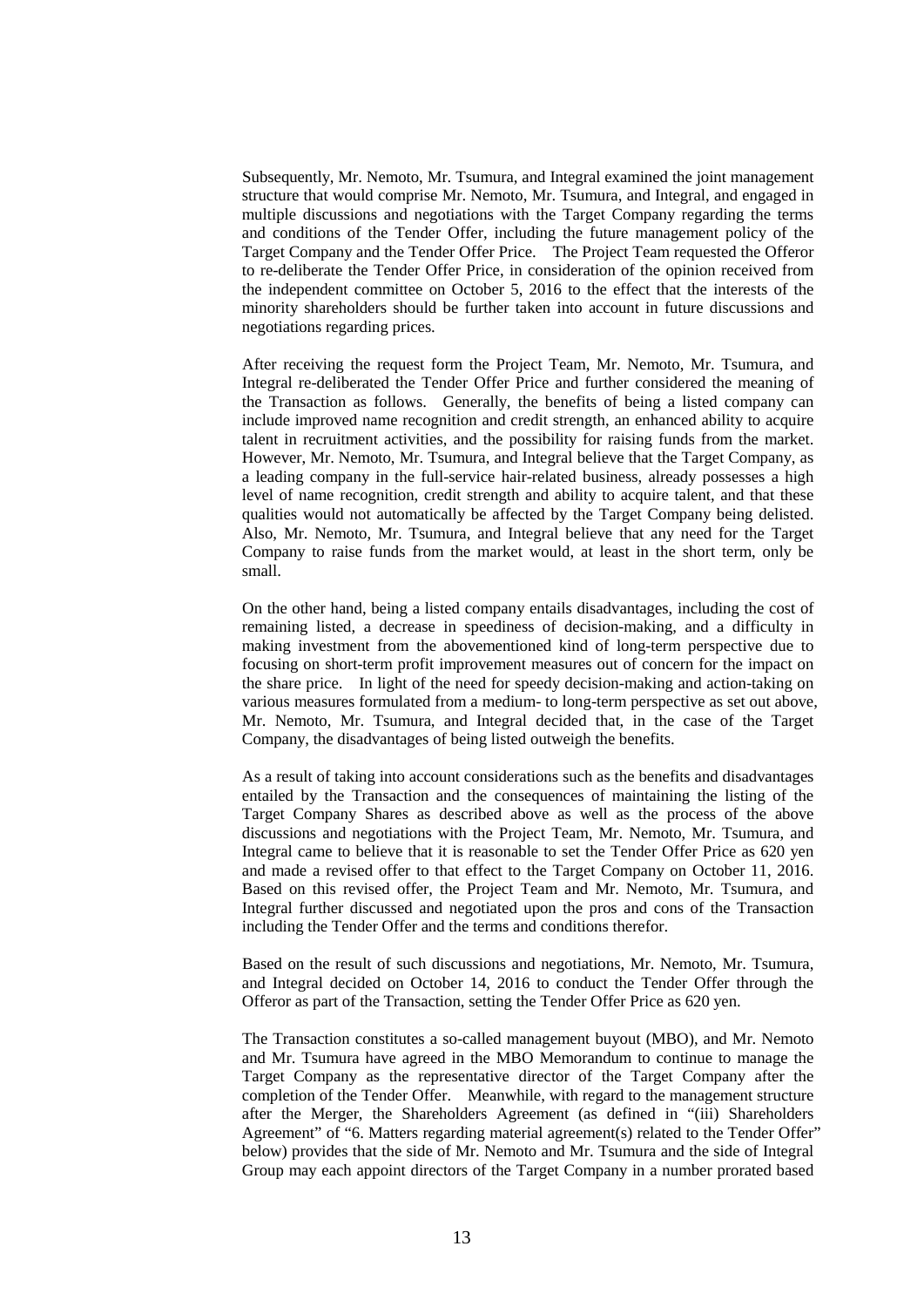Subsequently, Mr. Nemoto, Mr. Tsumura, and Integral examined the joint management structure that would comprise Mr. Nemoto, Mr. Tsumura, and Integral, and engaged in multiple discussions and negotiations with the Target Company regarding the terms and conditions of the Tender Offer, including the future management policy of the Target Company and the Tender Offer Price. The Project Team requested the Offeror to re-deliberate the Tender Offer Price, in consideration of the opinion received from the independent committee on October 5, 2016 to the effect that the interests of the minority shareholders should be further taken into account in future discussions and negotiations regarding prices.

After receiving the request form the Project Team, Mr. Nemoto, Mr. Tsumura, and Integral re-deliberated the Tender Offer Price and further considered the meaning of the Transaction as follows. Generally, the benefits of being a listed company can include improved name recognition and credit strength, an enhanced ability to acquire talent in recruitment activities, and the possibility for raising funds from the market. However, Mr. Nemoto, Mr. Tsumura, and Integral believe that the Target Company, as a leading company in the full-service hair-related business, already possesses a high level of name recognition, credit strength and ability to acquire talent, and that these qualities would not automatically be affected by the Target Company being delisted. Also, Mr. Nemoto, Mr. Tsumura, and Integral believe that any need for the Target Company to raise funds from the market would, at least in the short term, only be small.

On the other hand, being a listed company entails disadvantages, including the cost of remaining listed, a decrease in speediness of decision-making, and a difficulty in making investment from the abovementioned kind of long-term perspective due to focusing on short-term profit improvement measures out of concern for the impact on the share price. In light of the need for speedy decision-making and action-taking on various measures formulated from a medium- to long-term perspective as set out above, Mr. Nemoto, Mr. Tsumura, and Integral decided that, in the case of the Target Company, the disadvantages of being listed outweigh the benefits.

As a result of taking into account considerations such as the benefits and disadvantages entailed by the Transaction and the consequences of maintaining the listing of the Target Company Shares as described above as well as the process of the above discussions and negotiations with the Project Team, Mr. Nemoto, Mr. Tsumura, and Integral came to believe that it is reasonable to set the Tender Offer Price as 620 yen and made a revised offer to that effect to the Target Company on October 11, 2016. Based on this revised offer, the Project Team and Mr. Nemoto, Mr. Tsumura, and Integral further discussed and negotiated upon the pros and cons of the Transaction including the Tender Offer and the terms and conditions therefor.

Based on the result of such discussions and negotiations, Mr. Nemoto, Mr. Tsumura, and Integral decided on October 14, 2016 to conduct the Tender Offer through the Offeror as part of the Transaction, setting the Tender Offer Price as 620 yen.

The Transaction constitutes a so-called management buyout (MBO), and Mr. Nemoto and Mr. Tsumura have agreed in the MBO Memorandum to continue to manage the Target Company as the representative director of the Target Company after the completion of the Tender Offer. Meanwhile, with regard to the management structure after the Merger, the Shareholders Agreement (as defined in "(iii) Shareholders Agreement" of "6. Matters regarding material agreement(s) related to the Tender Offer" below) provides that the side of Mr. Nemoto and Mr. Tsumura and the side of Integral Group may each appoint directors of the Target Company in a number prorated based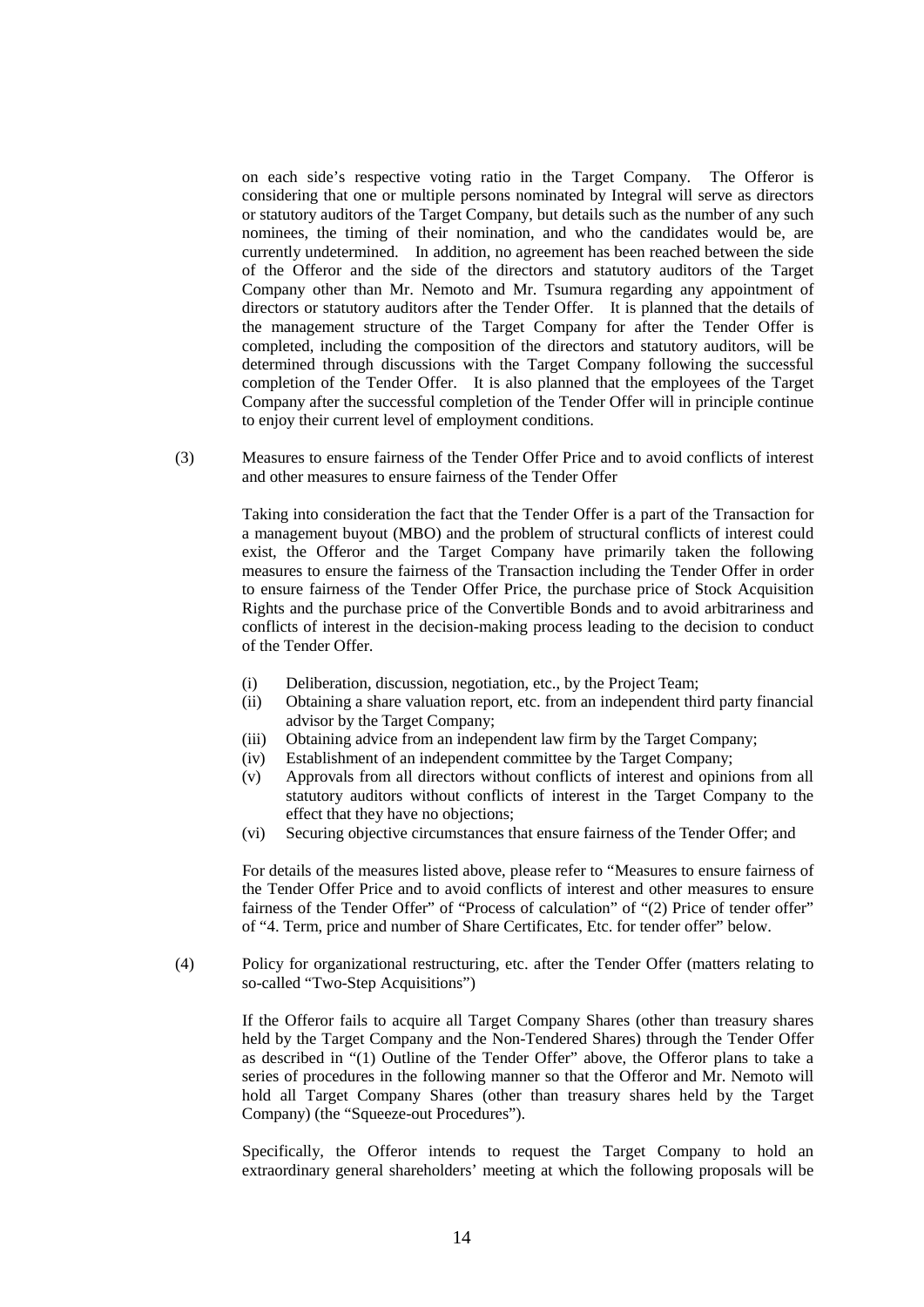on each side's respective voting ratio in the Target Company. The Offeror is considering that one or multiple persons nominated by Integral will serve as directors or statutory auditors of the Target Company, but details such as the number of any such nominees, the timing of their nomination, and who the candidates would be, are currently undetermined. In addition, no agreement has been reached between the side of the Offeror and the side of the directors and statutory auditors of the Target Company other than Mr. Nemoto and Mr. Tsumura regarding any appointment of directors or statutory auditors after the Tender Offer. It is planned that the details of the management structure of the Target Company for after the Tender Offer is completed, including the composition of the directors and statutory auditors, will be determined through discussions with the Target Company following the successful completion of the Tender Offer. It is also planned that the employees of the Target Company after the successful completion of the Tender Offer will in principle continue to enjoy their current level of employment conditions.

 (3) Measures to ensure fairness of the Tender Offer Price and to avoid conflicts of interest and other measures to ensure fairness of the Tender Offer

> Taking into consideration the fact that the Tender Offer is a part of the Transaction for a management buyout (MBO) and the problem of structural conflicts of interest could exist, the Offeror and the Target Company have primarily taken the following measures to ensure the fairness of the Transaction including the Tender Offer in order to ensure fairness of the Tender Offer Price, the purchase price of Stock Acquisition Rights and the purchase price of the Convertible Bonds and to avoid arbitrariness and conflicts of interest in the decision-making process leading to the decision to conduct of the Tender Offer.

- (i) Deliberation, discussion, negotiation, etc., by the Project Team;
- (ii) Obtaining a share valuation report, etc. from an independent third party financial advisor by the Target Company;
- (iii) Obtaining advice from an independent law firm by the Target Company;
- (iv) Establishment of an independent committee by the Target Company;
- (v) Approvals from all directors without conflicts of interest and opinions from all statutory auditors without conflicts of interest in the Target Company to the effect that they have no objections;
- (vi) Securing objective circumstances that ensure fairness of the Tender Offer; and

For details of the measures listed above, please refer to "Measures to ensure fairness of the Tender Offer Price and to avoid conflicts of interest and other measures to ensure fairness of the Tender Offer" of "Process of calculation" of "(2) Price of tender offer" of "4. Term, price and number of Share Certificates, Etc. for tender offer" below.

 (4) Policy for organizational restructuring, etc. after the Tender Offer (matters relating to so-called "Two-Step Acquisitions")

> If the Offeror fails to acquire all Target Company Shares (other than treasury shares held by the Target Company and the Non-Tendered Shares) through the Tender Offer as described in "(1) Outline of the Tender Offer" above, the Offeror plans to take a series of procedures in the following manner so that the Offeror and Mr. Nemoto will hold all Target Company Shares (other than treasury shares held by the Target Company) (the "Squeeze-out Procedures").

> Specifically, the Offeror intends to request the Target Company to hold an extraordinary general shareholders' meeting at which the following proposals will be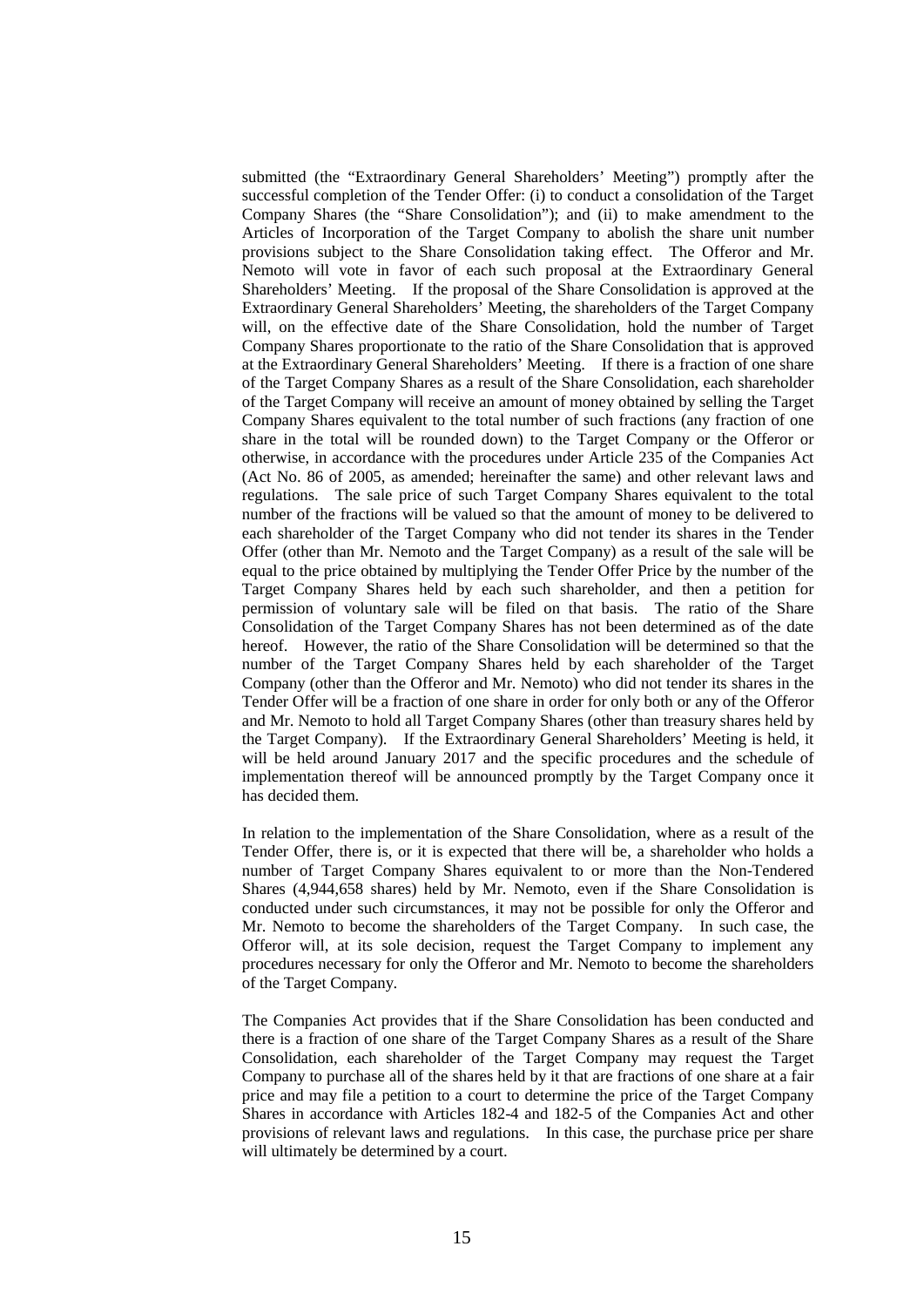submitted (the "Extraordinary General Shareholders' Meeting") promptly after the successful completion of the Tender Offer: (i) to conduct a consolidation of the Target Company Shares (the "Share Consolidation"); and (ii) to make amendment to the Articles of Incorporation of the Target Company to abolish the share unit number provisions subject to the Share Consolidation taking effect. The Offeror and Mr. Nemoto will vote in favor of each such proposal at the Extraordinary General Shareholders' Meeting. If the proposal of the Share Consolidation is approved at the Extraordinary General Shareholders' Meeting, the shareholders of the Target Company will, on the effective date of the Share Consolidation, hold the number of Target Company Shares proportionate to the ratio of the Share Consolidation that is approved at the Extraordinary General Shareholders' Meeting. If there is a fraction of one share of the Target Company Shares as a result of the Share Consolidation, each shareholder of the Target Company will receive an amount of money obtained by selling the Target Company Shares equivalent to the total number of such fractions (any fraction of one share in the total will be rounded down) to the Target Company or the Offeror or otherwise, in accordance with the procedures under Article 235 of the Companies Act (Act No. 86 of 2005, as amended; hereinafter the same) and other relevant laws and regulations. The sale price of such Target Company Shares equivalent to the total number of the fractions will be valued so that the amount of money to be delivered to each shareholder of the Target Company who did not tender its shares in the Tender Offer (other than Mr. Nemoto and the Target Company) as a result of the sale will be equal to the price obtained by multiplying the Tender Offer Price by the number of the Target Company Shares held by each such shareholder, and then a petition for permission of voluntary sale will be filed on that basis. The ratio of the Share Consolidation of the Target Company Shares has not been determined as of the date hereof. However, the ratio of the Share Consolidation will be determined so that the number of the Target Company Shares held by each shareholder of the Target Company (other than the Offeror and Mr. Nemoto) who did not tender its shares in the Tender Offer will be a fraction of one share in order for only both or any of the Offeror and Mr. Nemoto to hold all Target Company Shares (other than treasury shares held by the Target Company). If the Extraordinary General Shareholders' Meeting is held, it will be held around January 2017 and the specific procedures and the schedule of implementation thereof will be announced promptly by the Target Company once it has decided them.

In relation to the implementation of the Share Consolidation, where as a result of the Tender Offer, there is, or it is expected that there will be, a shareholder who holds a number of Target Company Shares equivalent to or more than the Non-Tendered Shares (4,944,658 shares) held by Mr. Nemoto, even if the Share Consolidation is conducted under such circumstances, it may not be possible for only the Offeror and Mr. Nemoto to become the shareholders of the Target Company. In such case, the Offeror will, at its sole decision, request the Target Company to implement any procedures necessary for only the Offeror and Mr. Nemoto to become the shareholders of the Target Company.

The Companies Act provides that if the Share Consolidation has been conducted and there is a fraction of one share of the Target Company Shares as a result of the Share Consolidation, each shareholder of the Target Company may request the Target Company to purchase all of the shares held by it that are fractions of one share at a fair price and may file a petition to a court to determine the price of the Target Company Shares in accordance with Articles 182-4 and 182-5 of the Companies Act and other provisions of relevant laws and regulations. In this case, the purchase price per share will ultimately be determined by a court.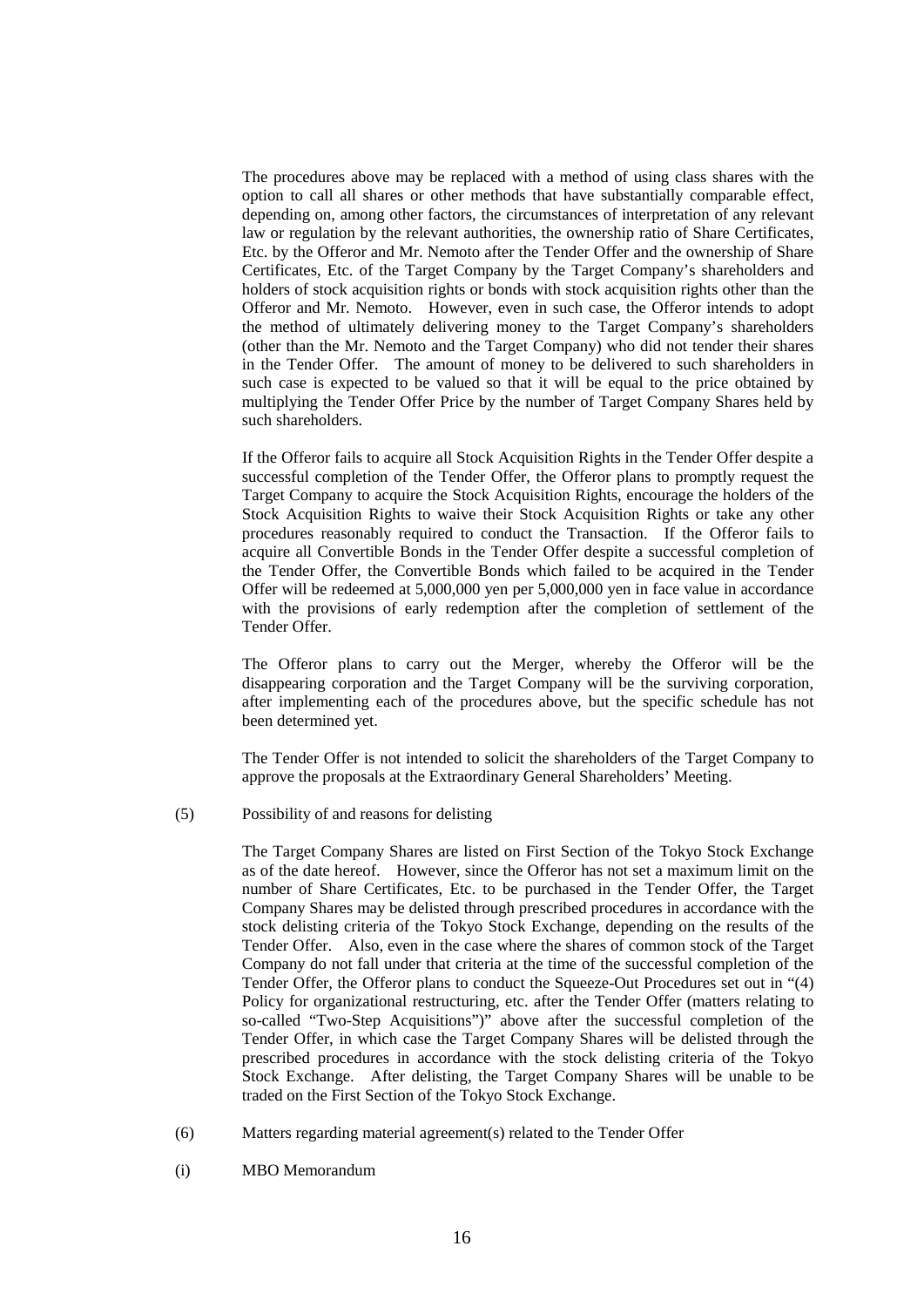The procedures above may be replaced with a method of using class shares with the option to call all shares or other methods that have substantially comparable effect, depending on, among other factors, the circumstances of interpretation of any relevant law or regulation by the relevant authorities, the ownership ratio of Share Certificates, Etc. by the Offeror and Mr. Nemoto after the Tender Offer and the ownership of Share Certificates, Etc. of the Target Company by the Target Company's shareholders and holders of stock acquisition rights or bonds with stock acquisition rights other than the Offeror and Mr. Nemoto. However, even in such case, the Offeror intends to adopt the method of ultimately delivering money to the Target Company's shareholders (other than the Mr. Nemoto and the Target Company) who did not tender their shares in the Tender Offer. The amount of money to be delivered to such shareholders in such case is expected to be valued so that it will be equal to the price obtained by multiplying the Tender Offer Price by the number of Target Company Shares held by such shareholders.

If the Offeror fails to acquire all Stock Acquisition Rights in the Tender Offer despite a successful completion of the Tender Offer, the Offeror plans to promptly request the Target Company to acquire the Stock Acquisition Rights, encourage the holders of the Stock Acquisition Rights to waive their Stock Acquisition Rights or take any other procedures reasonably required to conduct the Transaction. If the Offeror fails to acquire all Convertible Bonds in the Tender Offer despite a successful completion of the Tender Offer, the Convertible Bonds which failed to be acquired in the Tender Offer will be redeemed at 5,000,000 yen per 5,000,000 yen in face value in accordance with the provisions of early redemption after the completion of settlement of the Tender Offer.

The Offeror plans to carry out the Merger, whereby the Offeror will be the disappearing corporation and the Target Company will be the surviving corporation, after implementing each of the procedures above, but the specific schedule has not been determined yet.

The Tender Offer is not intended to solicit the shareholders of the Target Company to approve the proposals at the Extraordinary General Shareholders' Meeting.

(5) Possibility of and reasons for delisting

The Target Company Shares are listed on First Section of the Tokyo Stock Exchange as of the date hereof. However, since the Offeror has not set a maximum limit on the number of Share Certificates, Etc. to be purchased in the Tender Offer, the Target Company Shares may be delisted through prescribed procedures in accordance with the stock delisting criteria of the Tokyo Stock Exchange, depending on the results of the Tender Offer. Also, even in the case where the shares of common stock of the Target Company do not fall under that criteria at the time of the successful completion of the Tender Offer, the Offeror plans to conduct the Squeeze-Out Procedures set out in "(4) Policy for organizational restructuring, etc. after the Tender Offer (matters relating to so-called "Two-Step Acquisitions")" above after the successful completion of the Tender Offer, in which case the Target Company Shares will be delisted through the prescribed procedures in accordance with the stock delisting criteria of the Tokyo Stock Exchange. After delisting, the Target Company Shares will be unable to be traded on the First Section of the Tokyo Stock Exchange.

- (6) Matters regarding material agreement(s) related to the Tender Offer
- (i) MBO Memorandum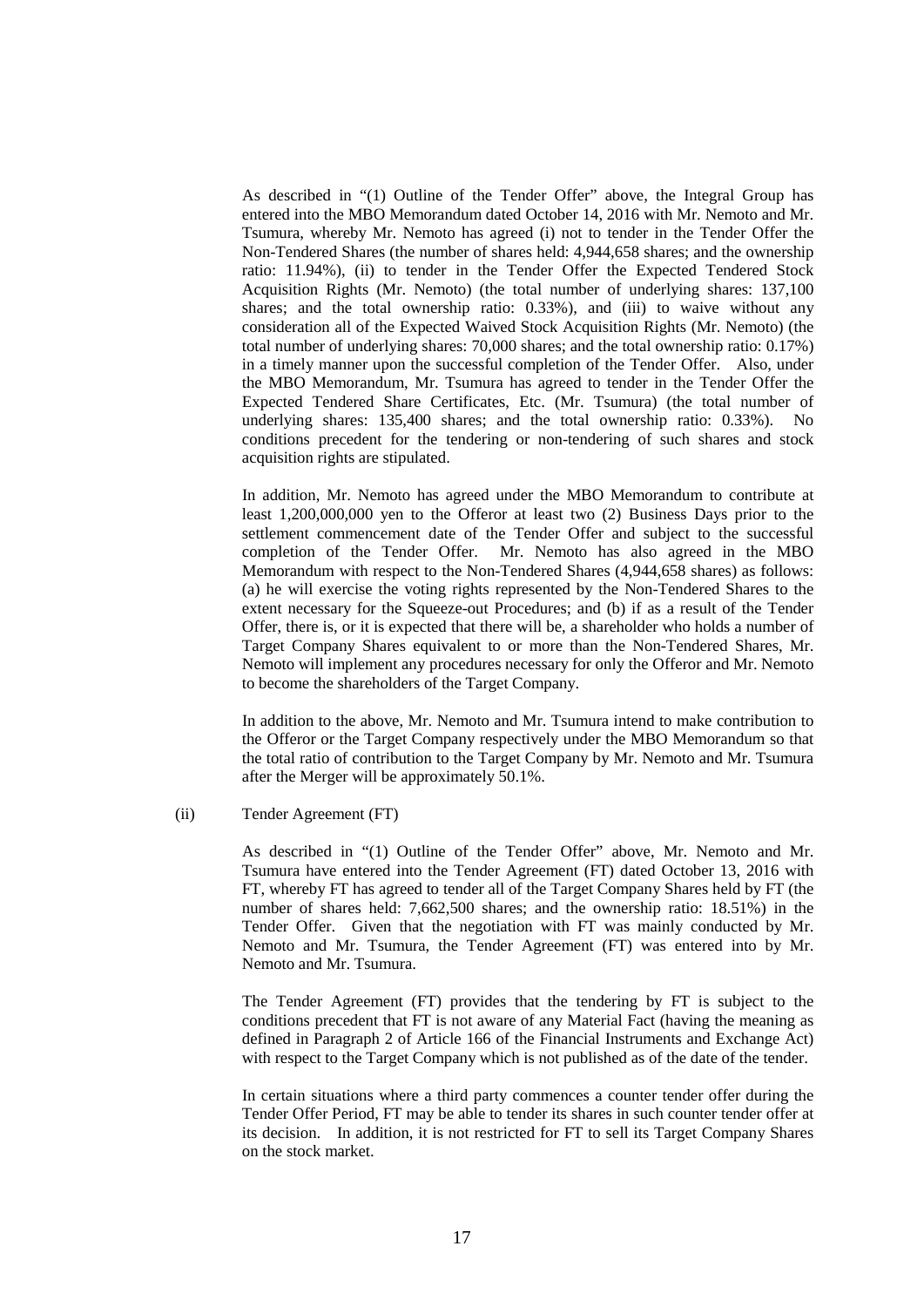As described in "(1) Outline of the Tender Offer" above, the Integral Group has entered into the MBO Memorandum dated October 14, 2016 with Mr. Nemoto and Mr. Tsumura, whereby Mr. Nemoto has agreed (i) not to tender in the Tender Offer the Non-Tendered Shares (the number of shares held: 4,944,658 shares; and the ownership ratio: 11.94%), (ii) to tender in the Tender Offer the Expected Tendered Stock Acquisition Rights (Mr. Nemoto) (the total number of underlying shares: 137,100 shares; and the total ownership ratio: 0.33%), and (iii) to waive without any consideration all of the Expected Waived Stock Acquisition Rights (Mr. Nemoto) (the total number of underlying shares: 70,000 shares; and the total ownership ratio: 0.17%) in a timely manner upon the successful completion of the Tender Offer. Also, under the MBO Memorandum, Mr. Tsumura has agreed to tender in the Tender Offer the Expected Tendered Share Certificates, Etc. (Mr. Tsumura) (the total number of underlying shares: 135,400 shares; and the total ownership ratio: 0.33%). No conditions precedent for the tendering or non-tendering of such shares and stock acquisition rights are stipulated.

In addition, Mr. Nemoto has agreed under the MBO Memorandum to contribute at least 1,200,000,000 yen to the Offeror at least two (2) Business Days prior to the settlement commencement date of the Tender Offer and subject to the successful completion of the Tender Offer. Mr. Nemoto has also agreed in the MBO Memorandum with respect to the Non-Tendered Shares (4,944,658 shares) as follows: (a) he will exercise the voting rights represented by the Non-Tendered Shares to the extent necessary for the Squeeze-out Procedures; and (b) if as a result of the Tender Offer, there is, or it is expected that there will be, a shareholder who holds a number of Target Company Shares equivalent to or more than the Non-Tendered Shares, Mr. Nemoto will implement any procedures necessary for only the Offeror and Mr. Nemoto to become the shareholders of the Target Company.

In addition to the above, Mr. Nemoto and Mr. Tsumura intend to make contribution to the Offeror or the Target Company respectively under the MBO Memorandum so that the total ratio of contribution to the Target Company by Mr. Nemoto and Mr. Tsumura after the Merger will be approximately 50.1%.

#### (ii) Tender Agreement (FT)

As described in "(1) Outline of the Tender Offer" above, Mr. Nemoto and Mr. Tsumura have entered into the Tender Agreement (FT) dated October 13, 2016 with FT, whereby FT has agreed to tender all of the Target Company Shares held by FT (the number of shares held: 7,662,500 shares; and the ownership ratio: 18.51%) in the Tender Offer. Given that the negotiation with FT was mainly conducted by Mr. Nemoto and Mr. Tsumura, the Tender Agreement (FT) was entered into by Mr. Nemoto and Mr. Tsumura.

The Tender Agreement (FT) provides that the tendering by FT is subject to the conditions precedent that FT is not aware of any Material Fact (having the meaning as defined in Paragraph 2 of Article 166 of the Financial Instruments and Exchange Act) with respect to the Target Company which is not published as of the date of the tender.

In certain situations where a third party commences a counter tender offer during the Tender Offer Period, FT may be able to tender its shares in such counter tender offer at its decision. In addition, it is not restricted for FT to sell its Target Company Shares on the stock market.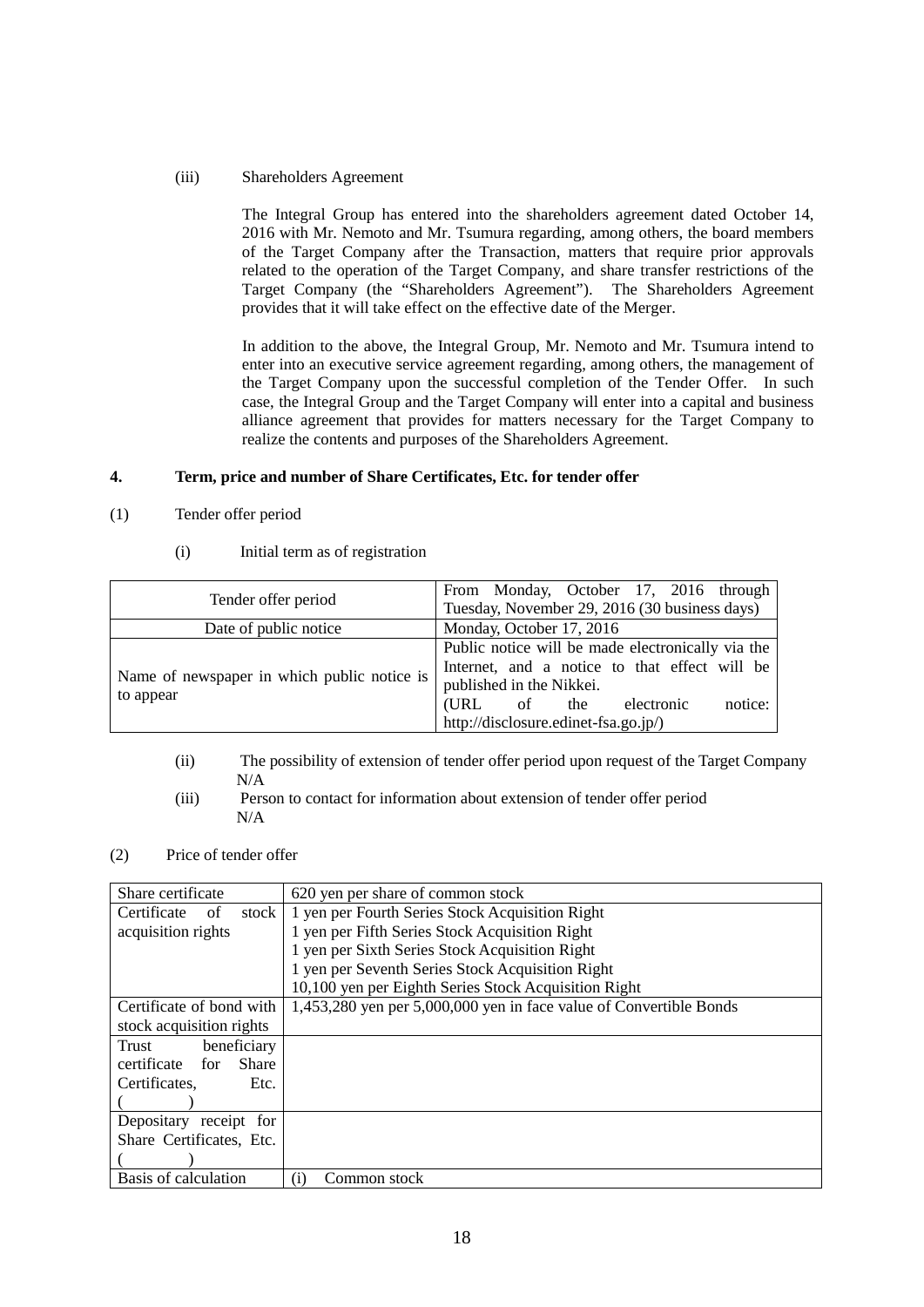(iii) Shareholders Agreement

The Integral Group has entered into the shareholders agreement dated October 14, 2016 with Mr. Nemoto and Mr. Tsumura regarding, among others, the board members of the Target Company after the Transaction, matters that require prior approvals related to the operation of the Target Company, and share transfer restrictions of the Target Company (the "Shareholders Agreement"). The Shareholders Agreement provides that it will take effect on the effective date of the Merger.

In addition to the above, the Integral Group, Mr. Nemoto and Mr. Tsumura intend to enter into an executive service agreement regarding, among others, the management of the Target Company upon the successful completion of the Tender Offer. In such case, the Integral Group and the Target Company will enter into a capital and business alliance agreement that provides for matters necessary for the Target Company to realize the contents and purposes of the Shareholders Agreement.

## **4. Term, price and number of Share Certificates, Etc. for tender offer**

- (1) Tender offer period
	- (i) Initial term as of registration

|                                             | From Monday, October 17, 2016 through             |  |  |
|---------------------------------------------|---------------------------------------------------|--|--|
| Tender offer period                         | Tuesday, November 29, 2016 (30 business days)     |  |  |
| Date of public notice                       | Monday, October 17, 2016                          |  |  |
| Name of newspaper in which public notice is | Public notice will be made electronically via the |  |  |
|                                             | Internet, and a notice to that effect will be     |  |  |
|                                             | published in the Nikkei.                          |  |  |
| to appear                                   | notice:<br>(URL)<br>of the<br>electronic          |  |  |
|                                             | http://disclosure.edinet-fsa.go.jp/)              |  |  |

- (ii) The possibility of extension of tender offer period upon request of the Target Company N/A
- (iii) Person to contact for information about extension of tender offer period N/A
- (2) Price of tender offer

| Share certificate               | 620 yen per share of common stock                                  |  |
|---------------------------------|--------------------------------------------------------------------|--|
| Certificate<br>stock<br>οf      | 1 yen per Fourth Series Stock Acquisition Right                    |  |
| acquisition rights              | 1 yen per Fifth Series Stock Acquisition Right                     |  |
|                                 | 1 yen per Sixth Series Stock Acquisition Right                     |  |
|                                 | 1 yen per Seventh Series Stock Acquisition Right                   |  |
|                                 | 10,100 yen per Eighth Series Stock Acquisition Right               |  |
| Certificate of bond with        | 1,453,280 yen per 5,000,000 yen in face value of Convertible Bonds |  |
| stock acquisition rights        |                                                                    |  |
| beneficiary<br>Trust            |                                                                    |  |
| certificate for<br><b>Share</b> |                                                                    |  |
| Certificates.<br>Etc.           |                                                                    |  |
|                                 |                                                                    |  |
| Depositary receipt for          |                                                                    |  |
| Share Certificates, Etc.        |                                                                    |  |
|                                 |                                                                    |  |
| Basis of calculation            | Common stock<br>(1)                                                |  |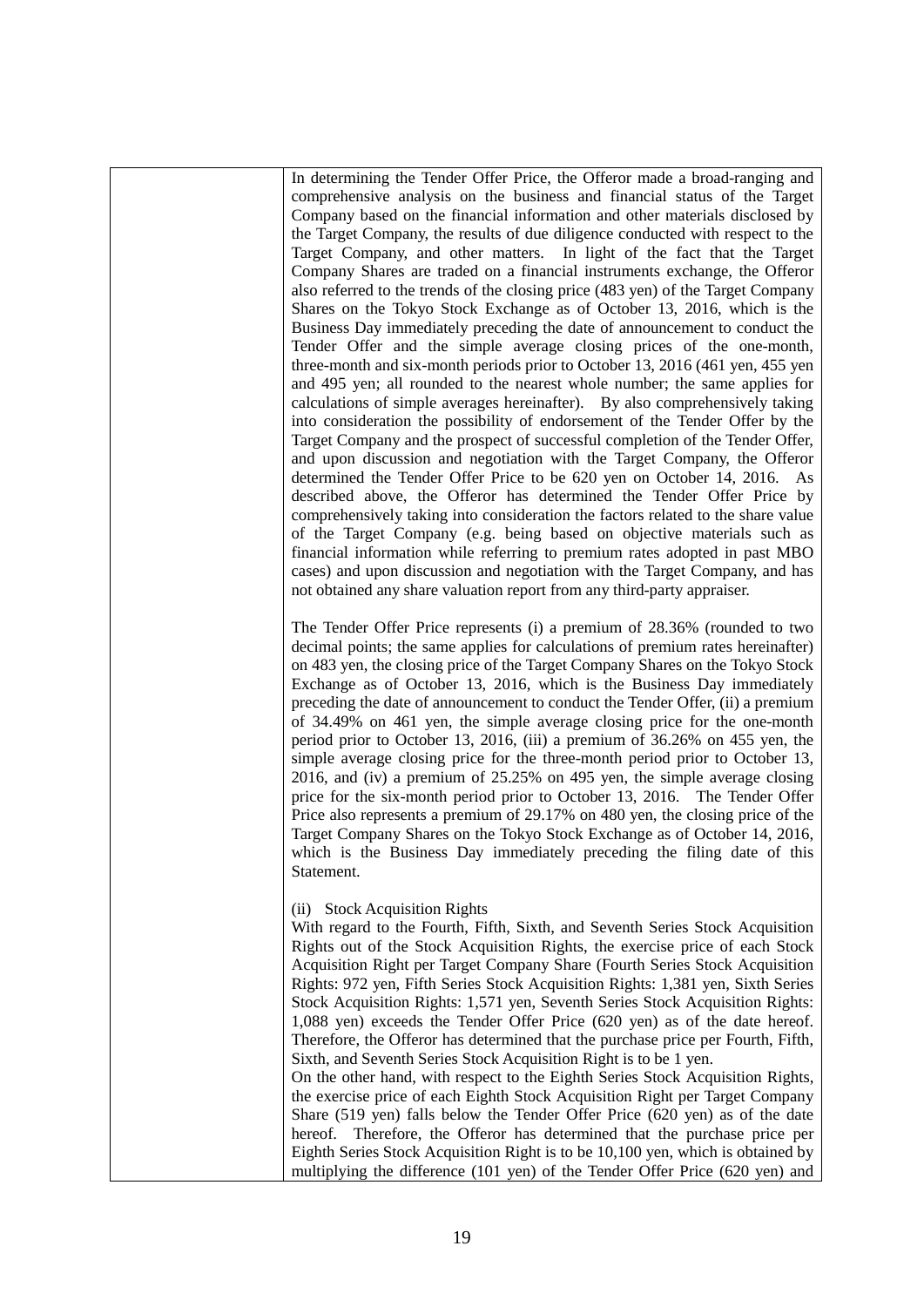In determining the Tender Offer Price, the Offeror made a broad-ranging and comprehensive analysis on the business and financial status of the Target Company based on the financial information and other materials disclosed by the Target Company, the results of due diligence conducted with respect to the Target Company, and other matters. In light of the fact that the Target Company Shares are traded on a financial instruments exchange, the Offeror also referred to the trends of the closing price (483 yen) of the Target Company Shares on the Tokyo Stock Exchange as of October 13, 2016, which is the Business Day immediately preceding the date of announcement to conduct the Tender Offer and the simple average closing prices of the one-month, three-month and six-month periods prior to October 13, 2016 (461 yen, 455 yen and 495 yen; all rounded to the nearest whole number; the same applies for calculations of simple averages hereinafter). By also comprehensively taking into consideration the possibility of endorsement of the Tender Offer by the Target Company and the prospect of successful completion of the Tender Offer, and upon discussion and negotiation with the Target Company, the Offeror determined the Tender Offer Price to be 620 yen on October 14, 2016. As described above, the Offeror has determined the Tender Offer Price by comprehensively taking into consideration the factors related to the share value of the Target Company (e.g. being based on objective materials such as financial information while referring to premium rates adopted in past MBO cases) and upon discussion and negotiation with the Target Company, and has not obtained any share valuation report from any third-party appraiser.

The Tender Offer Price represents (i) a premium of 28.36% (rounded to two decimal points; the same applies for calculations of premium rates hereinafter) on 483 yen, the closing price of the Target Company Shares on the Tokyo Stock Exchange as of October 13, 2016, which is the Business Day immediately preceding the date of announcement to conduct the Tender Offer, (ii) a premium of 34.49% on 461 yen, the simple average closing price for the one-month period prior to October 13, 2016, (iii) a premium of 36.26% on 455 yen, the simple average closing price for the three-month period prior to October 13, 2016, and (iv) a premium of 25.25% on 495 yen, the simple average closing price for the six-month period prior to October 13, 2016. The Tender Offer Price also represents a premium of 29.17% on 480 yen, the closing price of the Target Company Shares on the Tokyo Stock Exchange as of October 14, 2016, which is the Business Day immediately preceding the filing date of this Statement.

# (ii) Stock Acquisition Rights

With regard to the Fourth, Fifth, Sixth, and Seventh Series Stock Acquisition Rights out of the Stock Acquisition Rights, the exercise price of each Stock Acquisition Right per Target Company Share (Fourth Series Stock Acquisition Rights: 972 yen, Fifth Series Stock Acquisition Rights: 1,381 yen, Sixth Series Stock Acquisition Rights: 1,571 yen, Seventh Series Stock Acquisition Rights: 1,088 yen) exceeds the Tender Offer Price (620 yen) as of the date hereof. Therefore, the Offeror has determined that the purchase price per Fourth, Fifth, Sixth, and Seventh Series Stock Acquisition Right is to be 1 yen.

On the other hand, with respect to the Eighth Series Stock Acquisition Rights, the exercise price of each Eighth Stock Acquisition Right per Target Company Share (519 yen) falls below the Tender Offer Price (620 yen) as of the date hereof. Therefore, the Offeror has determined that the purchase price per Eighth Series Stock Acquisition Right is to be 10,100 yen, which is obtained by multiplying the difference (101 yen) of the Tender Offer Price (620 yen) and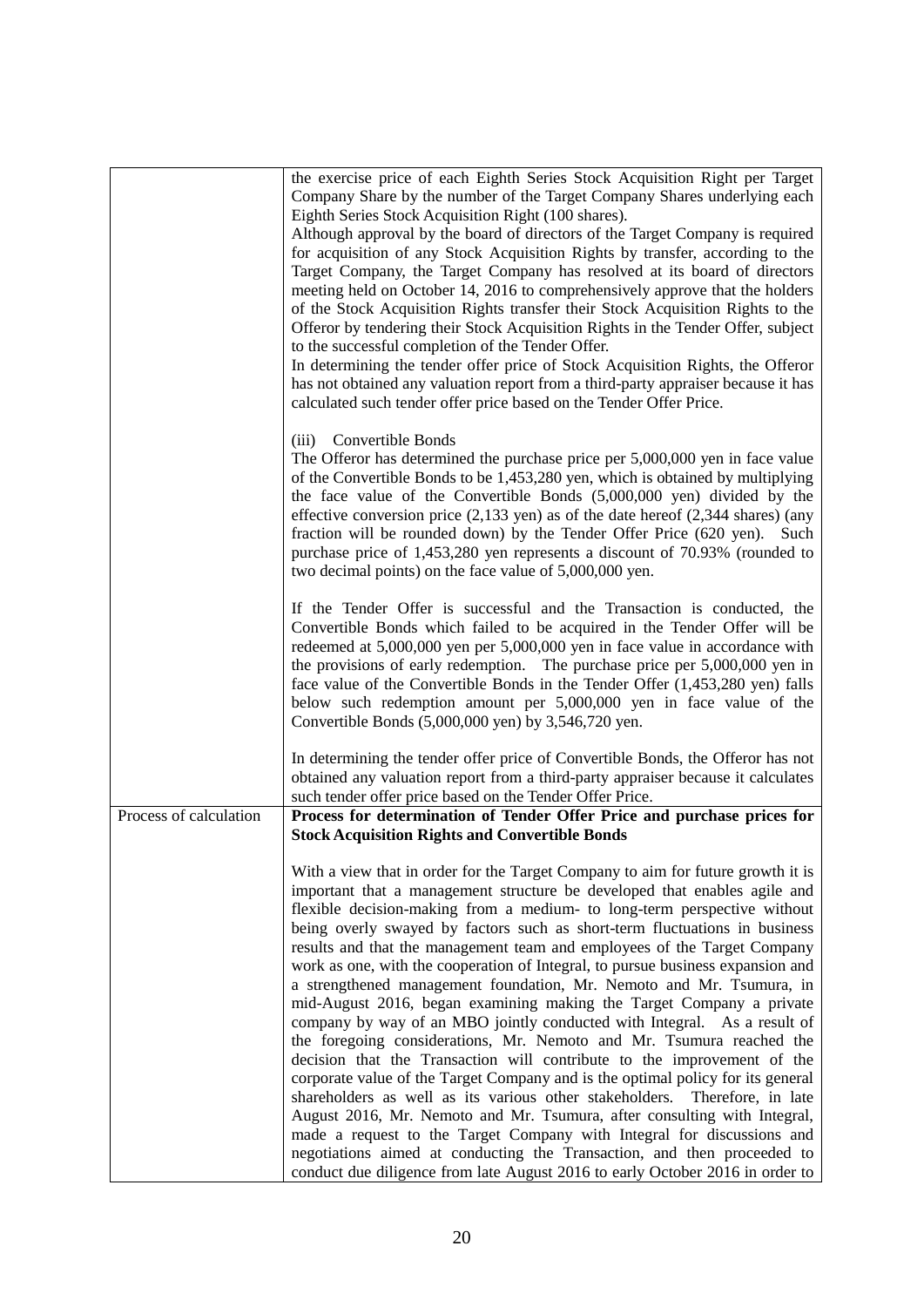|                        | the exercise price of each Eighth Series Stock Acquisition Right per Target                                                                              |
|------------------------|----------------------------------------------------------------------------------------------------------------------------------------------------------|
|                        | Company Share by the number of the Target Company Shares underlying each                                                                                 |
|                        | Eighth Series Stock Acquisition Right (100 shares).<br>Although approval by the board of directors of the Target Company is required                     |
|                        | for acquisition of any Stock Acquisition Rights by transfer, according to the                                                                            |
|                        | Target Company, the Target Company has resolved at its board of directors                                                                                |
|                        | meeting held on October 14, 2016 to comprehensively approve that the holders                                                                             |
|                        | of the Stock Acquisition Rights transfer their Stock Acquisition Rights to the                                                                           |
|                        | Offeror by tendering their Stock Acquisition Rights in the Tender Offer, subject                                                                         |
|                        | to the successful completion of the Tender Offer.                                                                                                        |
|                        | In determining the tender offer price of Stock Acquisition Rights, the Offeror                                                                           |
|                        | has not obtained any valuation report from a third-party appraiser because it has                                                                        |
|                        | calculated such tender offer price based on the Tender Offer Price.                                                                                      |
|                        | Convertible Bonds<br>(iii)                                                                                                                               |
|                        | The Offeror has determined the purchase price per 5,000,000 yen in face value                                                                            |
|                        | of the Convertible Bonds to be 1,453,280 yen, which is obtained by multiplying                                                                           |
|                        | the face value of the Convertible Bonds (5,000,000 yen) divided by the                                                                                   |
|                        | effective conversion price $(2,133 \text{ yen})$ as of the date hereof $(2,344 \text{ shares})$ (any                                                     |
|                        | fraction will be rounded down) by the Tender Offer Price (620 yen). Such                                                                                 |
|                        | purchase price of 1,453,280 yen represents a discount of 70.93% (rounded to<br>two decimal points) on the face value of 5,000,000 yen.                   |
|                        |                                                                                                                                                          |
|                        | If the Tender Offer is successful and the Transaction is conducted, the                                                                                  |
|                        | Convertible Bonds which failed to be acquired in the Tender Offer will be                                                                                |
|                        | redeemed at 5,000,000 yen per 5,000,000 yen in face value in accordance with                                                                             |
|                        | the provisions of early redemption. The purchase price per $5,000,000$ yen in                                                                            |
|                        | face value of the Convertible Bonds in the Tender Offer (1,453,280 yen) falls<br>below such redemption amount per 5,000,000 yen in face value of the     |
|                        | Convertible Bonds (5,000,000 yen) by 3,546,720 yen.                                                                                                      |
|                        |                                                                                                                                                          |
|                        | In determining the tender offer price of Convertible Bonds, the Offeror has not                                                                          |
|                        | obtained any valuation report from a third-party appraiser because it calculates                                                                         |
|                        | such tender offer price based on the Tender Offer Price.                                                                                                 |
| Process of calculation | Process for determination of Tender Offer Price and purchase prices for                                                                                  |
|                        | <b>Stock Acquisition Rights and Convertible Bonds</b>                                                                                                    |
|                        | With a view that in order for the Target Company to aim for future growth it is                                                                          |
|                        | important that a management structure be developed that enables agile and                                                                                |
|                        | flexible decision-making from a medium- to long-term perspective without                                                                                 |
|                        | being overly swayed by factors such as short-term fluctuations in business                                                                               |
|                        | results and that the management team and employees of the Target Company                                                                                 |
|                        | work as one, with the cooperation of Integral, to pursue business expansion and<br>a strengthened management foundation, Mr. Nemoto and Mr. Tsumura, in  |
|                        | mid-August 2016, began examining making the Target Company a private                                                                                     |
|                        | company by way of an MBO jointly conducted with Integral. As a result of                                                                                 |
|                        | the foregoing considerations, Mr. Nemoto and Mr. Tsumura reached the                                                                                     |
|                        | decision that the Transaction will contribute to the improvement of the                                                                                  |
|                        | corporate value of the Target Company and is the optimal policy for its general                                                                          |
|                        | shareholders as well as its various other stakeholders. Therefore, in late                                                                               |
|                        | August 2016, Mr. Nemoto and Mr. Tsumura, after consulting with Integral,                                                                                 |
|                        | made a request to the Target Company with Integral for discussions and                                                                                   |
|                        | negotiations aimed at conducting the Transaction, and then proceeded to<br>conduct due diligence from late August 2016 to early October 2016 in order to |
|                        |                                                                                                                                                          |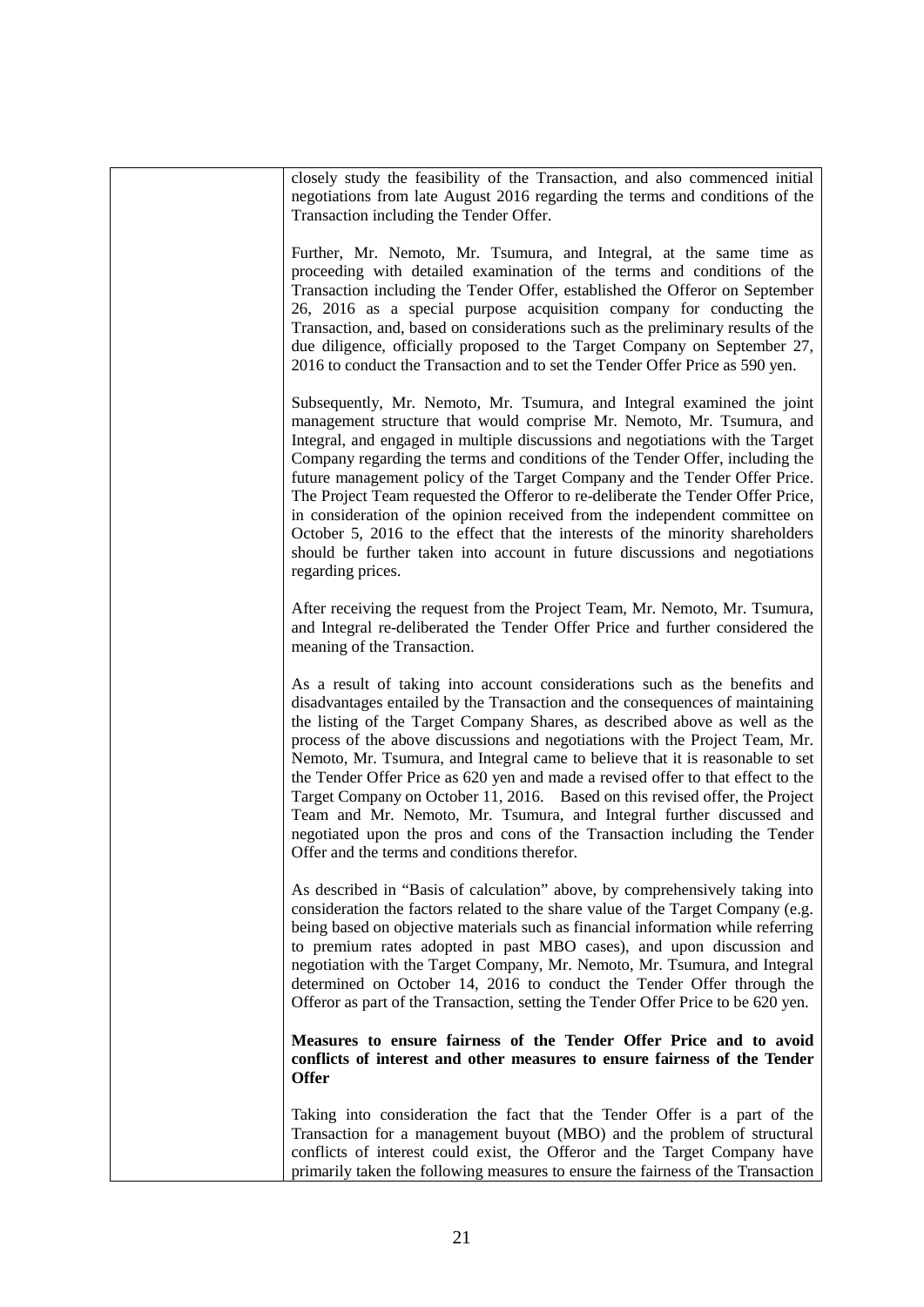| closely study the feasibility of the Transaction, and also commenced initial<br>negotiations from late August 2016 regarding the terms and conditions of the<br>Transaction including the Tender Offer.                                                                                                                                                                                                                                                                                                                                                                                                                                                                                                                                                                               |
|---------------------------------------------------------------------------------------------------------------------------------------------------------------------------------------------------------------------------------------------------------------------------------------------------------------------------------------------------------------------------------------------------------------------------------------------------------------------------------------------------------------------------------------------------------------------------------------------------------------------------------------------------------------------------------------------------------------------------------------------------------------------------------------|
| Further, Mr. Nemoto, Mr. Tsumura, and Integral, at the same time as<br>proceeding with detailed examination of the terms and conditions of the<br>Transaction including the Tender Offer, established the Offeror on September<br>26, 2016 as a special purpose acquisition company for conducting the<br>Transaction, and, based on considerations such as the preliminary results of the<br>due diligence, officially proposed to the Target Company on September 27,<br>2016 to conduct the Transaction and to set the Tender Offer Price as 590 yen.                                                                                                                                                                                                                              |
| Subsequently, Mr. Nemoto, Mr. Tsumura, and Integral examined the joint<br>management structure that would comprise Mr. Nemoto, Mr. Tsumura, and<br>Integral, and engaged in multiple discussions and negotiations with the Target<br>Company regarding the terms and conditions of the Tender Offer, including the<br>future management policy of the Target Company and the Tender Offer Price.<br>The Project Team requested the Offeror to re-deliberate the Tender Offer Price,<br>in consideration of the opinion received from the independent committee on<br>October 5, 2016 to the effect that the interests of the minority shareholders<br>should be further taken into account in future discussions and negotiations<br>regarding prices.                                |
| After receiving the request from the Project Team, Mr. Nemoto, Mr. Tsumura,<br>and Integral re-deliberated the Tender Offer Price and further considered the<br>meaning of the Transaction.                                                                                                                                                                                                                                                                                                                                                                                                                                                                                                                                                                                           |
| As a result of taking into account considerations such as the benefits and<br>disadvantages entailed by the Transaction and the consequences of maintaining<br>the listing of the Target Company Shares, as described above as well as the<br>process of the above discussions and negotiations with the Project Team, Mr.<br>Nemoto, Mr. Tsumura, and Integral came to believe that it is reasonable to set<br>the Tender Offer Price as 620 yen and made a revised offer to that effect to the<br>Target Company on October 11, 2016. Based on this revised offer, the Project<br>Team and Mr. Nemoto, Mr. Tsumura, and Integral further discussed and<br>negotiated upon the pros and cons of the Transaction including the Tender<br>Offer and the terms and conditions therefor. |
| As described in "Basis of calculation" above, by comprehensively taking into<br>consideration the factors related to the share value of the Target Company (e.g.<br>being based on objective materials such as financial information while referring<br>to premium rates adopted in past MBO cases), and upon discussion and<br>negotiation with the Target Company, Mr. Nemoto, Mr. Tsumura, and Integral<br>determined on October 14, 2016 to conduct the Tender Offer through the<br>Offeror as part of the Transaction, setting the Tender Offer Price to be 620 yen.                                                                                                                                                                                                             |
| Measures to ensure fairness of the Tender Offer Price and to avoid<br>conflicts of interest and other measures to ensure fairness of the Tender<br><b>Offer</b>                                                                                                                                                                                                                                                                                                                                                                                                                                                                                                                                                                                                                       |
| Taking into consideration the fact that the Tender Offer is a part of the<br>Transaction for a management buyout (MBO) and the problem of structural<br>conflicts of interest could exist, the Offeror and the Target Company have<br>primarily taken the following measures to ensure the fairness of the Transaction                                                                                                                                                                                                                                                                                                                                                                                                                                                                |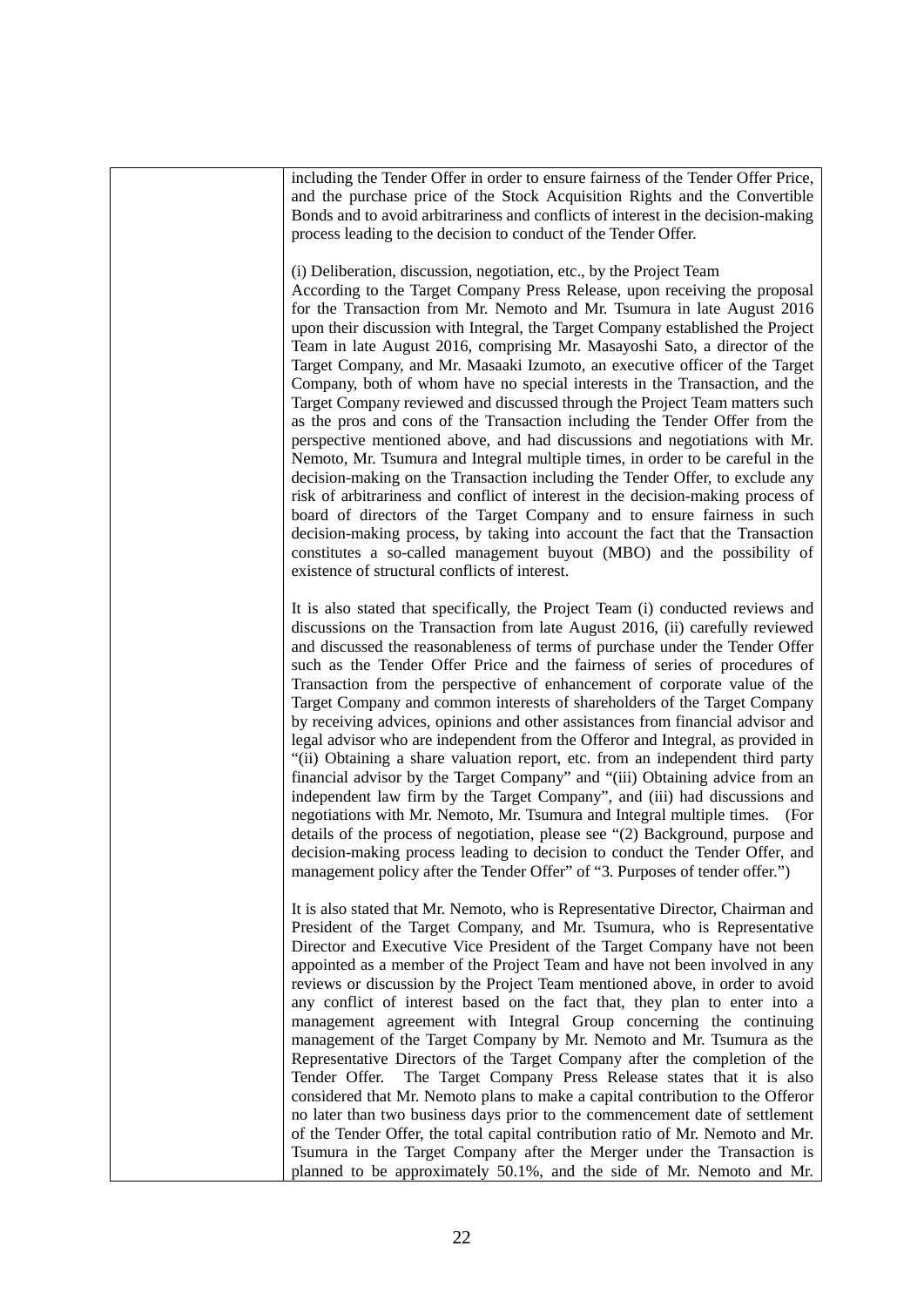including the Tender Offer in order to ensure fairness of the Tender Offer Price, and the purchase price of the Stock Acquisition Rights and the Convertible Bonds and to avoid arbitrariness and conflicts of interest in the decision-making process leading to the decision to conduct of the Tender Offer.

#### (i) Deliberation, discussion, negotiation, etc., by the Project Team

According to the Target Company Press Release, upon receiving the proposal for the Transaction from Mr. Nemoto and Mr. Tsumura in late August 2016 upon their discussion with Integral, the Target Company established the Project Team in late August 2016, comprising Mr. Masayoshi Sato, a director of the Target Company, and Mr. Masaaki Izumoto, an executive officer of the Target Company, both of whom have no special interests in the Transaction, and the Target Company reviewed and discussed through the Project Team matters such as the pros and cons of the Transaction including the Tender Offer from the perspective mentioned above, and had discussions and negotiations with Mr. Nemoto, Mr. Tsumura and Integral multiple times, in order to be careful in the decision-making on the Transaction including the Tender Offer, to exclude any risk of arbitrariness and conflict of interest in the decision-making process of board of directors of the Target Company and to ensure fairness in such decision-making process, by taking into account the fact that the Transaction constitutes a so-called management buyout (MBO) and the possibility of existence of structural conflicts of interest.

It is also stated that specifically, the Project Team (i) conducted reviews and discussions on the Transaction from late August 2016, (ii) carefully reviewed and discussed the reasonableness of terms of purchase under the Tender Offer such as the Tender Offer Price and the fairness of series of procedures of Transaction from the perspective of enhancement of corporate value of the Target Company and common interests of shareholders of the Target Company by receiving advices, opinions and other assistances from financial advisor and legal advisor who are independent from the Offeror and Integral, as provided in "(ii) Obtaining a share valuation report, etc. from an independent third party financial advisor by the Target Company" and "(iii) Obtaining advice from an independent law firm by the Target Company", and (iii) had discussions and negotiations with Mr. Nemoto, Mr. Tsumura and Integral multiple times. (For details of the process of negotiation, please see "(2) Background, purpose and decision-making process leading to decision to conduct the Tender Offer, and management policy after the Tender Offer" of "3. Purposes of tender offer.")

It is also stated that Mr. Nemoto, who is Representative Director, Chairman and President of the Target Company, and Mr. Tsumura, who is Representative Director and Executive Vice President of the Target Company have not been appointed as a member of the Project Team and have not been involved in any reviews or discussion by the Project Team mentioned above, in order to avoid any conflict of interest based on the fact that, they plan to enter into a management agreement with Integral Group concerning the continuing management of the Target Company by Mr. Nemoto and Mr. Tsumura as the Representative Directors of the Target Company after the completion of the Tender Offer. The Target Company Press Release states that it is also considered that Mr. Nemoto plans to make a capital contribution to the Offeror no later than two business days prior to the commencement date of settlement of the Tender Offer, the total capital contribution ratio of Mr. Nemoto and Mr. Tsumura in the Target Company after the Merger under the Transaction is planned to be approximately 50.1%, and the side of Mr. Nemoto and Mr.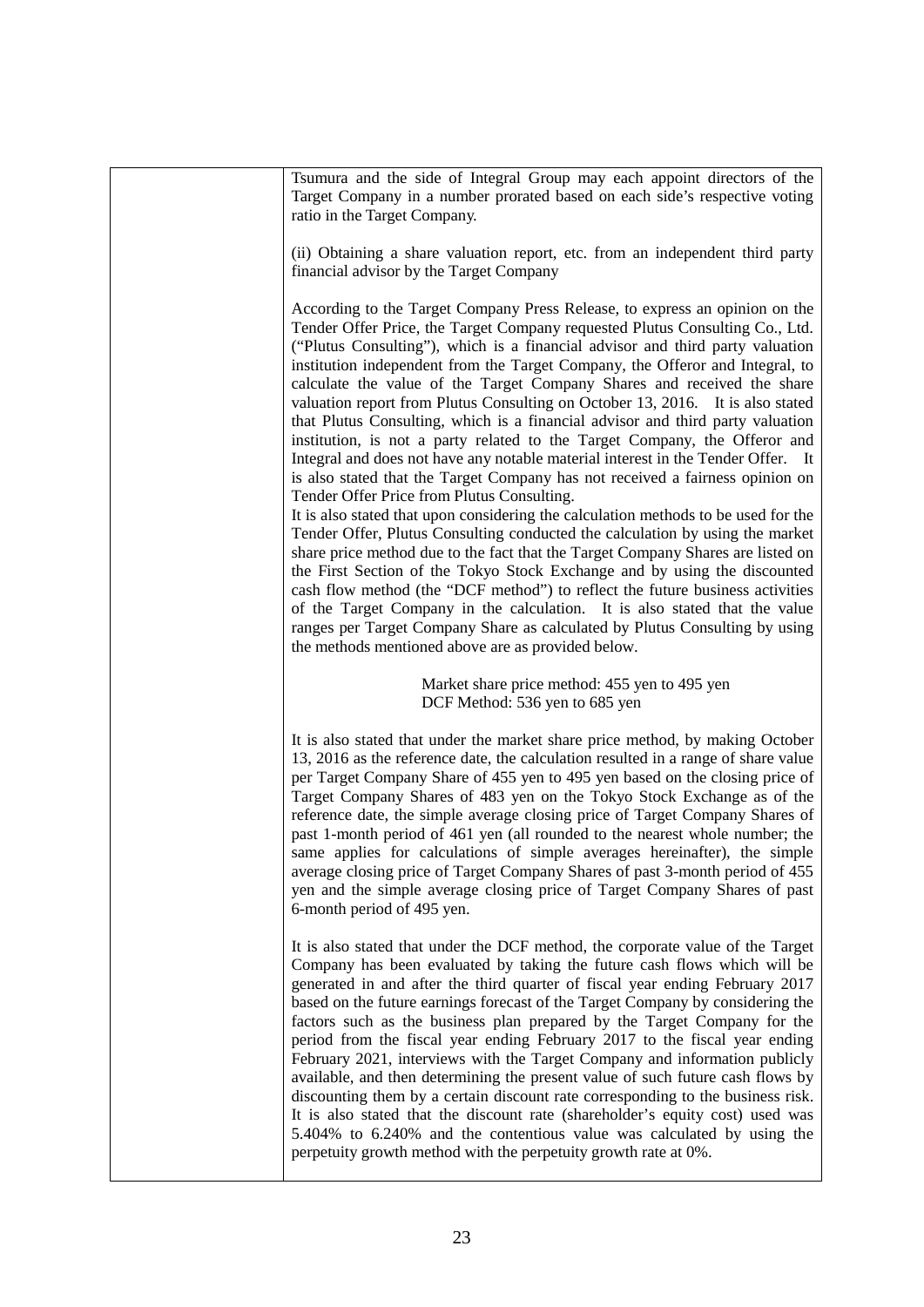| Tsumura and the side of Integral Group may each appoint directors of the<br>Target Company in a number prorated based on each side's respective voting<br>ratio in the Target Company.                                                                                                                                                                                                                                                                                                                                                                                                                                                                                                                                                                                                                                                                                                                                                                                  |
|-------------------------------------------------------------------------------------------------------------------------------------------------------------------------------------------------------------------------------------------------------------------------------------------------------------------------------------------------------------------------------------------------------------------------------------------------------------------------------------------------------------------------------------------------------------------------------------------------------------------------------------------------------------------------------------------------------------------------------------------------------------------------------------------------------------------------------------------------------------------------------------------------------------------------------------------------------------------------|
| (ii) Obtaining a share valuation report, etc. from an independent third party<br>financial advisor by the Target Company                                                                                                                                                                                                                                                                                                                                                                                                                                                                                                                                                                                                                                                                                                                                                                                                                                                |
| According to the Target Company Press Release, to express an opinion on the<br>Tender Offer Price, the Target Company requested Plutus Consulting Co., Ltd.<br>("Plutus Consulting"), which is a financial advisor and third party valuation<br>institution independent from the Target Company, the Offeror and Integral, to<br>calculate the value of the Target Company Shares and received the share<br>valuation report from Plutus Consulting on October 13, 2016. It is also stated<br>that Plutus Consulting, which is a financial advisor and third party valuation<br>institution, is not a party related to the Target Company, the Offeror and<br>Integral and does not have any notable material interest in the Tender Offer. It<br>is also stated that the Target Company has not received a fairness opinion on<br>Tender Offer Price from Plutus Consulting.                                                                                           |
| It is also stated that upon considering the calculation methods to be used for the<br>Tender Offer, Plutus Consulting conducted the calculation by using the market<br>share price method due to the fact that the Target Company Shares are listed on<br>the First Section of the Tokyo Stock Exchange and by using the discounted<br>cash flow method (the "DCF method") to reflect the future business activities<br>of the Target Company in the calculation. It is also stated that the value<br>ranges per Target Company Share as calculated by Plutus Consulting by using<br>the methods mentioned above are as provided below.                                                                                                                                                                                                                                                                                                                                 |
| Market share price method: 455 yen to 495 yen<br>DCF Method: 536 yen to 685 yen                                                                                                                                                                                                                                                                                                                                                                                                                                                                                                                                                                                                                                                                                                                                                                                                                                                                                         |
| It is also stated that under the market share price method, by making October<br>13, 2016 as the reference date, the calculation resulted in a range of share value<br>per Target Company Share of 455 yen to 495 yen based on the closing price of<br>Target Company Shares of 483 yen on the Tokyo Stock Exchange as of the<br>reference date, the simple average closing price of Target Company Shares of<br>past 1-month period of 461 yen (all rounded to the nearest whole number; the<br>same applies for calculations of simple averages hereinafter), the simple<br>average closing price of Target Company Shares of past 3-month period of 455<br>yen and the simple average closing price of Target Company Shares of past<br>6-month period of 495 yen.                                                                                                                                                                                                   |
| It is also stated that under the DCF method, the corporate value of the Target<br>Company has been evaluated by taking the future cash flows which will be<br>generated in and after the third quarter of fiscal year ending February 2017<br>based on the future earnings forecast of the Target Company by considering the<br>factors such as the business plan prepared by the Target Company for the<br>period from the fiscal year ending February 2017 to the fiscal year ending<br>February 2021, interviews with the Target Company and information publicly<br>available, and then determining the present value of such future cash flows by<br>discounting them by a certain discount rate corresponding to the business risk.<br>It is also stated that the discount rate (shareholder's equity cost) used was<br>5.404% to 6.240% and the contentious value was calculated by using the<br>perpetuity growth method with the perpetuity growth rate at 0%. |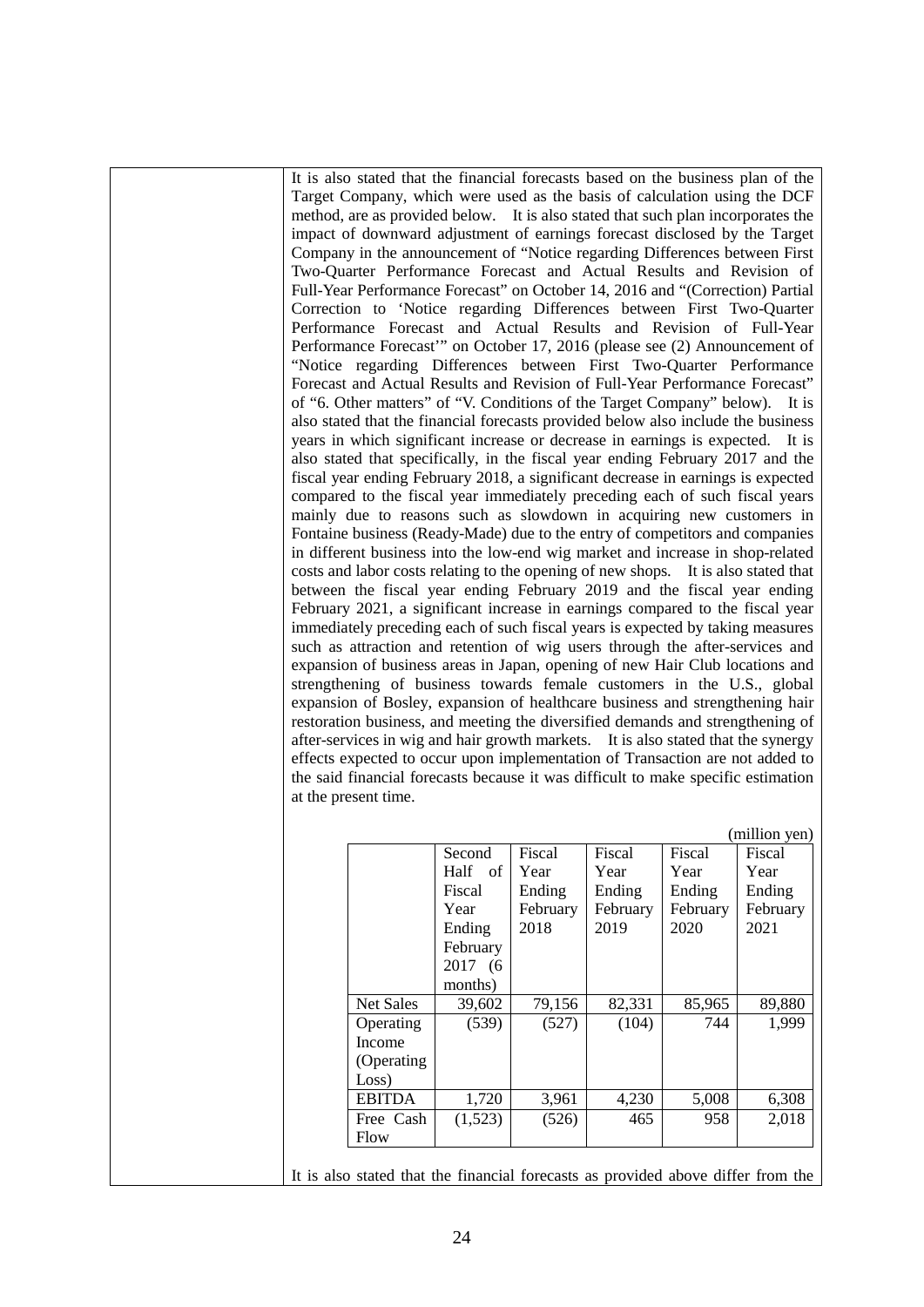It is also stated that the financial forecasts based on the business plan of the Target Company, which were used as the basis of calculation using the DCF method, are as provided below. It is also stated that such plan incorporates the impact of downward adjustment of earnings forecast disclosed by the Target Company in the announcement of "Notice regarding Differences between First Two-Quarter Performance Forecast and Actual Results and Revision of Full-Year Performance Forecast" on October 14, 2016 and "(Correction) Partial Correction to 'Notice regarding Differences between First Two-Quarter Performance Forecast and Actual Results and Revision of Full-Year Performance Forecast'" on October 17, 2016 (please see (2) Announcement of "Notice regarding Differences between First Two-Quarter Performance Forecast and Actual Results and Revision of Full-Year Performance Forecast" of "6. Other matters" of "V. Conditions of the Target Company" below). It is also stated that the financial forecasts provided below also include the business years in which significant increase or decrease in earnings is expected. It is also stated that specifically, in the fiscal year ending February 2017 and the fiscal year ending February 2018, a significant decrease in earnings is expected compared to the fiscal year immediately preceding each of such fiscal years mainly due to reasons such as slowdown in acquiring new customers in Fontaine business (Ready-Made) due to the entry of competitors and companies in different business into the low-end wig market and increase in shop-related costs and labor costs relating to the opening of new shops. It is also stated that between the fiscal year ending February 2019 and the fiscal year ending February 2021, a significant increase in earnings compared to the fiscal year immediately preceding each of such fiscal years is expected by taking measures such as attraction and retention of wig users through the after-services and expansion of business areas in Japan, opening of new Hair Club locations and strengthening of business towards female customers in the U.S., global expansion of Bosley, expansion of healthcare business and strengthening hair restoration business, and meeting the diversified demands and strengthening of after-services in wig and hair growth markets. It is also stated that the synergy effects expected to occur upon implementation of Transaction are not added to the said financial forecasts because it was difficult to make specific estimation at the present time.

|                  | Second   | Fiscal   | Fiscal   | Fiscal   | Fiscal   |
|------------------|----------|----------|----------|----------|----------|
|                  | Half of  | Year     | Year     | Year     | Year     |
|                  | Fiscal   | Ending   | Ending   | Ending   | Ending   |
|                  | Year     | February | February | February | February |
|                  | Ending   | 2018     | 2019     | 2020     | 2021     |
|                  | February |          |          |          |          |
|                  | 2017 (6) |          |          |          |          |
|                  | months)  |          |          |          |          |
| <b>Net Sales</b> | 39,602   | 79,156   | 82,331   | 85,965   | 89,880   |
| Operating        | (539)    | (527)    | (104)    | 744      | 1,999    |
| Income           |          |          |          |          |          |
| (Operating)      |          |          |          |          |          |
| Loss)            |          |          |          |          |          |
| <b>EBITDA</b>    | 1,720    | 3,961    | 4,230    | 5,008    | 6,308    |
| Free Cash        | (1,523)  | (526)    | 465      | 958      | 2,018    |
| Flow             |          |          |          |          |          |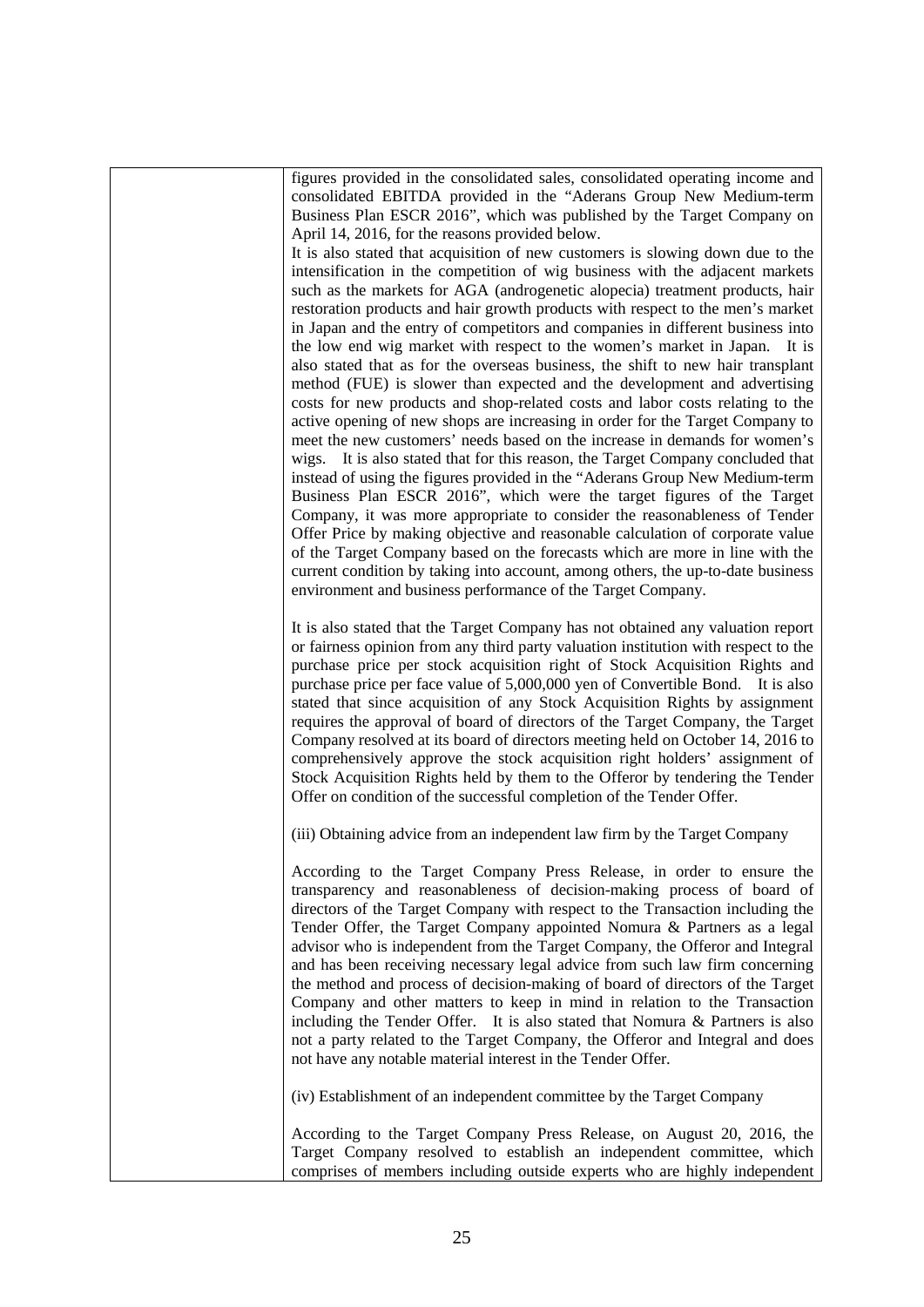figures provided in the consolidated sales, consolidated operating income and consolidated EBITDA provided in the "Aderans Group New Medium-term Business Plan ESCR 2016", which was published by the Target Company on April 14, 2016, for the reasons provided below.

It is also stated that acquisition of new customers is slowing down due to the intensification in the competition of wig business with the adjacent markets such as the markets for AGA (androgenetic alopecia) treatment products, hair restoration products and hair growth products with respect to the men's market in Japan and the entry of competitors and companies in different business into the low end wig market with respect to the women's market in Japan. It is also stated that as for the overseas business, the shift to new hair transplant method (FUE) is slower than expected and the development and advertising costs for new products and shop-related costs and labor costs relating to the active opening of new shops are increasing in order for the Target Company to meet the new customers' needs based on the increase in demands for women's wigs. It is also stated that for this reason, the Target Company concluded that instead of using the figures provided in the "Aderans Group New Medium-term Business Plan ESCR 2016", which were the target figures of the Target Company, it was more appropriate to consider the reasonableness of Tender Offer Price by making objective and reasonable calculation of corporate value of the Target Company based on the forecasts which are more in line with the current condition by taking into account, among others, the up-to-date business environment and business performance of the Target Company.

It is also stated that the Target Company has not obtained any valuation report or fairness opinion from any third party valuation institution with respect to the purchase price per stock acquisition right of Stock Acquisition Rights and purchase price per face value of 5,000,000 yen of Convertible Bond. It is also stated that since acquisition of any Stock Acquisition Rights by assignment requires the approval of board of directors of the Target Company, the Target Company resolved at its board of directors meeting held on October 14, 2016 to comprehensively approve the stock acquisition right holders' assignment of Stock Acquisition Rights held by them to the Offeror by tendering the Tender Offer on condition of the successful completion of the Tender Offer.

(iii) Obtaining advice from an independent law firm by the Target Company

According to the Target Company Press Release, in order to ensure the transparency and reasonableness of decision-making process of board of directors of the Target Company with respect to the Transaction including the Tender Offer, the Target Company appointed Nomura & Partners as a legal advisor who is independent from the Target Company, the Offeror and Integral and has been receiving necessary legal advice from such law firm concerning the method and process of decision-making of board of directors of the Target Company and other matters to keep in mind in relation to the Transaction including the Tender Offer. It is also stated that Nomura & Partners is also not a party related to the Target Company, the Offeror and Integral and does not have any notable material interest in the Tender Offer.

(iv) Establishment of an independent committee by the Target Company

According to the Target Company Press Release, on August 20, 2016, the Target Company resolved to establish an independent committee, which comprises of members including outside experts who are highly independent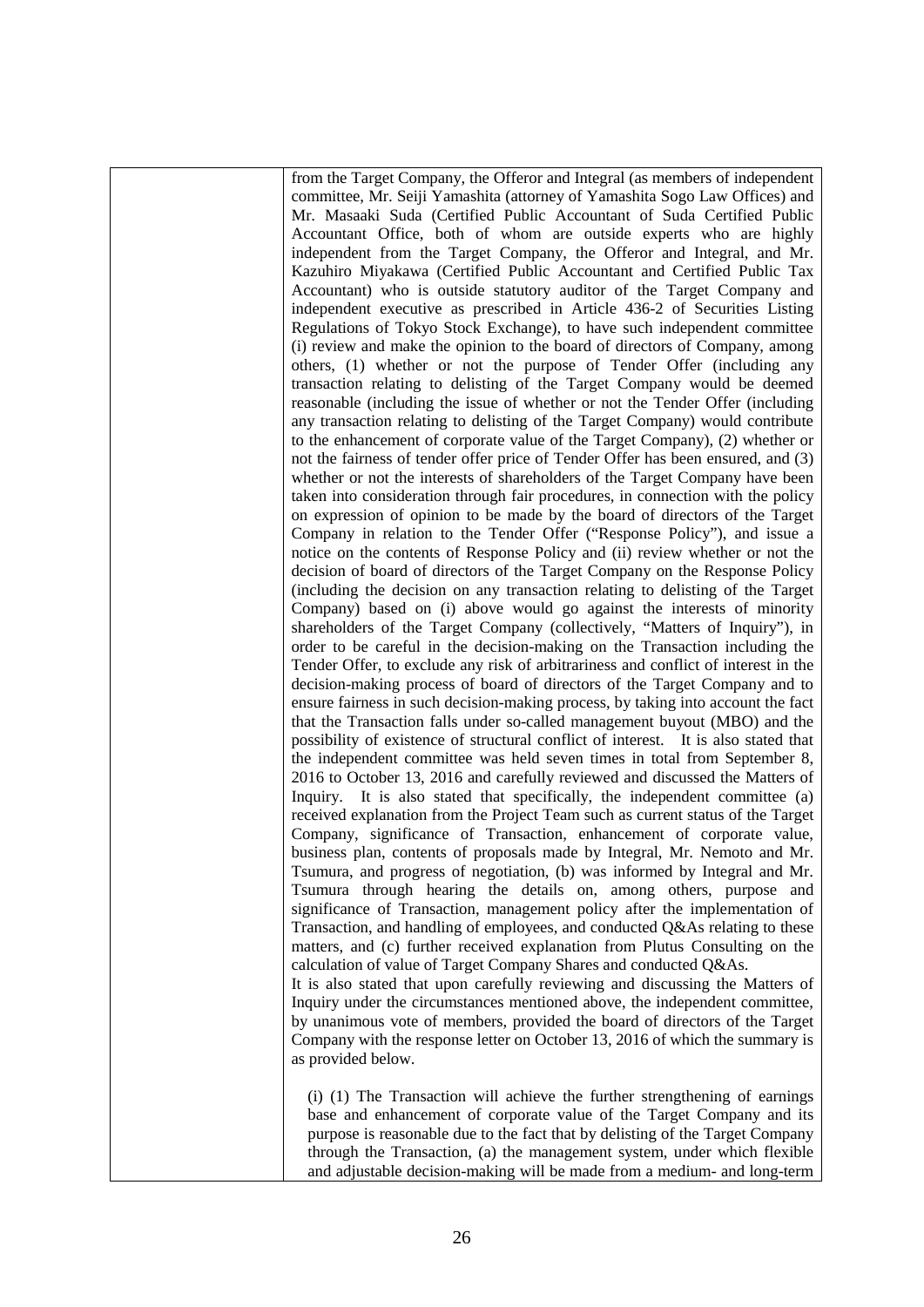from the Target Company, the Offeror and Integral (as members of independent committee, Mr. Seiji Yamashita (attorney of Yamashita Sogo Law Offices) and Mr. Masaaki Suda (Certified Public Accountant of Suda Certified Public Accountant Office, both of whom are outside experts who are highly independent from the Target Company, the Offeror and Integral, and Mr. Kazuhiro Miyakawa (Certified Public Accountant and Certified Public Tax Accountant) who is outside statutory auditor of the Target Company and independent executive as prescribed in Article 436-2 of Securities Listing Regulations of Tokyo Stock Exchange), to have such independent committee (i) review and make the opinion to the board of directors of Company, among others, (1) whether or not the purpose of Tender Offer (including any transaction relating to delisting of the Target Company would be deemed reasonable (including the issue of whether or not the Tender Offer (including any transaction relating to delisting of the Target Company) would contribute to the enhancement of corporate value of the Target Company), (2) whether or not the fairness of tender offer price of Tender Offer has been ensured, and (3) whether or not the interests of shareholders of the Target Company have been taken into consideration through fair procedures, in connection with the policy on expression of opinion to be made by the board of directors of the Target Company in relation to the Tender Offer ("Response Policy"), and issue a notice on the contents of Response Policy and (ii) review whether or not the decision of board of directors of the Target Company on the Response Policy (including the decision on any transaction relating to delisting of the Target Company) based on (i) above would go against the interests of minority shareholders of the Target Company (collectively, "Matters of Inquiry"), in order to be careful in the decision-making on the Transaction including the Tender Offer, to exclude any risk of arbitrariness and conflict of interest in the decision-making process of board of directors of the Target Company and to ensure fairness in such decision-making process, by taking into account the fact that the Transaction falls under so-called management buyout (MBO) and the possibility of existence of structural conflict of interest. It is also stated that the independent committee was held seven times in total from September 8, 2016 to October 13, 2016 and carefully reviewed and discussed the Matters of Inquiry. It is also stated that specifically, the independent committee (a) received explanation from the Project Team such as current status of the Target Company, significance of Transaction, enhancement of corporate value, business plan, contents of proposals made by Integral, Mr. Nemoto and Mr. Tsumura, and progress of negotiation, (b) was informed by Integral and Mr. Tsumura through hearing the details on, among others, purpose and significance of Transaction, management policy after the implementation of Transaction, and handling of employees, and conducted Q&As relating to these matters, and (c) further received explanation from Plutus Consulting on the calculation of value of Target Company Shares and conducted Q&As. It is also stated that upon carefully reviewing and discussing the Matters of Inquiry under the circumstances mentioned above, the independent committee, by unanimous vote of members, provided the board of directors of the Target Company with the response letter on October 13, 2016 of which the summary is

(i) (1) The Transaction will achieve the further strengthening of earnings base and enhancement of corporate value of the Target Company and its purpose is reasonable due to the fact that by delisting of the Target Company through the Transaction, (a) the management system, under which flexible and adjustable decision-making will be made from a medium- and long-term

as provided below.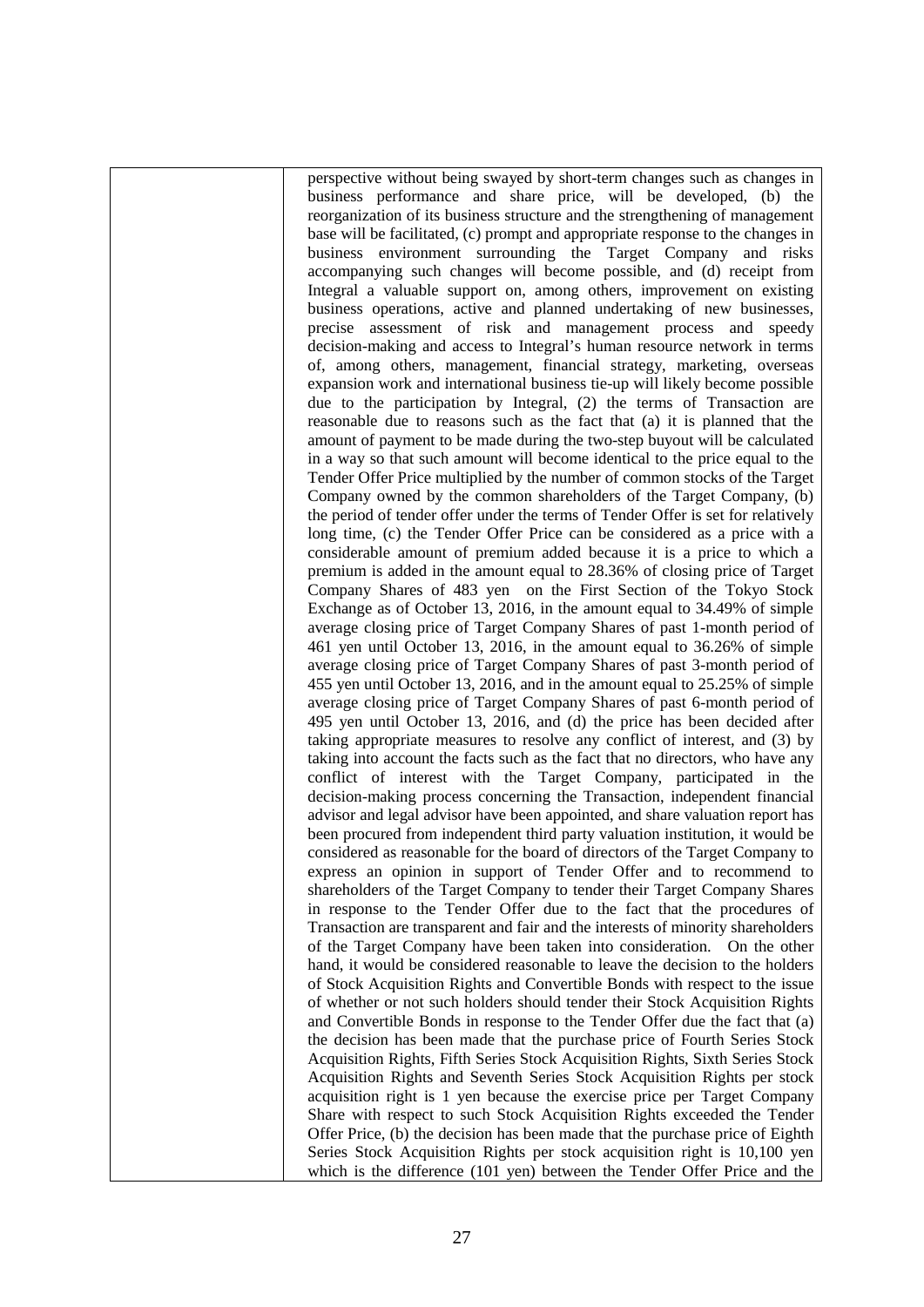perspective without being swayed by short-term changes such as changes in business performance and share price, will be developed, (b) the reorganization of its business structure and the strengthening of management base will be facilitated, (c) prompt and appropriate response to the changes in business environment surrounding the Target Company and risks accompanying such changes will become possible, and (d) receipt from Integral a valuable support on, among others, improvement on existing business operations, active and planned undertaking of new businesses, precise assessment of risk and management process and speedy decision-making and access to Integral's human resource network in terms of, among others, management, financial strategy, marketing, overseas expansion work and international business tie-up will likely become possible due to the participation by Integral, (2) the terms of Transaction are reasonable due to reasons such as the fact that (a) it is planned that the amount of payment to be made during the two-step buyout will be calculated in a way so that such amount will become identical to the price equal to the Tender Offer Price multiplied by the number of common stocks of the Target Company owned by the common shareholders of the Target Company, (b) the period of tender offer under the terms of Tender Offer is set for relatively long time, (c) the Tender Offer Price can be considered as a price with a considerable amount of premium added because it is a price to which a premium is added in the amount equal to 28.36% of closing price of Target Company Shares of 483 yen on the First Section of the Tokyo Stock Exchange as of October 13, 2016, in the amount equal to 34.49% of simple average closing price of Target Company Shares of past 1-month period of 461 yen until October 13, 2016, in the amount equal to 36.26% of simple average closing price of Target Company Shares of past 3-month period of 455 yen until October 13, 2016, and in the amount equal to 25.25% of simple average closing price of Target Company Shares of past 6-month period of 495 yen until October 13, 2016, and (d) the price has been decided after taking appropriate measures to resolve any conflict of interest, and (3) by taking into account the facts such as the fact that no directors, who have any conflict of interest with the Target Company, participated in the decision-making process concerning the Transaction, independent financial advisor and legal advisor have been appointed, and share valuation report has been procured from independent third party valuation institution, it would be considered as reasonable for the board of directors of the Target Company to express an opinion in support of Tender Offer and to recommend to shareholders of the Target Company to tender their Target Company Shares in response to the Tender Offer due to the fact that the procedures of Transaction are transparent and fair and the interests of minority shareholders of the Target Company have been taken into consideration. On the other hand, it would be considered reasonable to leave the decision to the holders of Stock Acquisition Rights and Convertible Bonds with respect to the issue of whether or not such holders should tender their Stock Acquisition Rights and Convertible Bonds in response to the Tender Offer due the fact that (a) the decision has been made that the purchase price of Fourth Series Stock Acquisition Rights, Fifth Series Stock Acquisition Rights, Sixth Series Stock Acquisition Rights and Seventh Series Stock Acquisition Rights per stock acquisition right is 1 yen because the exercise price per Target Company Share with respect to such Stock Acquisition Rights exceeded the Tender Offer Price, (b) the decision has been made that the purchase price of Eighth Series Stock Acquisition Rights per stock acquisition right is 10,100 yen which is the difference (101 yen) between the Tender Offer Price and the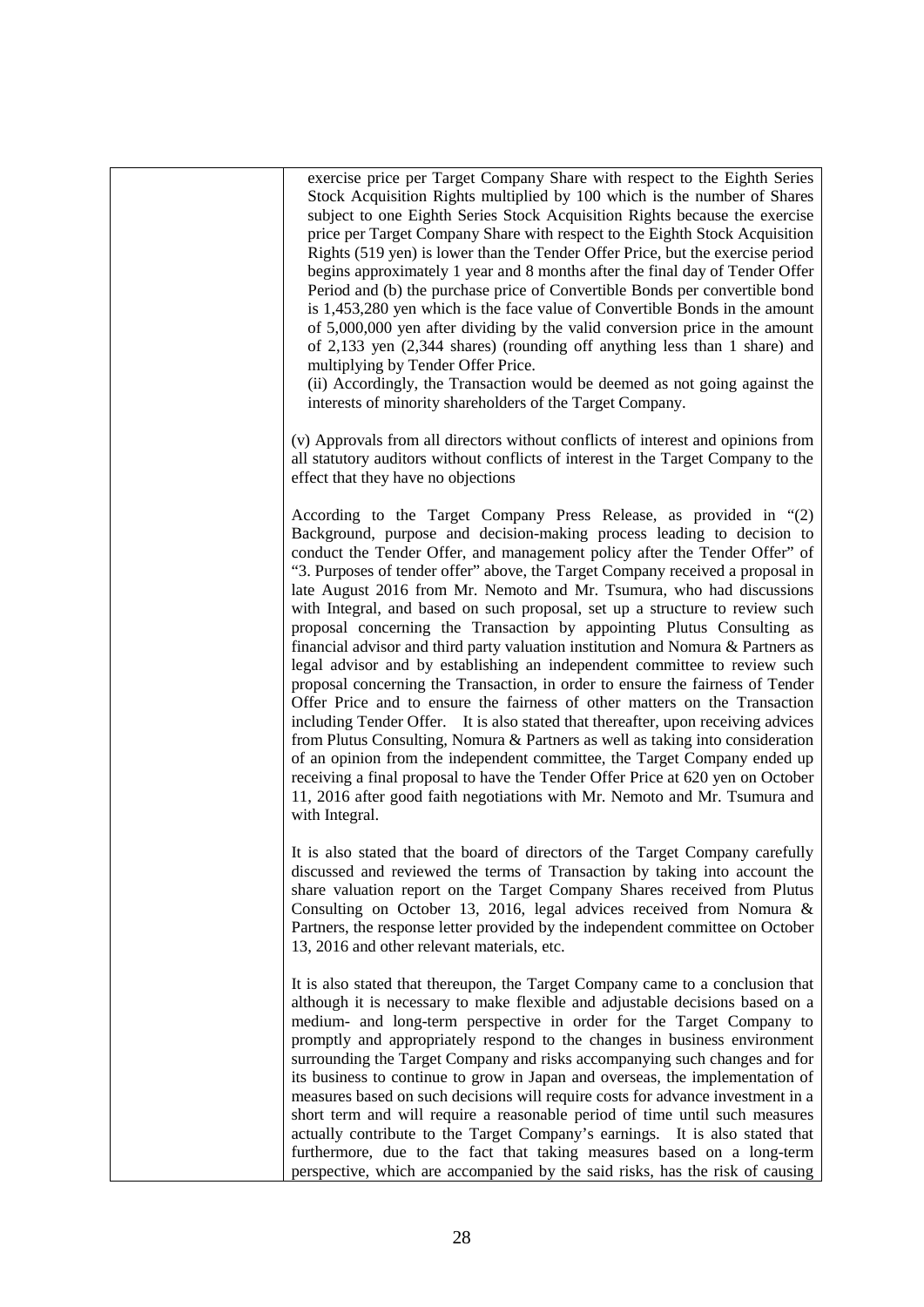exercise price per Target Company Share with respect to the Eighth Series Stock Acquisition Rights multiplied by 100 which is the number of Shares subject to one Eighth Series Stock Acquisition Rights because the exercise price per Target Company Share with respect to the Eighth Stock Acquisition Rights (519 yen) is lower than the Tender Offer Price, but the exercise period begins approximately 1 year and 8 months after the final day of Tender Offer Period and (b) the purchase price of Convertible Bonds per convertible bond is 1,453,280 yen which is the face value of Convertible Bonds in the amount of 5,000,000 yen after dividing by the valid conversion price in the amount of 2,133 yen (2,344 shares) (rounding off anything less than 1 share) and multiplying by Tender Offer Price.

(ii) Accordingly, the Transaction would be deemed as not going against the interests of minority shareholders of the Target Company.

(v) Approvals from all directors without conflicts of interest and opinions from all statutory auditors without conflicts of interest in the Target Company to the effect that they have no objections

According to the Target Company Press Release, as provided in "(2) Background, purpose and decision-making process leading to decision to conduct the Tender Offer, and management policy after the Tender Offer" of "3. Purposes of tender offer" above, the Target Company received a proposal in late August 2016 from Mr. Nemoto and Mr. Tsumura, who had discussions with Integral, and based on such proposal, set up a structure to review such proposal concerning the Transaction by appointing Plutus Consulting as financial advisor and third party valuation institution and Nomura & Partners as legal advisor and by establishing an independent committee to review such proposal concerning the Transaction, in order to ensure the fairness of Tender Offer Price and to ensure the fairness of other matters on the Transaction including Tender Offer. It is also stated that thereafter, upon receiving advices from Plutus Consulting, Nomura & Partners as well as taking into consideration of an opinion from the independent committee, the Target Company ended up receiving a final proposal to have the Tender Offer Price at 620 yen on October 11, 2016 after good faith negotiations with Mr. Nemoto and Mr. Tsumura and with Integral.

It is also stated that the board of directors of the Target Company carefully discussed and reviewed the terms of Transaction by taking into account the share valuation report on the Target Company Shares received from Plutus Consulting on October 13, 2016, legal advices received from Nomura & Partners, the response letter provided by the independent committee on October 13, 2016 and other relevant materials, etc.

It is also stated that thereupon, the Target Company came to a conclusion that although it is necessary to make flexible and adjustable decisions based on a medium- and long-term perspective in order for the Target Company to promptly and appropriately respond to the changes in business environment surrounding the Target Company and risks accompanying such changes and for its business to continue to grow in Japan and overseas, the implementation of measures based on such decisions will require costs for advance investment in a short term and will require a reasonable period of time until such measures actually contribute to the Target Company's earnings. It is also stated that furthermore, due to the fact that taking measures based on a long-term perspective, which are accompanied by the said risks, has the risk of causing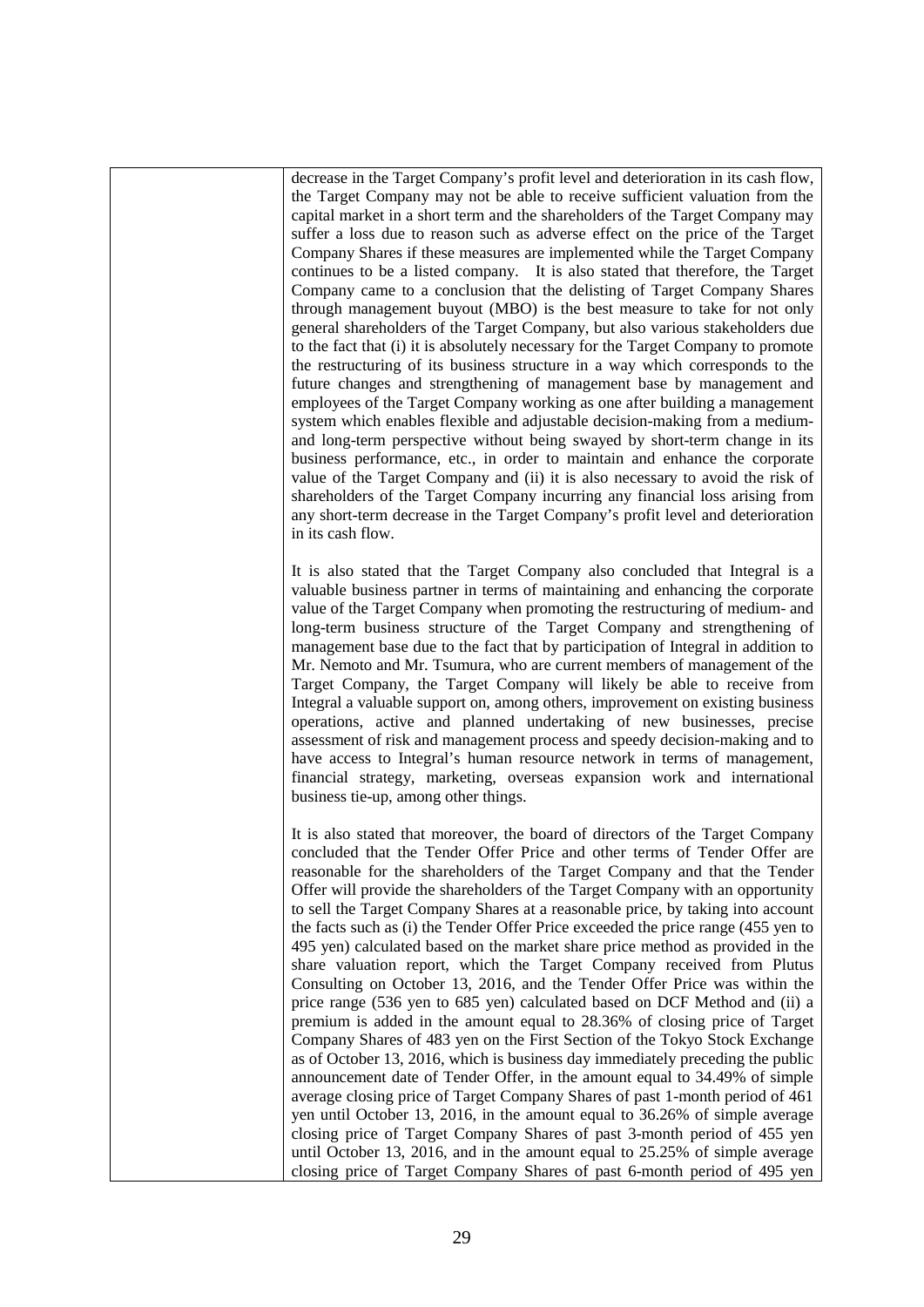decrease in the Target Company's profit level and deterioration in its cash flow, the Target Company may not be able to receive sufficient valuation from the capital market in a short term and the shareholders of the Target Company may suffer a loss due to reason such as adverse effect on the price of the Target Company Shares if these measures are implemented while the Target Company continues to be a listed company. It is also stated that therefore, the Target Company came to a conclusion that the delisting of Target Company Shares through management buyout (MBO) is the best measure to take for not only general shareholders of the Target Company, but also various stakeholders due to the fact that (i) it is absolutely necessary for the Target Company to promote the restructuring of its business structure in a way which corresponds to the future changes and strengthening of management base by management and employees of the Target Company working as one after building a management system which enables flexible and adjustable decision-making from a mediumand long-term perspective without being swayed by short-term change in its business performance, etc., in order to maintain and enhance the corporate value of the Target Company and (ii) it is also necessary to avoid the risk of shareholders of the Target Company incurring any financial loss arising from any short-term decrease in the Target Company's profit level and deterioration in its cash flow.

It is also stated that the Target Company also concluded that Integral is a valuable business partner in terms of maintaining and enhancing the corporate value of the Target Company when promoting the restructuring of medium- and long-term business structure of the Target Company and strengthening of management base due to the fact that by participation of Integral in addition to Mr. Nemoto and Mr. Tsumura, who are current members of management of the Target Company, the Target Company will likely be able to receive from Integral a valuable support on, among others, improvement on existing business operations, active and planned undertaking of new businesses, precise assessment of risk and management process and speedy decision-making and to have access to Integral's human resource network in terms of management, financial strategy, marketing, overseas expansion work and international business tie-up, among other things.

It is also stated that moreover, the board of directors of the Target Company concluded that the Tender Offer Price and other terms of Tender Offer are reasonable for the shareholders of the Target Company and that the Tender Offer will provide the shareholders of the Target Company with an opportunity to sell the Target Company Shares at a reasonable price, by taking into account the facts such as (i) the Tender Offer Price exceeded the price range (455 yen to 495 yen) calculated based on the market share price method as provided in the share valuation report, which the Target Company received from Plutus Consulting on October 13, 2016, and the Tender Offer Price was within the price range (536 yen to 685 yen) calculated based on DCF Method and (ii) a premium is added in the amount equal to 28.36% of closing price of Target Company Shares of 483 yen on the First Section of the Tokyo Stock Exchange as of October 13, 2016, which is business day immediately preceding the public announcement date of Tender Offer, in the amount equal to 34.49% of simple average closing price of Target Company Shares of past 1-month period of 461 yen until October 13, 2016, in the amount equal to 36.26% of simple average closing price of Target Company Shares of past 3-month period of 455 yen until October 13, 2016, and in the amount equal to 25.25% of simple average closing price of Target Company Shares of past 6-month period of 495 yen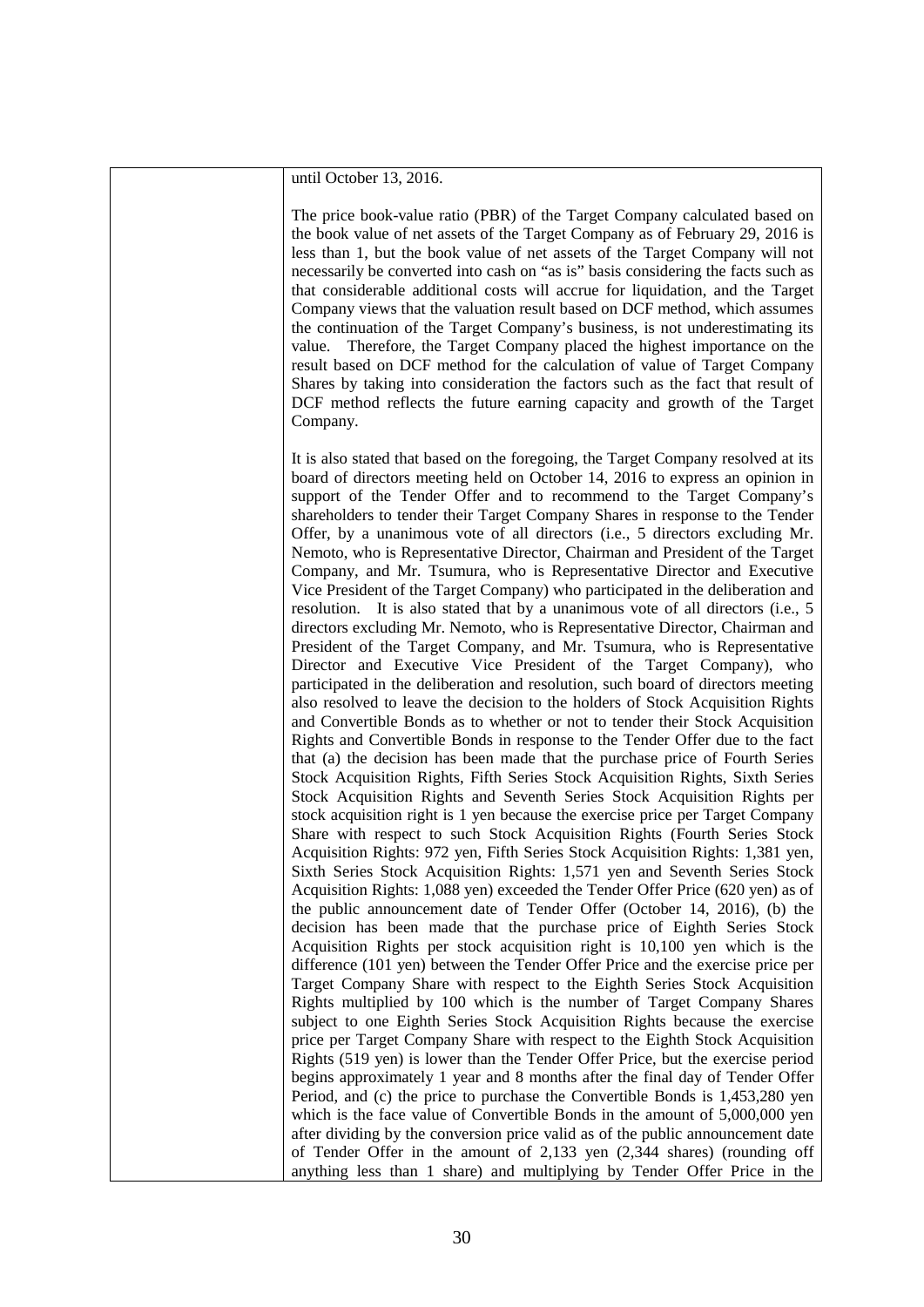until October 13, 2016.

The price book-value ratio (PBR) of the Target Company calculated based on the book value of net assets of the Target Company as of February 29, 2016 is less than 1, but the book value of net assets of the Target Company will not necessarily be converted into cash on "as is" basis considering the facts such as that considerable additional costs will accrue for liquidation, and the Target Company views that the valuation result based on DCF method, which assumes the continuation of the Target Company's business, is not underestimating its value. Therefore, the Target Company placed the highest importance on the result based on DCF method for the calculation of value of Target Company Shares by taking into consideration the factors such as the fact that result of DCF method reflects the future earning capacity and growth of the Target Company.

It is also stated that based on the foregoing, the Target Company resolved at its board of directors meeting held on October 14, 2016 to express an opinion in support of the Tender Offer and to recommend to the Target Company's shareholders to tender their Target Company Shares in response to the Tender Offer, by a unanimous vote of all directors (i.e., 5 directors excluding Mr. Nemoto, who is Representative Director, Chairman and President of the Target Company, and Mr. Tsumura, who is Representative Director and Executive Vice President of the Target Company) who participated in the deliberation and resolution. It is also stated that by a unanimous vote of all directors (i.e., 5 directors excluding Mr. Nemoto, who is Representative Director, Chairman and President of the Target Company, and Mr. Tsumura, who is Representative Director and Executive Vice President of the Target Company), who participated in the deliberation and resolution, such board of directors meeting also resolved to leave the decision to the holders of Stock Acquisition Rights and Convertible Bonds as to whether or not to tender their Stock Acquisition Rights and Convertible Bonds in response to the Tender Offer due to the fact that (a) the decision has been made that the purchase price of Fourth Series Stock Acquisition Rights, Fifth Series Stock Acquisition Rights, Sixth Series Stock Acquisition Rights and Seventh Series Stock Acquisition Rights per stock acquisition right is 1 yen because the exercise price per Target Company Share with respect to such Stock Acquisition Rights (Fourth Series Stock Acquisition Rights: 972 yen, Fifth Series Stock Acquisition Rights: 1,381 yen, Sixth Series Stock Acquisition Rights: 1,571 yen and Seventh Series Stock Acquisition Rights: 1,088 yen) exceeded the Tender Offer Price (620 yen) as of the public announcement date of Tender Offer (October 14, 2016), (b) the decision has been made that the purchase price of Eighth Series Stock Acquisition Rights per stock acquisition right is 10,100 yen which is the difference (101 yen) between the Tender Offer Price and the exercise price per Target Company Share with respect to the Eighth Series Stock Acquisition Rights multiplied by 100 which is the number of Target Company Shares subject to one Eighth Series Stock Acquisition Rights because the exercise price per Target Company Share with respect to the Eighth Stock Acquisition Rights (519 yen) is lower than the Tender Offer Price, but the exercise period begins approximately 1 year and 8 months after the final day of Tender Offer Period, and (c) the price to purchase the Convertible Bonds is 1,453,280 yen which is the face value of Convertible Bonds in the amount of 5,000,000 yen after dividing by the conversion price valid as of the public announcement date of Tender Offer in the amount of 2,133 yen (2,344 shares) (rounding off anything less than 1 share) and multiplying by Tender Offer Price in the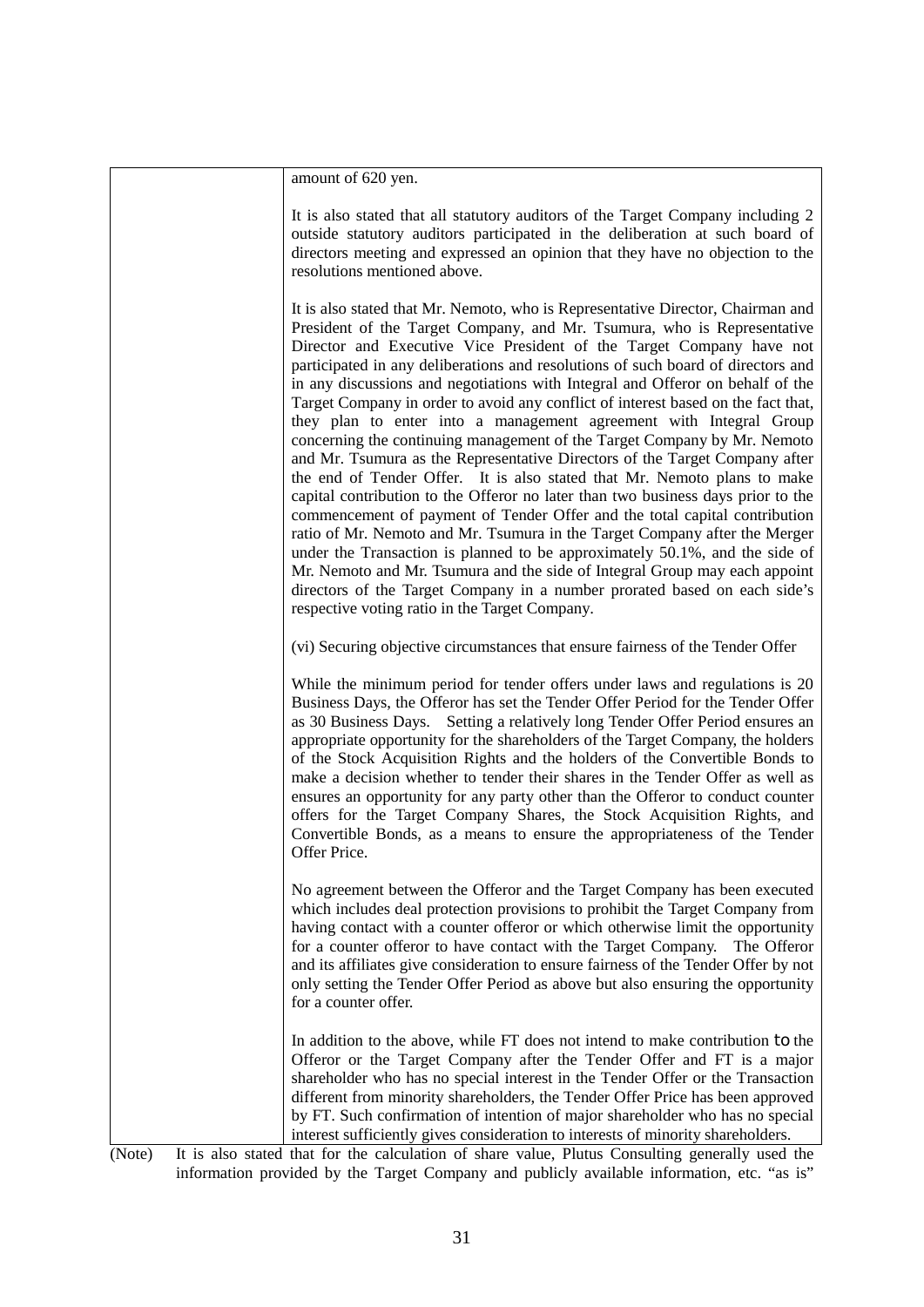| amount of 620 yen.                                                                                                                                                                                                                                                                                                                                                                                                                                                                                                                                                                                                                                                                                                                                                                                                                                                                                                                                                                                                                                                                                                                                                                                                                                                                                                                                     |
|--------------------------------------------------------------------------------------------------------------------------------------------------------------------------------------------------------------------------------------------------------------------------------------------------------------------------------------------------------------------------------------------------------------------------------------------------------------------------------------------------------------------------------------------------------------------------------------------------------------------------------------------------------------------------------------------------------------------------------------------------------------------------------------------------------------------------------------------------------------------------------------------------------------------------------------------------------------------------------------------------------------------------------------------------------------------------------------------------------------------------------------------------------------------------------------------------------------------------------------------------------------------------------------------------------------------------------------------------------|
| It is also stated that all statutory auditors of the Target Company including 2<br>outside statutory auditors participated in the deliberation at such board of<br>directors meeting and expressed an opinion that they have no objection to the<br>resolutions mentioned above.                                                                                                                                                                                                                                                                                                                                                                                                                                                                                                                                                                                                                                                                                                                                                                                                                                                                                                                                                                                                                                                                       |
| It is also stated that Mr. Nemoto, who is Representative Director, Chairman and<br>President of the Target Company, and Mr. Tsumura, who is Representative<br>Director and Executive Vice President of the Target Company have not<br>participated in any deliberations and resolutions of such board of directors and<br>in any discussions and negotiations with Integral and Offeror on behalf of the<br>Target Company in order to avoid any conflict of interest based on the fact that,<br>they plan to enter into a management agreement with Integral Group<br>concerning the continuing management of the Target Company by Mr. Nemoto<br>and Mr. Tsumura as the Representative Directors of the Target Company after<br>the end of Tender Offer. It is also stated that Mr. Nemoto plans to make<br>capital contribution to the Offeror no later than two business days prior to the<br>commencement of payment of Tender Offer and the total capital contribution<br>ratio of Mr. Nemoto and Mr. Tsumura in the Target Company after the Merger<br>under the Transaction is planned to be approximately 50.1%, and the side of<br>Mr. Nemoto and Mr. Tsumura and the side of Integral Group may each appoint<br>directors of the Target Company in a number prorated based on each side's<br>respective voting ratio in the Target Company. |
| (vi) Securing objective circumstances that ensure fairness of the Tender Offer                                                                                                                                                                                                                                                                                                                                                                                                                                                                                                                                                                                                                                                                                                                                                                                                                                                                                                                                                                                                                                                                                                                                                                                                                                                                         |
| While the minimum period for tender offers under laws and regulations is 20<br>Business Days, the Offeror has set the Tender Offer Period for the Tender Offer<br>as 30 Business Days. Setting a relatively long Tender Offer Period ensures an<br>appropriate opportunity for the shareholders of the Target Company, the holders<br>of the Stock Acquisition Rights and the holders of the Convertible Bonds to<br>make a decision whether to tender their shares in the Tender Offer as well as<br>ensures an opportunity for any party other than the Offeror to conduct counter<br>offers for the Target Company Shares, the Stock Acquisition Rights, and<br>Convertible Bonds, as a means to ensure the appropriateness of the Tender<br>Offer Price.                                                                                                                                                                                                                                                                                                                                                                                                                                                                                                                                                                                           |
| No agreement between the Offeror and the Target Company has been executed<br>which includes deal protection provisions to prohibit the Target Company from<br>having contact with a counter offeror or which otherwise limit the opportunity<br>for a counter offeror to have contact with the Target Company.<br>The Offeror<br>and its affiliates give consideration to ensure fairness of the Tender Offer by not<br>only setting the Tender Offer Period as above but also ensuring the opportunity<br>for a counter offer.                                                                                                                                                                                                                                                                                                                                                                                                                                                                                                                                                                                                                                                                                                                                                                                                                        |
| In addition to the above, while FT does not intend to make contribution to the<br>Offeror or the Target Company after the Tender Offer and FT is a major<br>shareholder who has no special interest in the Tender Offer or the Transaction<br>different from minority shareholders, the Tender Offer Price has been approved<br>by FT. Such confirmation of intention of major shareholder who has no special<br>interest sufficiently gives consideration to interests of minority shareholders.                                                                                                                                                                                                                                                                                                                                                                                                                                                                                                                                                                                                                                                                                                                                                                                                                                                      |
| Note) It is also stated that for the calculation of share value. Plutus Consulting generally used the                                                                                                                                                                                                                                                                                                                                                                                                                                                                                                                                                                                                                                                                                                                                                                                                                                                                                                                                                                                                                                                                                                                                                                                                                                                  |

(Note) It is also stated that for the calculation of share value, Plutus Consulting generally used the information provided by the Target Company and publicly available information, etc. "as is"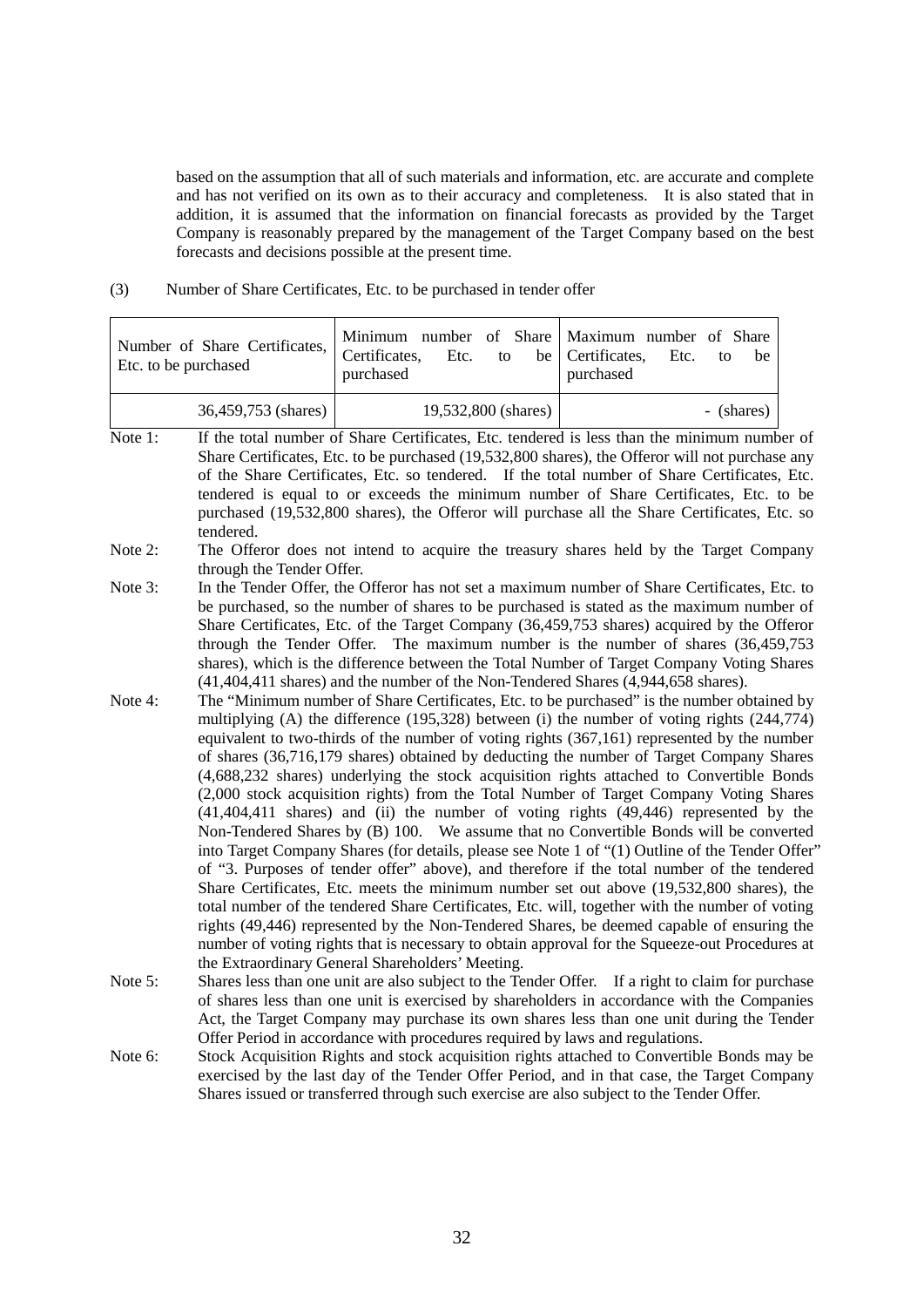based on the assumption that all of such materials and information, etc. are accurate and complete and has not verified on its own as to their accuracy and completeness. It is also stated that in addition, it is assumed that the information on financial forecasts as provided by the Target Company is reasonably prepared by the management of the Target Company based on the best forecasts and decisions possible at the present time.

(3) Number of Share Certificates, Etc. to be purchased in tender offer

| Number of Share Certificates, $\vert$ Certificates, | Minimum number of Share Maximum number of Share | Etc. to be Certificates, Etc. to be |
|-----------------------------------------------------|-------------------------------------------------|-------------------------------------|
| Etc. to be purchased                                | purchased                                       | purchased                           |
| 36,459,753 (shares)                                 | 19,532,800 (shares)                             | - (shares)                          |

- Note 1: If the total number of Share Certificates, Etc. tendered is less than the minimum number of Share Certificates, Etc. to be purchased (19,532,800 shares), the Offeror will not purchase any of the Share Certificates, Etc. so tendered. If the total number of Share Certificates, Etc. tendered is equal to or exceeds the minimum number of Share Certificates, Etc. to be purchased (19,532,800 shares), the Offeror will purchase all the Share Certificates, Etc. so tendered.
- Note 2: The Offeror does not intend to acquire the treasury shares held by the Target Company through the Tender Offer.
- Note 3: In the Tender Offer, the Offeror has not set a maximum number of Share Certificates, Etc. to be purchased, so the number of shares to be purchased is stated as the maximum number of Share Certificates, Etc. of the Target Company (36,459,753 shares) acquired by the Offeror through the Tender Offer. The maximum number is the number of shares (36,459,753 shares), which is the difference between the Total Number of Target Company Voting Shares (41,404,411 shares) and the number of the Non-Tendered Shares (4,944,658 shares).
- Note 4: The "Minimum number of Share Certificates, Etc. to be purchased" is the number obtained by multiplying (A) the difference (195,328) between (i) the number of voting rights (244,774) equivalent to two-thirds of the number of voting rights (367,161) represented by the number of shares (36,716,179 shares) obtained by deducting the number of Target Company Shares (4,688,232 shares) underlying the stock acquisition rights attached to Convertible Bonds (2,000 stock acquisition rights) from the Total Number of Target Company Voting Shares (41,404,411 shares) and (ii) the number of voting rights (49,446) represented by the Non-Tendered Shares by (B) 100. We assume that no Convertible Bonds will be converted into Target Company Shares (for details, please see Note 1 of "(1) Outline of the Tender Offer" of "3. Purposes of tender offer" above), and therefore if the total number of the tendered Share Certificates, Etc. meets the minimum number set out above (19,532,800 shares), the total number of the tendered Share Certificates, Etc. will, together with the number of voting rights (49,446) represented by the Non-Tendered Shares, be deemed capable of ensuring the number of voting rights that is necessary to obtain approval for the Squeeze-out Procedures at the Extraordinary General Shareholders' Meeting.
- Note 5: Shares less than one unit are also subject to the Tender Offer. If a right to claim for purchase of shares less than one unit is exercised by shareholders in accordance with the Companies Act, the Target Company may purchase its own shares less than one unit during the Tender Offer Period in accordance with procedures required by laws and regulations.
- Note 6: Stock Acquisition Rights and stock acquisition rights attached to Convertible Bonds may be exercised by the last day of the Tender Offer Period, and in that case, the Target Company Shares issued or transferred through such exercise are also subject to the Tender Offer.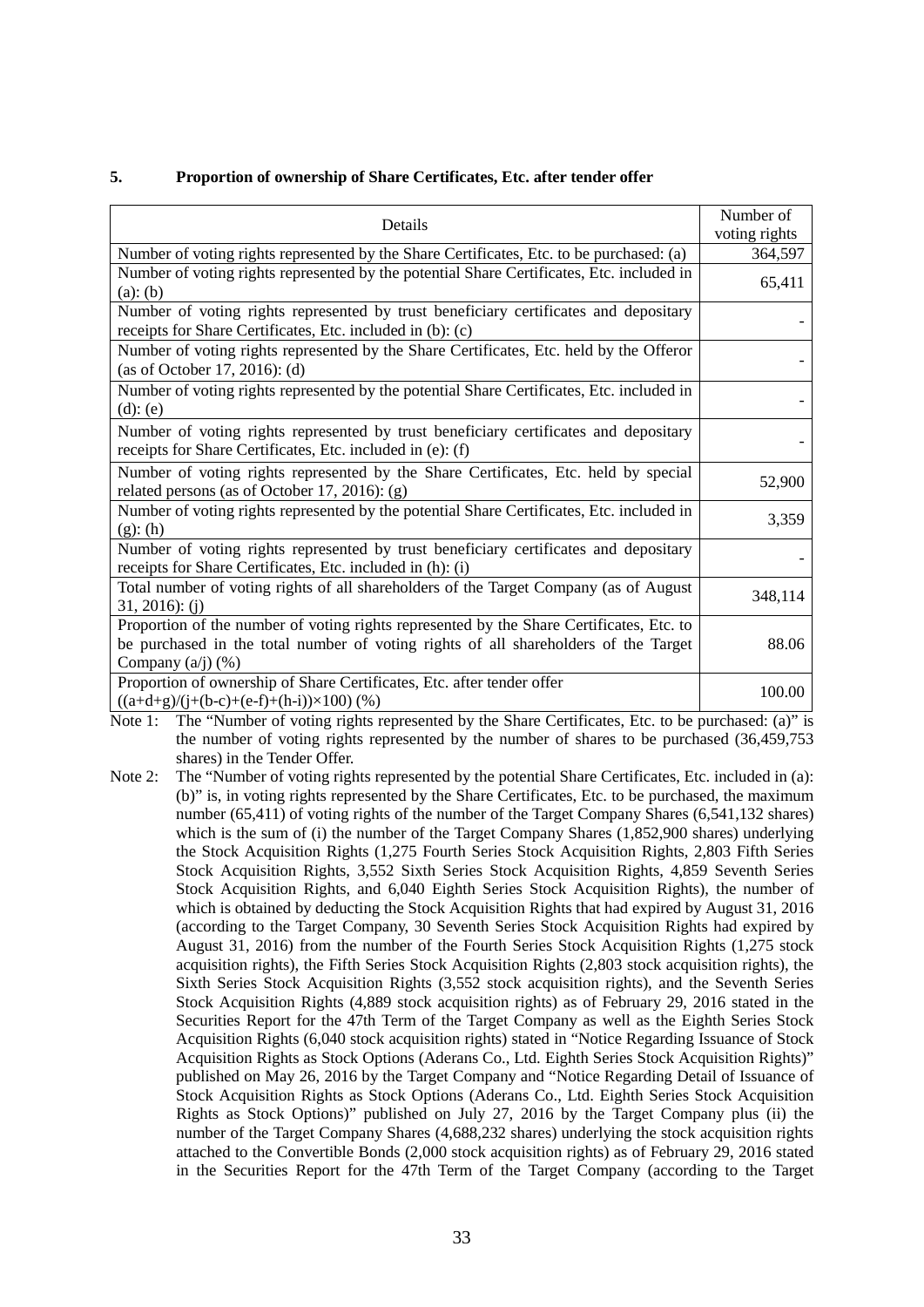# **5. Proportion of ownership of Share Certificates, Etc. after tender offer**

| Details                                                                                                                                                                                                   | Number of<br>voting rights |
|-----------------------------------------------------------------------------------------------------------------------------------------------------------------------------------------------------------|----------------------------|
| Number of voting rights represented by the Share Certificates, Etc. to be purchased: (a)                                                                                                                  | 364,597                    |
| Number of voting rights represented by the potential Share Certificates, Etc. included in<br>$(a)$ : $(b)$                                                                                                | 65,411                     |
| Number of voting rights represented by trust beneficiary certificates and depositary<br>receipts for Share Certificates, Etc. included in (b): (c)                                                        |                            |
| Number of voting rights represented by the Share Certificates, Etc. held by the Offeror<br>(as of October 17, 2016): (d)                                                                                  |                            |
| Number of voting rights represented by the potential Share Certificates, Etc. included in<br>$(d)$ : $(e)$                                                                                                |                            |
| Number of voting rights represented by trust beneficiary certificates and depositary<br>receipts for Share Certificates, Etc. included in (e): (f)                                                        |                            |
| Number of voting rights represented by the Share Certificates, Etc. held by special<br>related persons (as of October 17, 2016): (g)                                                                      | 52,900                     |
| Number of voting rights represented by the potential Share Certificates, Etc. included in<br>$(g)$ : (h)                                                                                                  | 3,359                      |
| Number of voting rights represented by trust beneficiary certificates and depositary<br>receipts for Share Certificates, Etc. included in (h): (i)                                                        |                            |
| Total number of voting rights of all shareholders of the Target Company (as of August<br>$31, 2016$ : (j)                                                                                                 | 348,114                    |
| Proportion of the number of voting rights represented by the Share Certificates, Etc. to<br>be purchased in the total number of voting rights of all shareholders of the Target<br>Company $(a/j)$ $(\%)$ | 88.06                      |
| Proportion of ownership of Share Certificates, Etc. after tender offer<br>$((a+d+g)/(j+(b-c)+(e-f)+(h-i))\times 100)$ (%)                                                                                 | 100.00                     |

Note 1: The "Number of voting rights represented by the Share Certificates, Etc. to be purchased: (a)" is the number of voting rights represented by the number of shares to be purchased (36,459,753 shares) in the Tender Offer.

Note 2: The "Number of voting rights represented by the potential Share Certificates, Etc. included in (a): (b)" is, in voting rights represented by the Share Certificates, Etc. to be purchased, the maximum number (65,411) of voting rights of the number of the Target Company Shares (6,541,132 shares) which is the sum of (i) the number of the Target Company Shares (1,852,900 shares) underlying the Stock Acquisition Rights (1,275 Fourth Series Stock Acquisition Rights, 2,803 Fifth Series Stock Acquisition Rights, 3,552 Sixth Series Stock Acquisition Rights, 4,859 Seventh Series Stock Acquisition Rights, and 6,040 Eighth Series Stock Acquisition Rights), the number of which is obtained by deducting the Stock Acquisition Rights that had expired by August 31, 2016 (according to the Target Company, 30 Seventh Series Stock Acquisition Rights had expired by August 31, 2016) from the number of the Fourth Series Stock Acquisition Rights (1,275 stock acquisition rights), the Fifth Series Stock Acquisition Rights (2,803 stock acquisition rights), the Sixth Series Stock Acquisition Rights (3,552 stock acquisition rights), and the Seventh Series Stock Acquisition Rights (4,889 stock acquisition rights) as of February 29, 2016 stated in the Securities Report for the 47th Term of the Target Company as well as the Eighth Series Stock Acquisition Rights (6,040 stock acquisition rights) stated in "Notice Regarding Issuance of Stock Acquisition Rights as Stock Options (Aderans Co., Ltd. Eighth Series Stock Acquisition Rights)" published on May 26, 2016 by the Target Company and "Notice Regarding Detail of Issuance of Stock Acquisition Rights as Stock Options (Aderans Co., Ltd. Eighth Series Stock Acquisition Rights as Stock Options)" published on July 27, 2016 by the Target Company plus (ii) the number of the Target Company Shares (4,688,232 shares) underlying the stock acquisition rights attached to the Convertible Bonds (2,000 stock acquisition rights) as of February 29, 2016 stated in the Securities Report for the 47th Term of the Target Company (according to the Target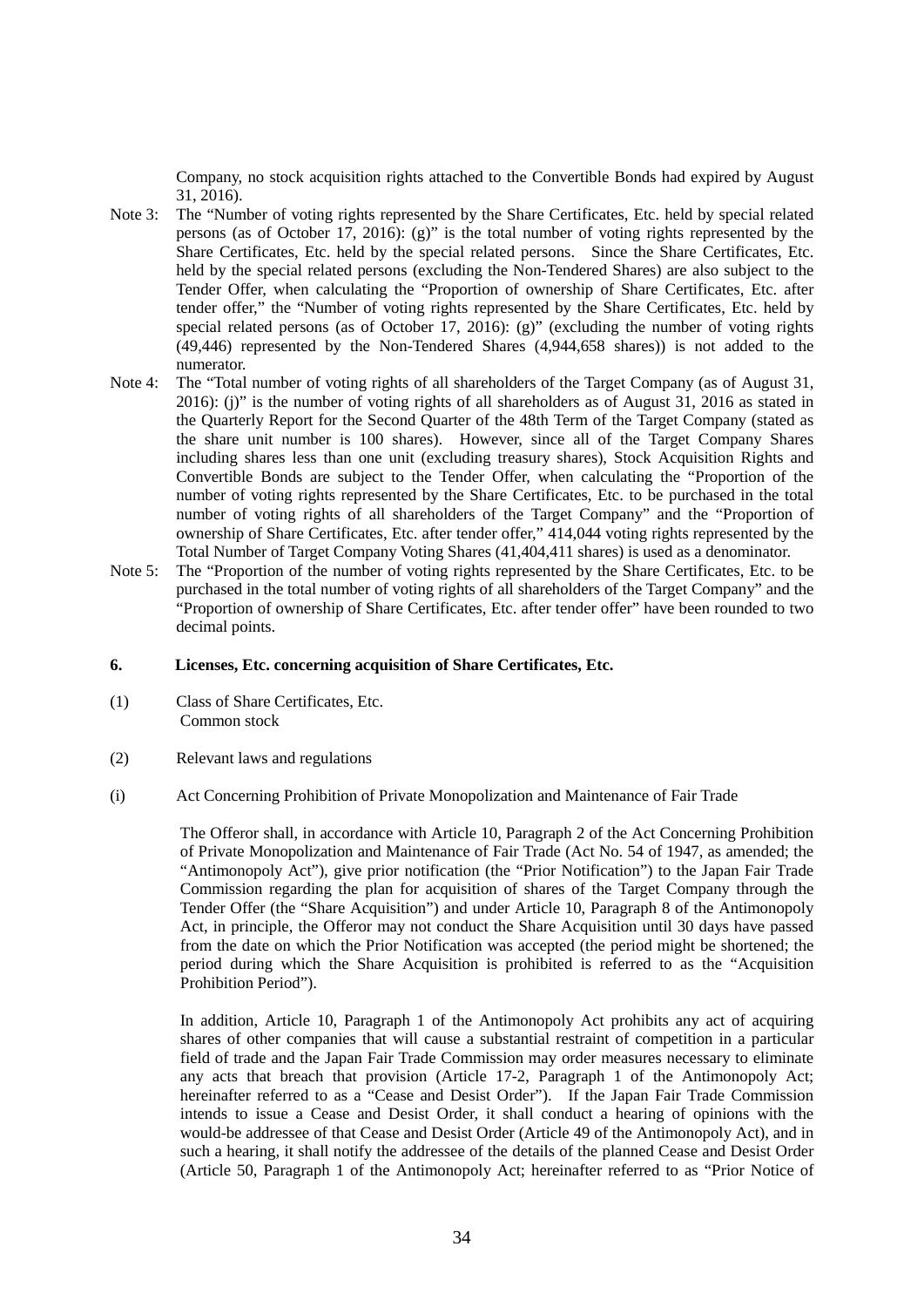Company, no stock acquisition rights attached to the Convertible Bonds had expired by August 31, 2016).

- Note 3: The "Number of voting rights represented by the Share Certificates, Etc. held by special related persons (as of October 17, 2016): (g)" is the total number of voting rights represented by the Share Certificates, Etc. held by the special related persons. Since the Share Certificates, Etc. held by the special related persons (excluding the Non-Tendered Shares) are also subject to the Tender Offer, when calculating the "Proportion of ownership of Share Certificates, Etc. after tender offer," the "Number of voting rights represented by the Share Certificates, Etc. held by special related persons (as of October 17, 2016): (g)" (excluding the number of voting rights (49,446) represented by the Non-Tendered Shares (4,944,658 shares)) is not added to the numerator.
- Note 4: The "Total number of voting rights of all shareholders of the Target Company (as of August 31, 2016): (j)" is the number of voting rights of all shareholders as of August 31, 2016 as stated in the Quarterly Report for the Second Quarter of the 48th Term of the Target Company (stated as the share unit number is 100 shares). However, since all of the Target Company Shares including shares less than one unit (excluding treasury shares), Stock Acquisition Rights and Convertible Bonds are subject to the Tender Offer, when calculating the "Proportion of the number of voting rights represented by the Share Certificates, Etc. to be purchased in the total number of voting rights of all shareholders of the Target Company" and the "Proportion of ownership of Share Certificates, Etc. after tender offer," 414,044 voting rights represented by the Total Number of Target Company Voting Shares (41,404,411 shares) is used as a denominator.
- Note 5: The "Proportion of the number of voting rights represented by the Share Certificates, Etc. to be purchased in the total number of voting rights of all shareholders of the Target Company" and the "Proportion of ownership of Share Certificates, Etc. after tender offer" have been rounded to two decimal points.

### **6. Licenses, Etc. concerning acquisition of Share Certificates, Etc.**

- (1) Class of Share Certificates, Etc. Common stock
- (2) Relevant laws and regulations
- (i) Act Concerning Prohibition of Private Monopolization and Maintenance of Fair Trade

The Offeror shall, in accordance with Article 10, Paragraph 2 of the Act Concerning Prohibition of Private Monopolization and Maintenance of Fair Trade (Act No. 54 of 1947, as amended; the "Antimonopoly Act"), give prior notification (the "Prior Notification") to the Japan Fair Trade Commission regarding the plan for acquisition of shares of the Target Company through the Tender Offer (the "Share Acquisition") and under Article 10, Paragraph 8 of the Antimonopoly Act, in principle, the Offeror may not conduct the Share Acquisition until 30 days have passed from the date on which the Prior Notification was accepted (the period might be shortened; the period during which the Share Acquisition is prohibited is referred to as the "Acquisition Prohibition Period").

In addition, Article 10, Paragraph 1 of the Antimonopoly Act prohibits any act of acquiring shares of other companies that will cause a substantial restraint of competition in a particular field of trade and the Japan Fair Trade Commission may order measures necessary to eliminate any acts that breach that provision (Article 17-2, Paragraph 1 of the Antimonopoly Act; hereinafter referred to as a "Cease and Desist Order"). If the Japan Fair Trade Commission intends to issue a Cease and Desist Order, it shall conduct a hearing of opinions with the would-be addressee of that Cease and Desist Order (Article 49 of the Antimonopoly Act), and in such a hearing, it shall notify the addressee of the details of the planned Cease and Desist Order (Article 50, Paragraph 1 of the Antimonopoly Act; hereinafter referred to as "Prior Notice of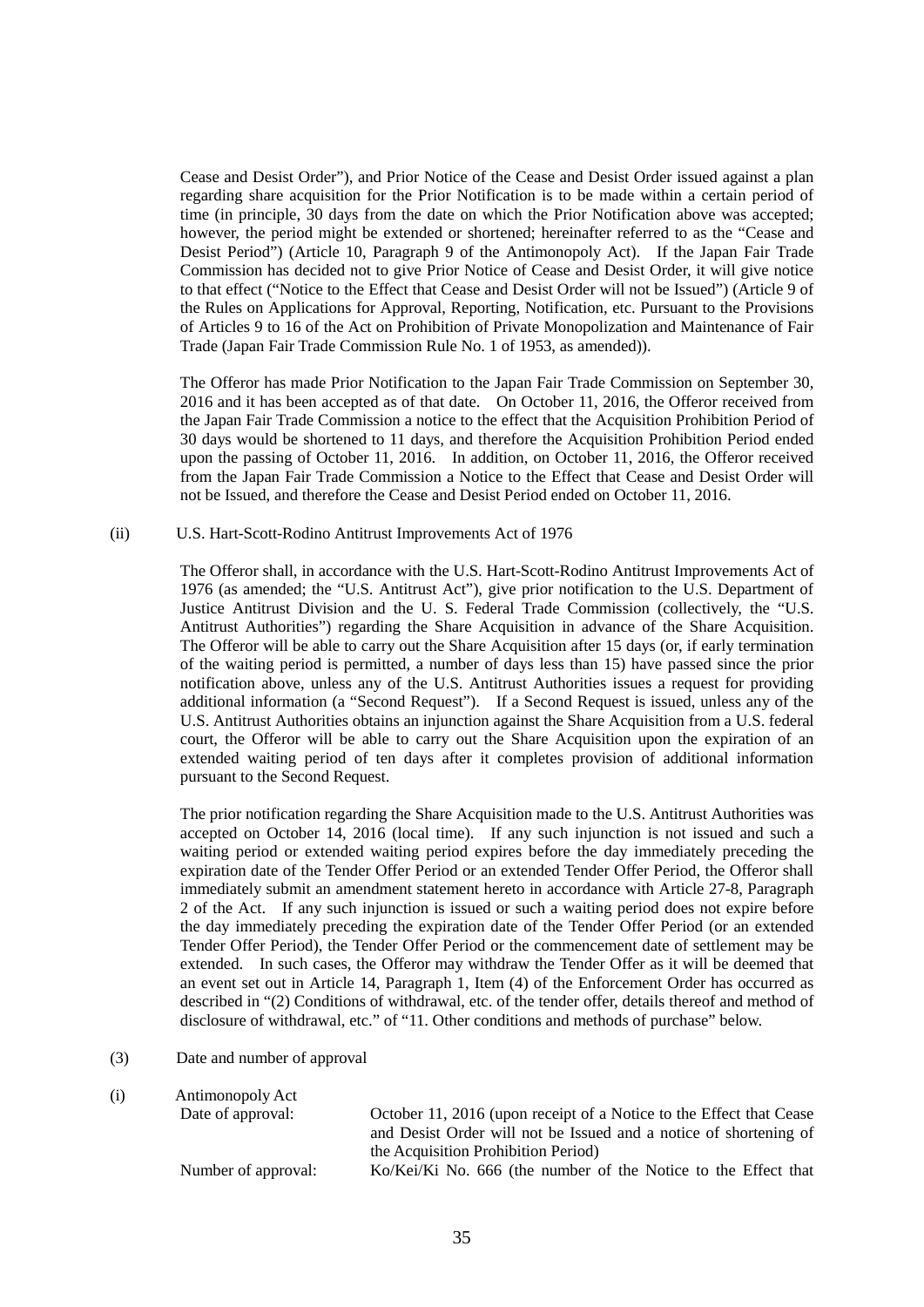Cease and Desist Order"), and Prior Notice of the Cease and Desist Order issued against a plan regarding share acquisition for the Prior Notification is to be made within a certain period of time (in principle, 30 days from the date on which the Prior Notification above was accepted; however, the period might be extended or shortened; hereinafter referred to as the "Cease and Desist Period") (Article 10, Paragraph 9 of the Antimonopoly Act). If the Japan Fair Trade Commission has decided not to give Prior Notice of Cease and Desist Order, it will give notice to that effect ("Notice to the Effect that Cease and Desist Order will not be Issued") (Article 9 of the Rules on Applications for Approval, Reporting, Notification, etc. Pursuant to the Provisions of Articles 9 to 16 of the Act on Prohibition of Private Monopolization and Maintenance of Fair Trade (Japan Fair Trade Commission Rule No. 1 of 1953, as amended)).

The Offeror has made Prior Notification to the Japan Fair Trade Commission on September 30, 2016 and it has been accepted as of that date. On October 11, 2016, the Offeror received from the Japan Fair Trade Commission a notice to the effect that the Acquisition Prohibition Period of 30 days would be shortened to 11 days, and therefore the Acquisition Prohibition Period ended upon the passing of October 11, 2016. In addition, on October 11, 2016, the Offeror received from the Japan Fair Trade Commission a Notice to the Effect that Cease and Desist Order will not be Issued, and therefore the Cease and Desist Period ended on October 11, 2016.

### (ii) U.S. Hart-Scott-Rodino Antitrust Improvements Act of 1976

The Offeror shall, in accordance with the U.S. Hart-Scott-Rodino Antitrust Improvements Act of 1976 (as amended; the "U.S. Antitrust Act"), give prior notification to the U.S. Department of Justice Antitrust Division and the U. S. Federal Trade Commission (collectively, the "U.S. Antitrust Authorities") regarding the Share Acquisition in advance of the Share Acquisition. The Offeror will be able to carry out the Share Acquisition after 15 days (or, if early termination of the waiting period is permitted, a number of days less than 15) have passed since the prior notification above, unless any of the U.S. Antitrust Authorities issues a request for providing additional information (a "Second Request"). If a Second Request is issued, unless any of the U.S. Antitrust Authorities obtains an injunction against the Share Acquisition from a U.S. federal court, the Offeror will be able to carry out the Share Acquisition upon the expiration of an extended waiting period of ten days after it completes provision of additional information pursuant to the Second Request.

The prior notification regarding the Share Acquisition made to the U.S. Antitrust Authorities was accepted on October 14, 2016 (local time). If any such injunction is not issued and such a waiting period or extended waiting period expires before the day immediately preceding the expiration date of the Tender Offer Period or an extended Tender Offer Period, the Offeror shall immediately submit an amendment statement hereto in accordance with Article 27-8, Paragraph 2 of the Act. If any such injunction is issued or such a waiting period does not expire before the day immediately preceding the expiration date of the Tender Offer Period (or an extended Tender Offer Period), the Tender Offer Period or the commencement date of settlement may be extended. In such cases, the Offeror may withdraw the Tender Offer as it will be deemed that an event set out in Article 14, Paragraph 1, Item (4) of the Enforcement Order has occurred as described in "(2) Conditions of withdrawal, etc. of the tender offer, details thereof and method of disclosure of withdrawal, etc." of "11. Other conditions and methods of purchase" below.

- (3) Date and number of approval
- (i) Antimonopoly Act

| Date of approval:   | October 11, 2016 (upon receipt of a Notice to the Effect that Cease |
|---------------------|---------------------------------------------------------------------|
|                     | and Desist Order will not be Issued and a notice of shortening of   |
|                     | the Acquisition Prohibition Period)                                 |
| Number of approval: | Ko/Kei/Ki No. 666 (the number of the Notice to the Effect that      |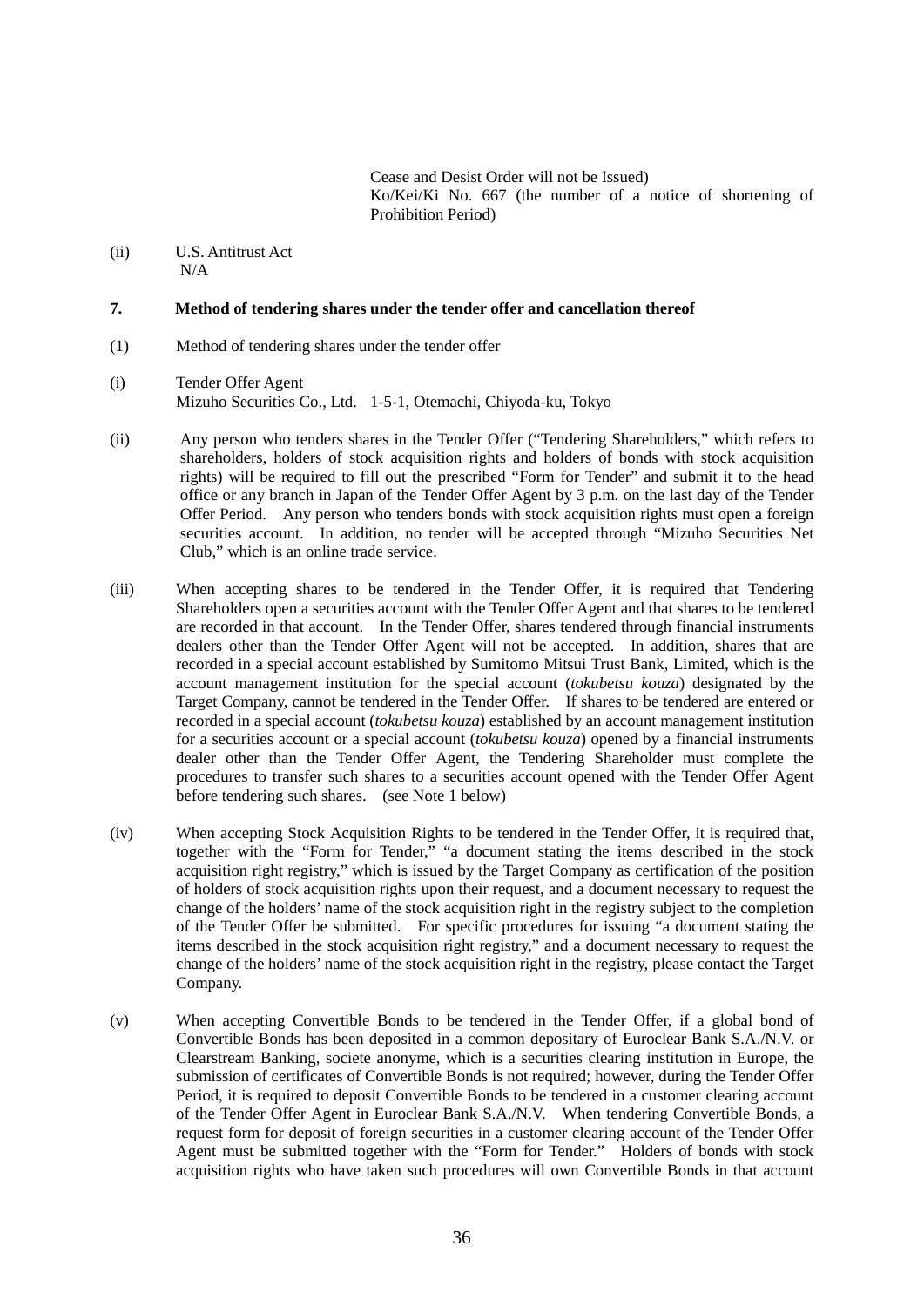Cease and Desist Order will not be Issued) Ko/Kei/Ki No. 667 (the number of a notice of shortening of Prohibition Period)

(ii) U.S. Antitrust Act  $N/A$ 

### **7. Method of tendering shares under the tender offer and cancellation thereof**

- (1) Method of tendering shares under the tender offer
- (i) Tender Offer Agent Mizuho Securities Co., Ltd. 1-5-1, Otemachi, Chiyoda-ku, Tokyo
- (ii) Any person who tenders shares in the Tender Offer ("Tendering Shareholders," which refers to shareholders, holders of stock acquisition rights and holders of bonds with stock acquisition rights) will be required to fill out the prescribed "Form for Tender" and submit it to the head office or any branch in Japan of the Tender Offer Agent by 3 p.m. on the last day of the Tender Offer Period. Any person who tenders bonds with stock acquisition rights must open a foreign securities account. In addition, no tender will be accepted through "Mizuho Securities Net Club," which is an online trade service.
- (iii) When accepting shares to be tendered in the Tender Offer, it is required that Tendering Shareholders open a securities account with the Tender Offer Agent and that shares to be tendered are recorded in that account. In the Tender Offer, shares tendered through financial instruments dealers other than the Tender Offer Agent will not be accepted. In addition, shares that are recorded in a special account established by Sumitomo Mitsui Trust Bank, Limited, which is the account management institution for the special account (*tokubetsu kouza*) designated by the Target Company, cannot be tendered in the Tender Offer. If shares to be tendered are entered or recorded in a special account (*tokubetsu kouza*) established by an account management institution for a securities account or a special account (*tokubetsu kouza*) opened by a financial instruments dealer other than the Tender Offer Agent, the Tendering Shareholder must complete the procedures to transfer such shares to a securities account opened with the Tender Offer Agent before tendering such shares. (see Note 1 below)
- (iv) When accepting Stock Acquisition Rights to be tendered in the Tender Offer, it is required that, together with the "Form for Tender," "a document stating the items described in the stock acquisition right registry," which is issued by the Target Company as certification of the position of holders of stock acquisition rights upon their request, and a document necessary to request the change of the holders' name of the stock acquisition right in the registry subject to the completion of the Tender Offer be submitted. For specific procedures for issuing "a document stating the items described in the stock acquisition right registry," and a document necessary to request the change of the holders' name of the stock acquisition right in the registry, please contact the Target Company.
- (v) When accepting Convertible Bonds to be tendered in the Tender Offer, if a global bond of Convertible Bonds has been deposited in a common depositary of Euroclear Bank S.A./N.V. or Clearstream Banking, societe anonyme, which is a securities clearing institution in Europe, the submission of certificates of Convertible Bonds is not required; however, during the Tender Offer Period, it is required to deposit Convertible Bonds to be tendered in a customer clearing account of the Tender Offer Agent in Euroclear Bank S.A./N.V. When tendering Convertible Bonds, a request form for deposit of foreign securities in a customer clearing account of the Tender Offer Agent must be submitted together with the "Form for Tender." Holders of bonds with stock acquisition rights who have taken such procedures will own Convertible Bonds in that account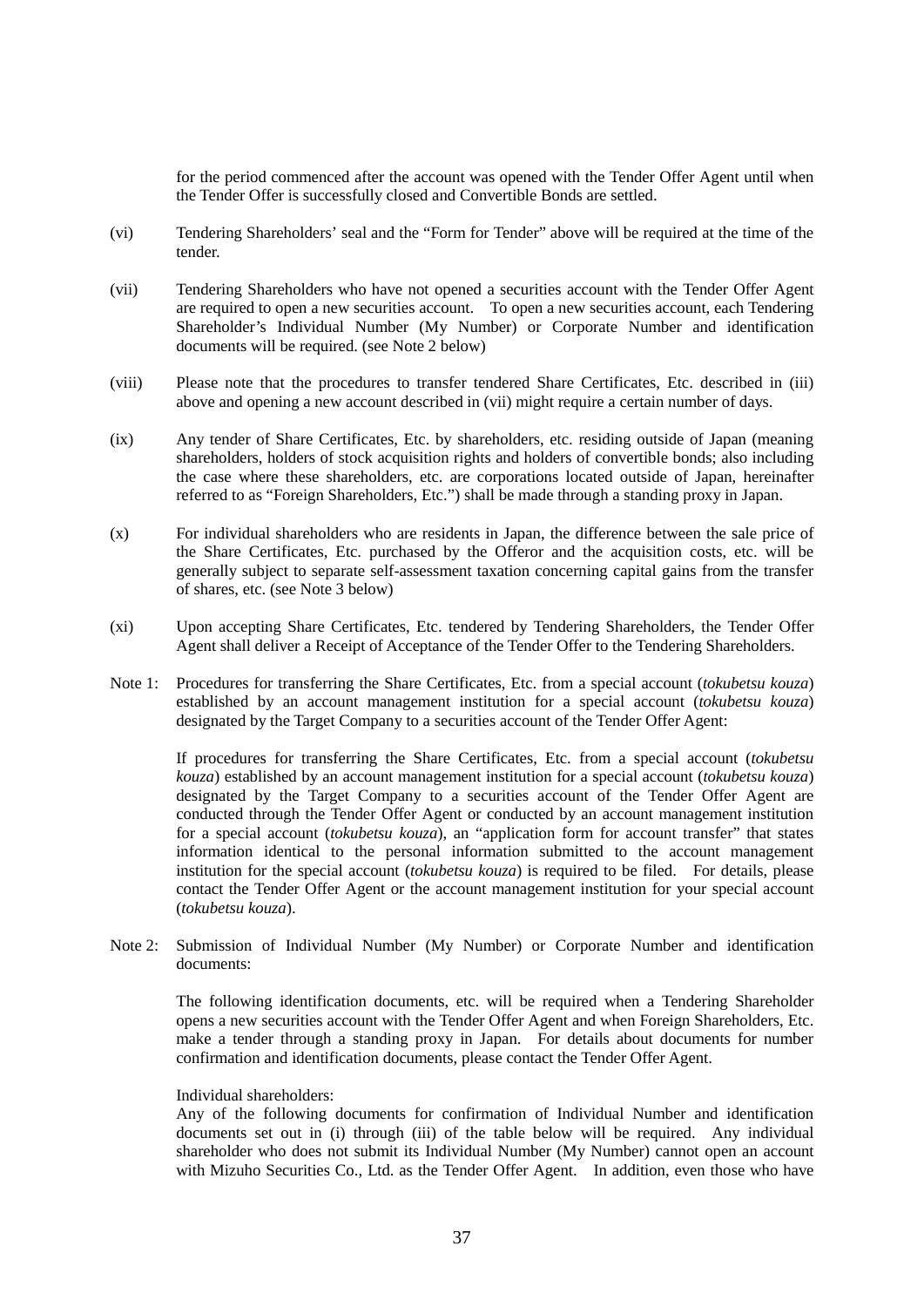for the period commenced after the account was opened with the Tender Offer Agent until when the Tender Offer is successfully closed and Convertible Bonds are settled.

- (vi) Tendering Shareholders' seal and the "Form for Tender" above will be required at the time of the tender.
- (vii) Tendering Shareholders who have not opened a securities account with the Tender Offer Agent are required to open a new securities account. To open a new securities account, each Tendering Shareholder's Individual Number (My Number) or Corporate Number and identification documents will be required. (see Note 2 below)
- (viii) Please note that the procedures to transfer tendered Share Certificates, Etc. described in (iii) above and opening a new account described in (vii) might require a certain number of days.
- (ix) Any tender of Share Certificates, Etc. by shareholders, etc. residing outside of Japan (meaning shareholders, holders of stock acquisition rights and holders of convertible bonds; also including the case where these shareholders, etc. are corporations located outside of Japan, hereinafter referred to as "Foreign Shareholders, Etc.") shall be made through a standing proxy in Japan.
- (x) For individual shareholders who are residents in Japan, the difference between the sale price of the Share Certificates, Etc. purchased by the Offeror and the acquisition costs, etc. will be generally subject to separate self-assessment taxation concerning capital gains from the transfer of shares, etc. (see Note 3 below)
- (xi) Upon accepting Share Certificates, Etc. tendered by Tendering Shareholders, the Tender Offer Agent shall deliver a Receipt of Acceptance of the Tender Offer to the Tendering Shareholders.
- Note 1: Procedures for transferring the Share Certificates, Etc. from a special account (*tokubetsu kouza*) established by an account management institution for a special account (*tokubetsu kouza*) designated by the Target Company to a securities account of the Tender Offer Agent:

If procedures for transferring the Share Certificates, Etc. from a special account (*tokubetsu kouza*) established by an account management institution for a special account (*tokubetsu kouza*) designated by the Target Company to a securities account of the Tender Offer Agent are conducted through the Tender Offer Agent or conducted by an account management institution for a special account (*tokubetsu kouza*), an "application form for account transfer" that states information identical to the personal information submitted to the account management institution for the special account (*tokubetsu kouza*) is required to be filed. For details, please contact the Tender Offer Agent or the account management institution for your special account (*tokubetsu kouza*).

Note 2: Submission of Individual Number (My Number) or Corporate Number and identification documents:

The following identification documents, etc. will be required when a Tendering Shareholder opens a new securities account with the Tender Offer Agent and when Foreign Shareholders, Etc. make a tender through a standing proxy in Japan. For details about documents for number confirmation and identification documents, please contact the Tender Offer Agent.

# Individual shareholders:

Any of the following documents for confirmation of Individual Number and identification documents set out in (i) through (iii) of the table below will be required. Any individual shareholder who does not submit its Individual Number (My Number) cannot open an account with Mizuho Securities Co., Ltd. as the Tender Offer Agent. In addition, even those who have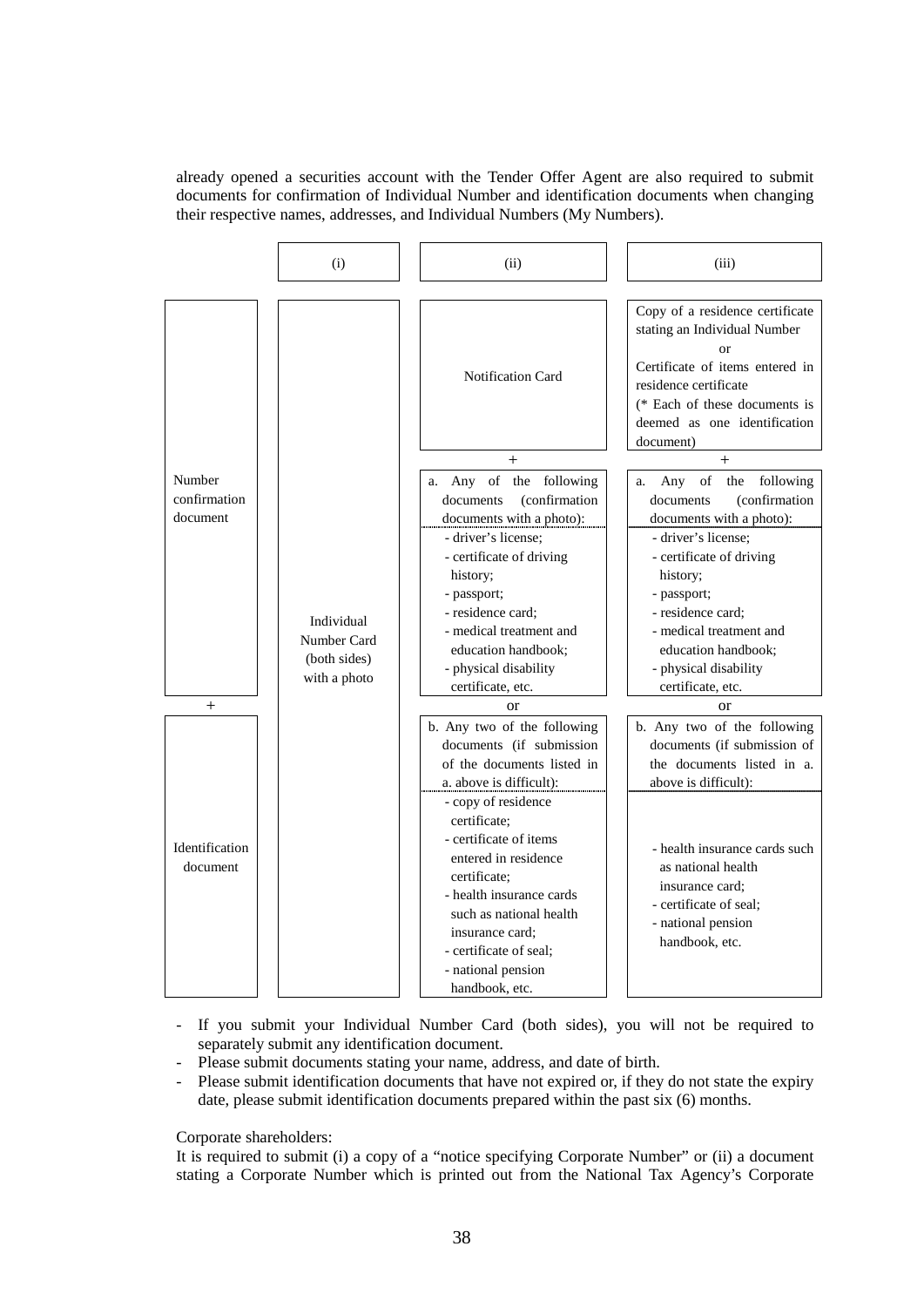already opened a securities account with the Tender Offer Agent are also required to submit documents for confirmation of Individual Number and identification documents when changing their respective names, addresses, and Individual Numbers (My Numbers).



- If you submit your Individual Number Card (both sides), you will not be required to separately submit any identification document.
- Please submit documents stating your name, address, and date of birth.
- Please submit identification documents that have not expired or, if they do not state the expiry date, please submit identification documents prepared within the past six (6) months.

Corporate shareholders:

It is required to submit (i) a copy of a "notice specifying Corporate Number" or (ii) a document stating a Corporate Number which is printed out from the National Tax Agency's Corporate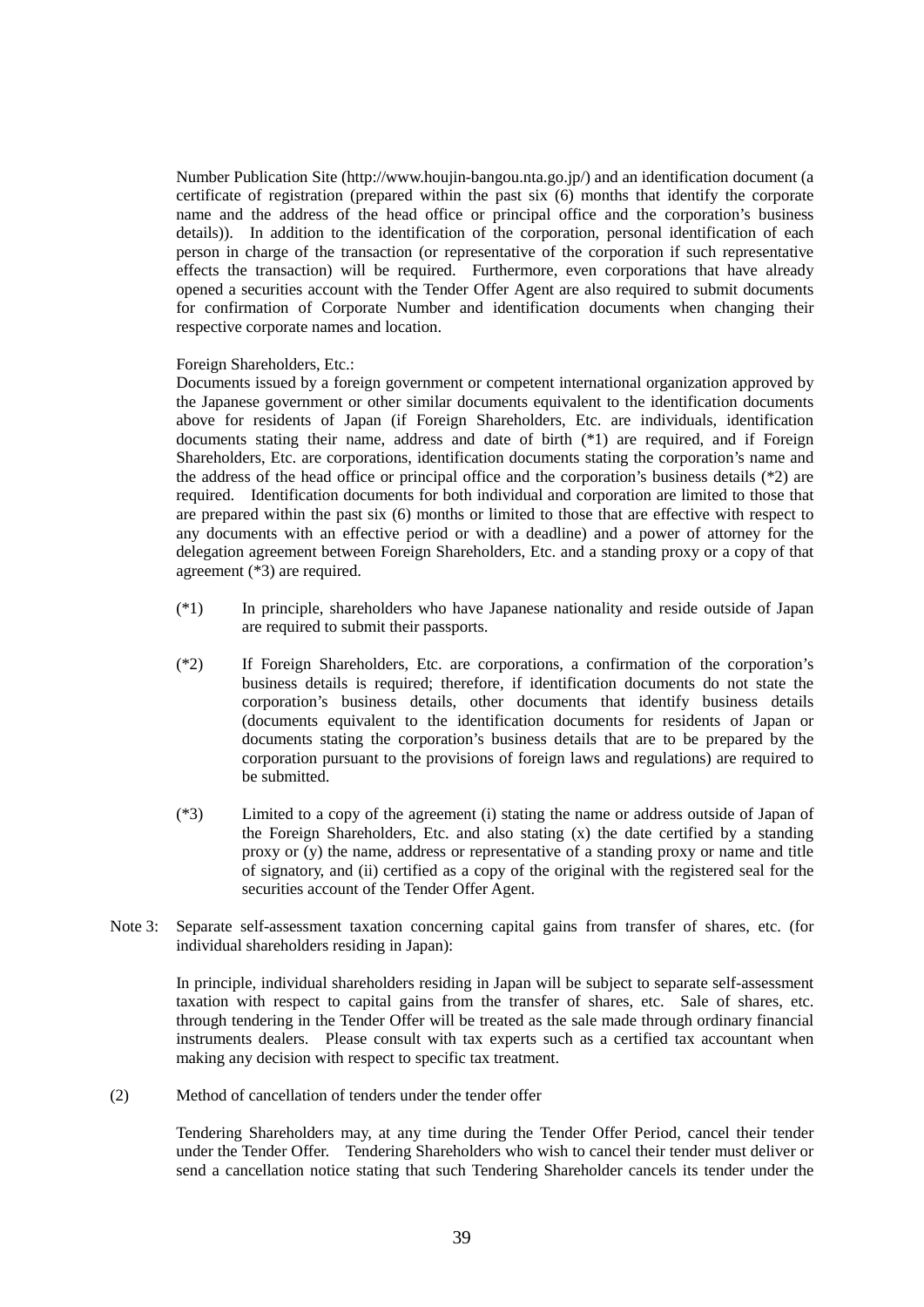Number Publication Site (http://www.houjin-bangou.nta.go.jp/) and an identification document (a certificate of registration (prepared within the past six (6) months that identify the corporate name and the address of the head office or principal office and the corporation's business details)). In addition to the identification of the corporation, personal identification of each person in charge of the transaction (or representative of the corporation if such representative effects the transaction) will be required. Furthermore, even corporations that have already opened a securities account with the Tender Offer Agent are also required to submit documents for confirmation of Corporate Number and identification documents when changing their respective corporate names and location.

#### Foreign Shareholders, Etc.:

Documents issued by a foreign government or competent international organization approved by the Japanese government or other similar documents equivalent to the identification documents above for residents of Japan (if Foreign Shareholders, Etc. are individuals, identification documents stating their name, address and date of birth (\*1) are required, and if Foreign Shareholders, Etc. are corporations, identification documents stating the corporation's name and the address of the head office or principal office and the corporation's business details (\*2) are required. Identification documents for both individual and corporation are limited to those that are prepared within the past six (6) months or limited to those that are effective with respect to any documents with an effective period or with a deadline) and a power of attorney for the delegation agreement between Foreign Shareholders, Etc. and a standing proxy or a copy of that agreement (\*3) are required.

- (\*1) In principle, shareholders who have Japanese nationality and reside outside of Japan are required to submit their passports.
- (\*2) If Foreign Shareholders, Etc. are corporations, a confirmation of the corporation's business details is required; therefore, if identification documents do not state the corporation's business details, other documents that identify business details (documents equivalent to the identification documents for residents of Japan or documents stating the corporation's business details that are to be prepared by the corporation pursuant to the provisions of foreign laws and regulations) are required to be submitted.
- (\*3) Limited to a copy of the agreement (i) stating the name or address outside of Japan of the Foreign Shareholders, Etc. and also stating (x) the date certified by a standing proxy or (y) the name, address or representative of a standing proxy or name and title of signatory, and (ii) certified as a copy of the original with the registered seal for the securities account of the Tender Offer Agent.
- Note 3: Separate self-assessment taxation concerning capital gains from transfer of shares, etc. (for individual shareholders residing in Japan):

In principle, individual shareholders residing in Japan will be subject to separate self-assessment taxation with respect to capital gains from the transfer of shares, etc. Sale of shares, etc. through tendering in the Tender Offer will be treated as the sale made through ordinary financial instruments dealers. Please consult with tax experts such as a certified tax accountant when making any decision with respect to specific tax treatment.

(2) Method of cancellation of tenders under the tender offer

Tendering Shareholders may, at any time during the Tender Offer Period, cancel their tender under the Tender Offer. Tendering Shareholders who wish to cancel their tender must deliver or send a cancellation notice stating that such Tendering Shareholder cancels its tender under the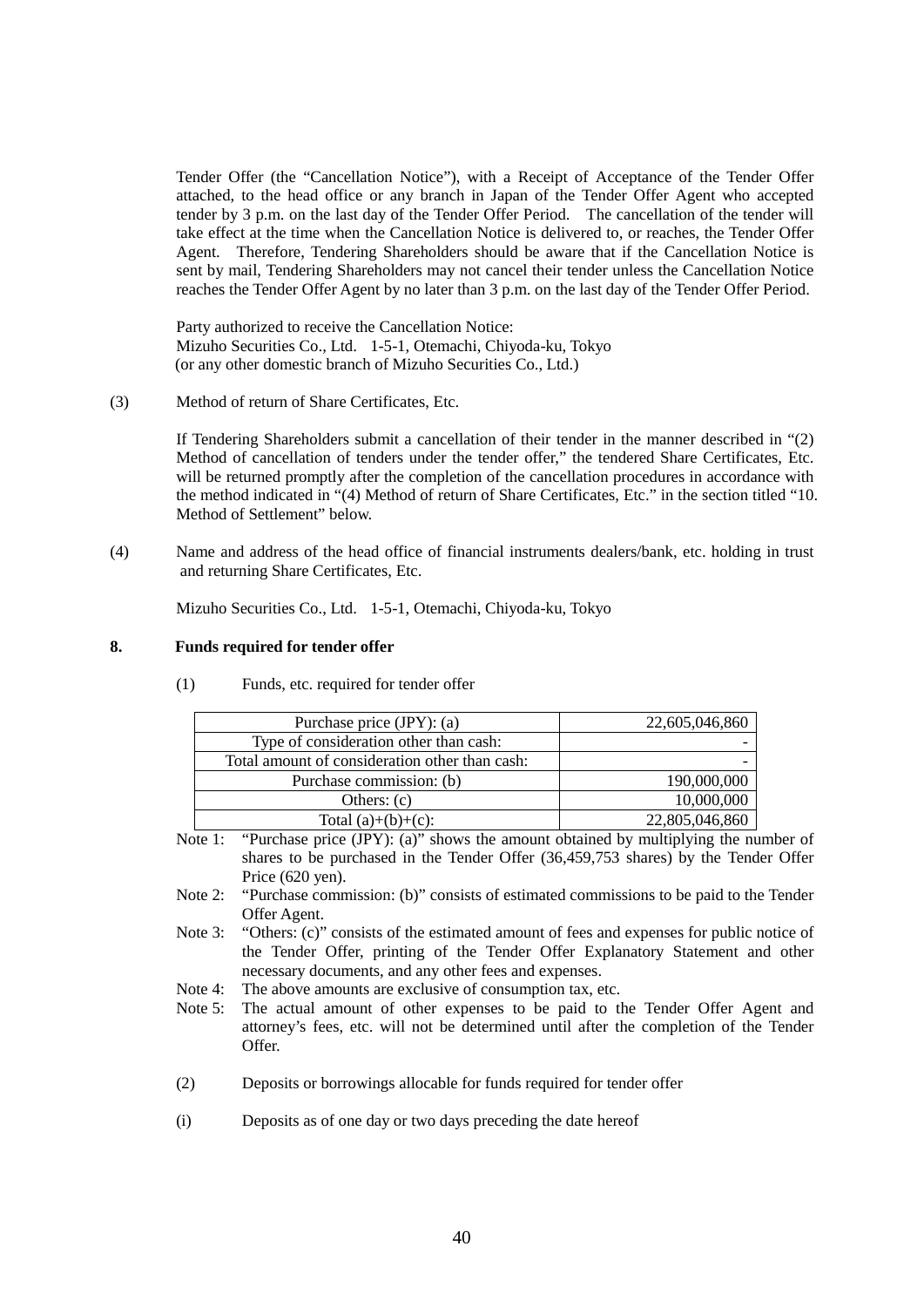Tender Offer (the "Cancellation Notice"), with a Receipt of Acceptance of the Tender Offer attached, to the head office or any branch in Japan of the Tender Offer Agent who accepted tender by 3 p.m. on the last day of the Tender Offer Period. The cancellation of the tender will take effect at the time when the Cancellation Notice is delivered to, or reaches, the Tender Offer Agent. Therefore, Tendering Shareholders should be aware that if the Cancellation Notice is sent by mail, Tendering Shareholders may not cancel their tender unless the Cancellation Notice reaches the Tender Offer Agent by no later than 3 p.m. on the last day of the Tender Offer Period.

Party authorized to receive the Cancellation Notice: Mizuho Securities Co., Ltd. 1-5-1, Otemachi, Chiyoda-ku, Tokyo (or any other domestic branch of Mizuho Securities Co., Ltd.)

(3) Method of return of Share Certificates, Etc.

If Tendering Shareholders submit a cancellation of their tender in the manner described in "(2) Method of cancellation of tenders under the tender offer," the tendered Share Certificates, Etc. will be returned promptly after the completion of the cancellation procedures in accordance with the method indicated in "(4) Method of return of Share Certificates, Etc." in the section titled "10. Method of Settlement" below.

(4) Name and address of the head office of financial instruments dealers/bank, etc. holding in trust and returning Share Certificates, Etc.

Mizuho Securities Co., Ltd. 1-5-1, Otemachi, Chiyoda-ku, Tokyo

# **8. Funds required for tender offer**

| Purchase price (JPY): (a)                      | 22,605,046,860 |
|------------------------------------------------|----------------|
| Type of consideration other than cash:         |                |
| Total amount of consideration other than cash: |                |
| Purchase commission: (b)                       | 190,000,000    |
| Others: $(c)$                                  | 10,000,000     |
| Total $(a)+(b)+(c)$ :                          | 22,805,046,860 |

(1) Funds, etc. required for tender offer

- Note 1: "Purchase price (JPY): (a)" shows the amount obtained by multiplying the number of shares to be purchased in the Tender Offer (36,459,753 shares) by the Tender Offer Price (620 yen).
- Note 2: "Purchase commission: (b)" consists of estimated commissions to be paid to the Tender Offer Agent.
- Note 3: "Others: (c)" consists of the estimated amount of fees and expenses for public notice of the Tender Offer, printing of the Tender Offer Explanatory Statement and other necessary documents, and any other fees and expenses.
- Note 4: The above amounts are exclusive of consumption tax, etc.
- Note 5: The actual amount of other expenses to be paid to the Tender Offer Agent and attorney's fees, etc. will not be determined until after the completion of the Tender Offer.
- (2) Deposits or borrowings allocable for funds required for tender offer
- (i) Deposits as of one day or two days preceding the date hereof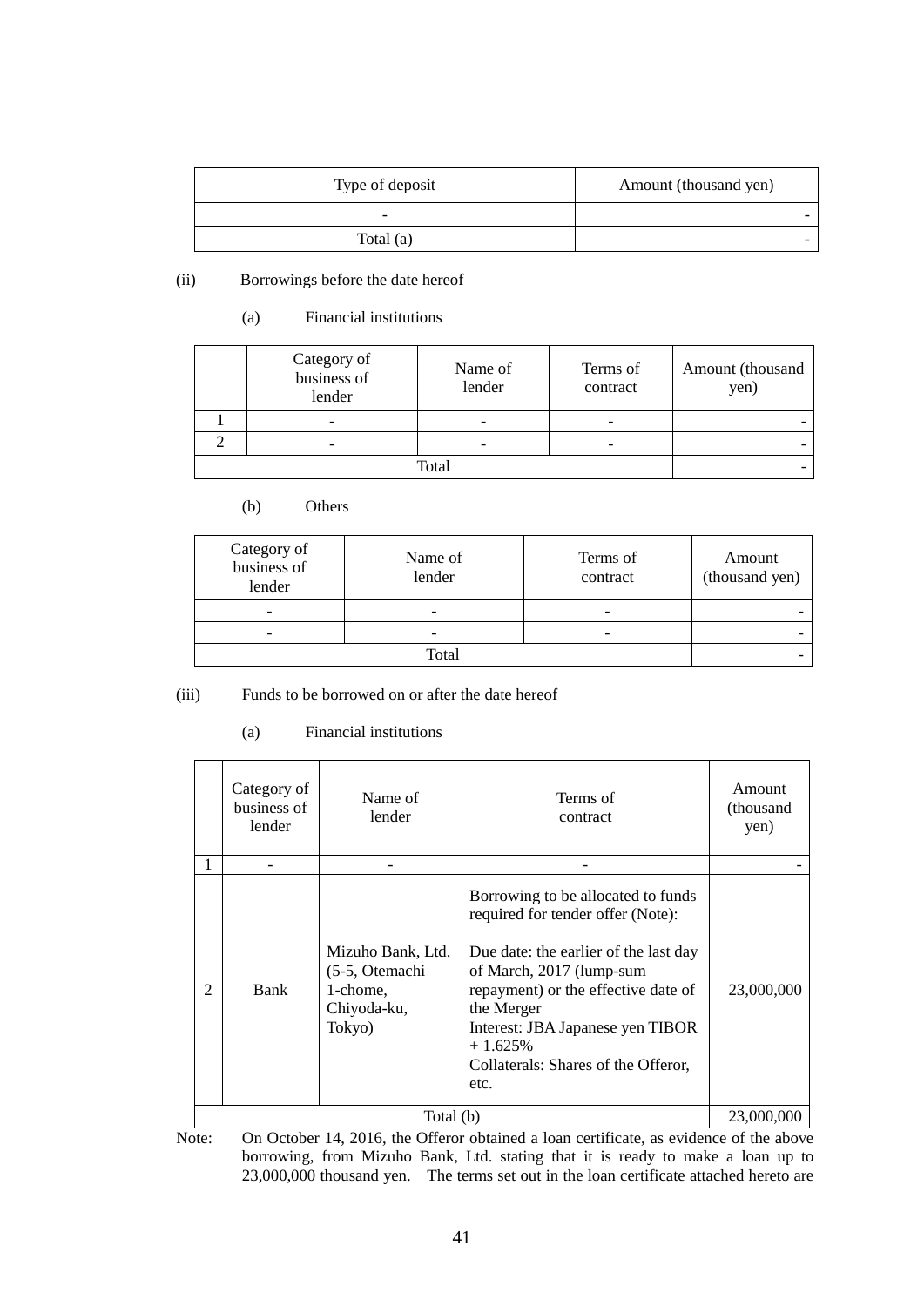| Type of deposit | Amount (thousand yen) |
|-----------------|-----------------------|
|                 |                       |
| Total $(a)$     |                       |

(ii) Borrowings before the date hereof

# (a) Financial institutions

| Category of<br>business of<br>lender | Name of<br>lender | Terms of<br>contract | Amount (thousand<br>yen) |
|--------------------------------------|-------------------|----------------------|--------------------------|
| $\overline{\phantom{0}}$             |                   |                      |                          |
| $\overline{\phantom{0}}$             |                   |                      |                          |
| Total                                |                   |                      |                          |

# (b) Others

| Category of<br>business of<br>lender | Name of<br>lender | Terms of<br>contract |  |
|--------------------------------------|-------------------|----------------------|--|
|                                      |                   |                      |  |
| $\overline{\phantom{0}}$             |                   |                      |  |
|                                      |                   |                      |  |

(iii) Funds to be borrowed on or after the date hereof

# (a) Financial institutions

|   | Category of<br>business of<br>lender | Name of<br>lender                                                        | Terms of<br>contract                                                                                                                                                                                                                                                                              | Amount<br>(thousand<br>yen) |  |  |
|---|--------------------------------------|--------------------------------------------------------------------------|---------------------------------------------------------------------------------------------------------------------------------------------------------------------------------------------------------------------------------------------------------------------------------------------------|-----------------------------|--|--|
|   |                                      |                                                                          |                                                                                                                                                                                                                                                                                                   |                             |  |  |
| 2 | Bank                                 | Mizuho Bank, Ltd.<br>(5-5, Otemachi<br>1-chome,<br>Chiyoda-ku,<br>Tokyo) | Borrowing to be allocated to funds<br>required for tender offer (Note):<br>Due date: the earlier of the last day<br>of March, 2017 (lump-sum<br>repayment) or the effective date of<br>the Merger<br>Interest: JBA Japanese yen TIBOR<br>$+1.625%$<br>Collaterals: Shares of the Offeror,<br>etc. | 23,000,000                  |  |  |
|   | Total (b)                            |                                                                          |                                                                                                                                                                                                                                                                                                   |                             |  |  |

Note: On October 14, 2016, the Offeror obtained a loan certificate, as evidence of the above borrowing, from Mizuho Bank, Ltd. stating that it is ready to make a loan up to 23,000,000 thousand yen. The terms set out in the loan certificate attached hereto are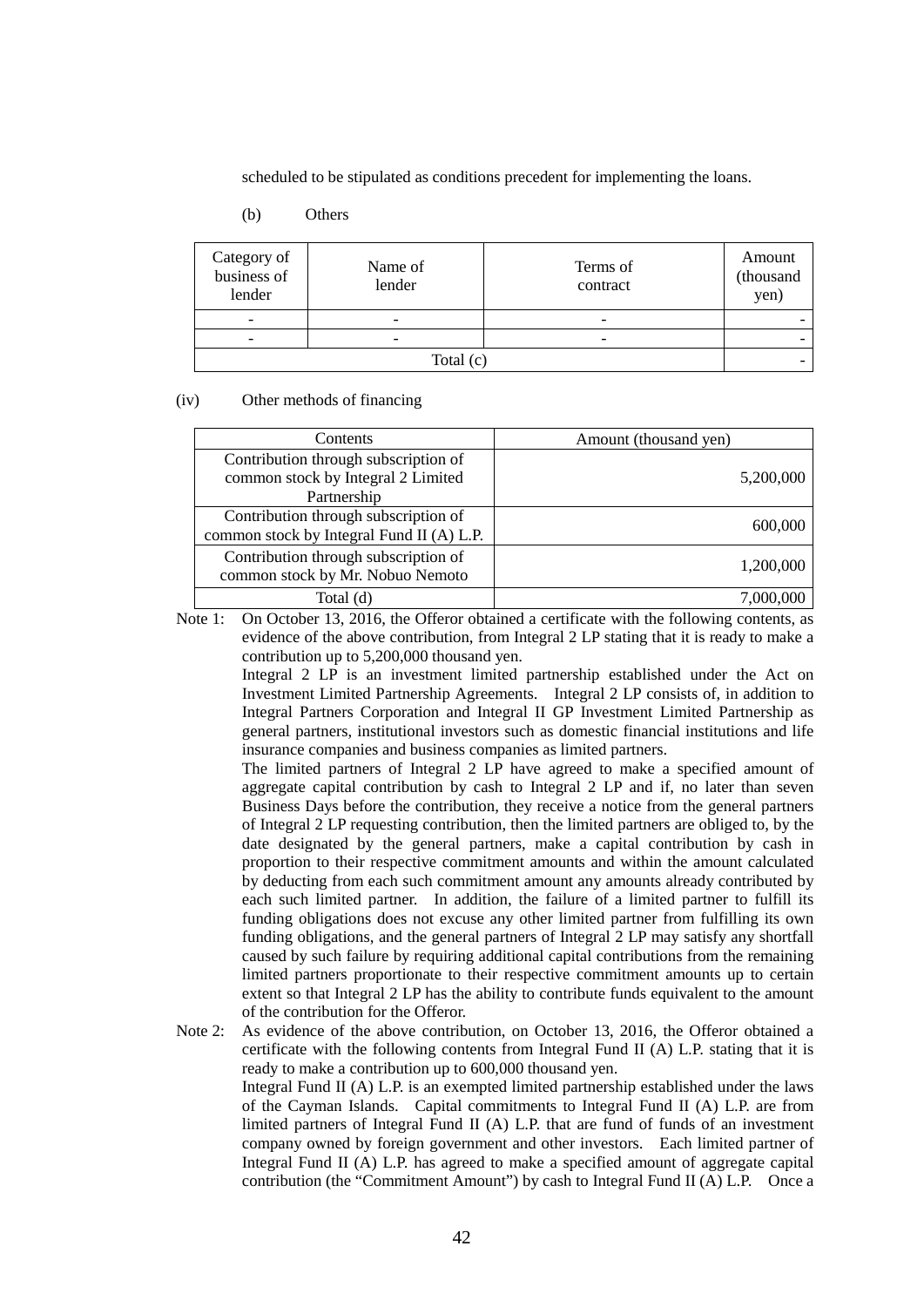scheduled to be stipulated as conditions precedent for implementing the loans.

### (b) Others

| Category of<br>business of<br>lender | Name of<br>lender | Terms of<br>contract     | Amount<br>(thousand<br>yen) |  |
|--------------------------------------|-------------------|--------------------------|-----------------------------|--|
|                                      |                   | $\overline{\phantom{0}}$ |                             |  |
| $\overline{\phantom{0}}$             |                   | $\overline{\phantom{0}}$ |                             |  |
| Total $(c)$                          |                   |                          |                             |  |

(iv) Other methods of financing

| <b>Contents</b>                                                                           | Amount (thousand yen) |
|-------------------------------------------------------------------------------------------|-----------------------|
| Contribution through subscription of<br>common stock by Integral 2 Limited<br>Partnership | 5,200,000             |
| Contribution through subscription of<br>common stock by Integral Fund II (A) L.P.         | 600,000               |
| Contribution through subscription of<br>common stock by Mr. Nobuo Nemoto                  | 1,200,000             |
| Total (d)                                                                                 |                       |

Note 1: On October 13, 2016, the Offeror obtained a certificate with the following contents, as evidence of the above contribution, from Integral 2 LP stating that it is ready to make a contribution up to 5,200,000 thousand yen.

> Integral 2 LP is an investment limited partnership established under the Act on Investment Limited Partnership Agreements. Integral 2 LP consists of, in addition to Integral Partners Corporation and Integral II GP Investment Limited Partnership as general partners, institutional investors such as domestic financial institutions and life insurance companies and business companies as limited partners.

> The limited partners of Integral 2 LP have agreed to make a specified amount of aggregate capital contribution by cash to Integral 2 LP and if, no later than seven Business Days before the contribution, they receive a notice from the general partners of Integral 2 LP requesting contribution, then the limited partners are obliged to, by the date designated by the general partners, make a capital contribution by cash in proportion to their respective commitment amounts and within the amount calculated by deducting from each such commitment amount any amounts already contributed by each such limited partner. In addition, the failure of a limited partner to fulfill its funding obligations does not excuse any other limited partner from fulfilling its own funding obligations, and the general partners of Integral 2 LP may satisfy any shortfall caused by such failure by requiring additional capital contributions from the remaining limited partners proportionate to their respective commitment amounts up to certain extent so that Integral 2 LP has the ability to contribute funds equivalent to the amount of the contribution for the Offeror.

Note 2: As evidence of the above contribution, on October 13, 2016, the Offeror obtained a certificate with the following contents from Integral Fund II (A) L.P. stating that it is ready to make a contribution up to 600,000 thousand yen. Integral Fund II (A) L.P. is an exempted limited partnership established under the laws of the Cayman Islands. Capital commitments to Integral Fund II (A) L.P. are from limited partners of Integral Fund II (A) L.P. that are fund of funds of an investment company owned by foreign government and other investors. Each limited partner of Integral Fund II (A) L.P. has agreed to make a specified amount of aggregate capital contribution (the "Commitment Amount") by cash to Integral Fund II (A) L.P. Once a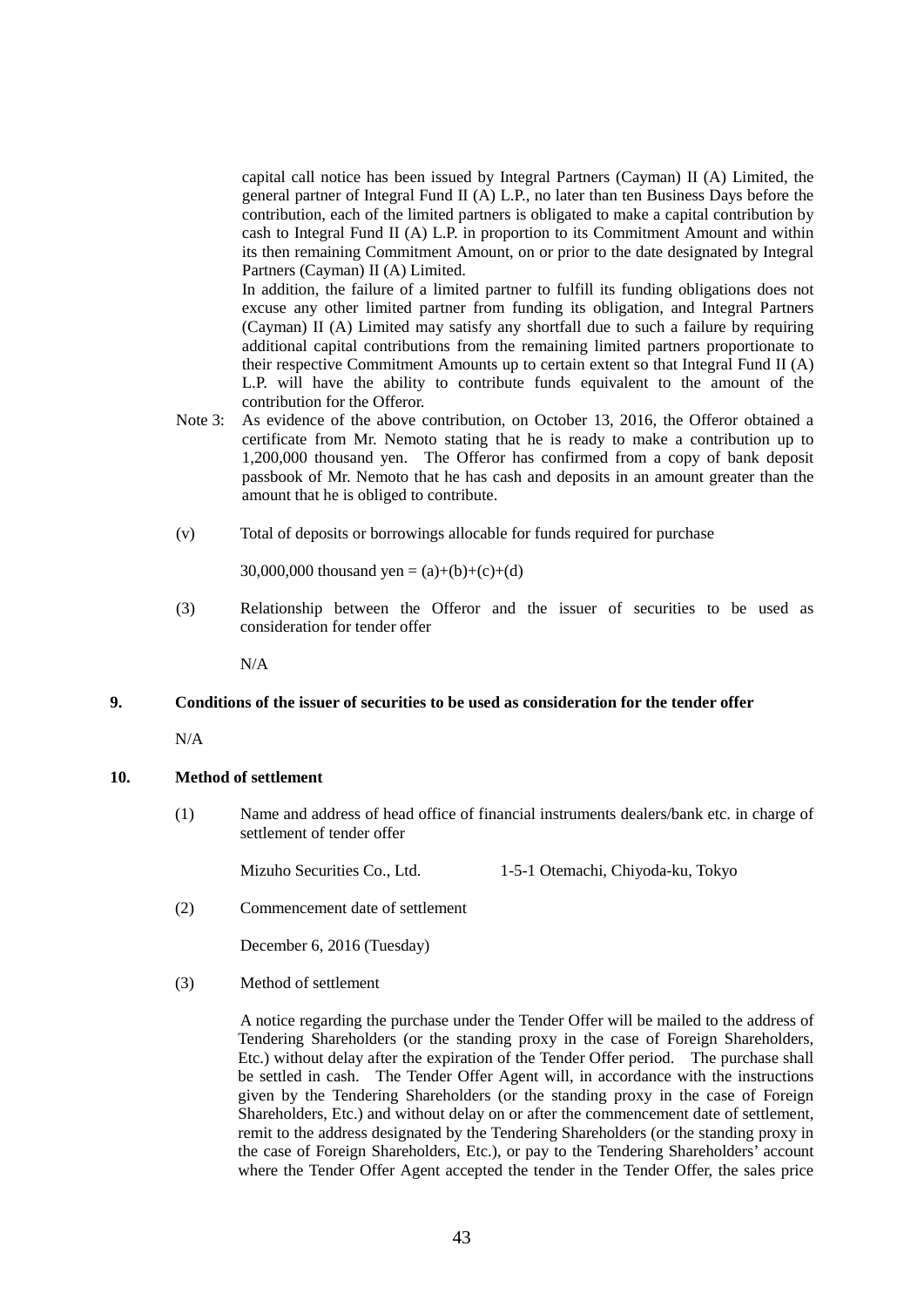capital call notice has been issued by Integral Partners (Cayman) II (A) Limited, the general partner of Integral Fund II (A) L.P., no later than ten Business Days before the contribution, each of the limited partners is obligated to make a capital contribution by cash to Integral Fund II (A) L.P. in proportion to its Commitment Amount and within its then remaining Commitment Amount, on or prior to the date designated by Integral Partners (Cayman) II (A) Limited.

In addition, the failure of a limited partner to fulfill its funding obligations does not excuse any other limited partner from funding its obligation, and Integral Partners (Cayman) II (A) Limited may satisfy any shortfall due to such a failure by requiring additional capital contributions from the remaining limited partners proportionate to their respective Commitment Amounts up to certain extent so that Integral Fund II (A) L.P. will have the ability to contribute funds equivalent to the amount of the contribution for the Offeror.

- Note 3: As evidence of the above contribution, on October 13, 2016, the Offeror obtained a certificate from Mr. Nemoto stating that he is ready to make a contribution up to 1,200,000 thousand yen. The Offeror has confirmed from a copy of bank deposit passbook of Mr. Nemoto that he has cash and deposits in an amount greater than the amount that he is obliged to contribute.
- (v) Total of deposits or borrowings allocable for funds required for purchase

30,000,000 thousand yen =  $(a)+(b)+(c)+(d)$ 

 (3) Relationship between the Offeror and the issuer of securities to be used as consideration for tender offer

N/A

### **9. Conditions of the issuer of securities to be used as consideration for the tender offer**

N/A

# **10. Method of settlement**

(1) Name and address of head office of financial instruments dealers/bank etc. in charge of settlement of tender offer

Mizuho Securities Co., Ltd. 1-5-1 Otemachi, Chiyoda-ku, Tokyo

(2) Commencement date of settlement

December 6, 2016 (Tuesday)

(3) Method of settlement

A notice regarding the purchase under the Tender Offer will be mailed to the address of Tendering Shareholders (or the standing proxy in the case of Foreign Shareholders, Etc.) without delay after the expiration of the Tender Offer period. The purchase shall be settled in cash. The Tender Offer Agent will, in accordance with the instructions given by the Tendering Shareholders (or the standing proxy in the case of Foreign Shareholders, Etc.) and without delay on or after the commencement date of settlement, remit to the address designated by the Tendering Shareholders (or the standing proxy in the case of Foreign Shareholders, Etc.), or pay to the Tendering Shareholders' account where the Tender Offer Agent accepted the tender in the Tender Offer, the sales price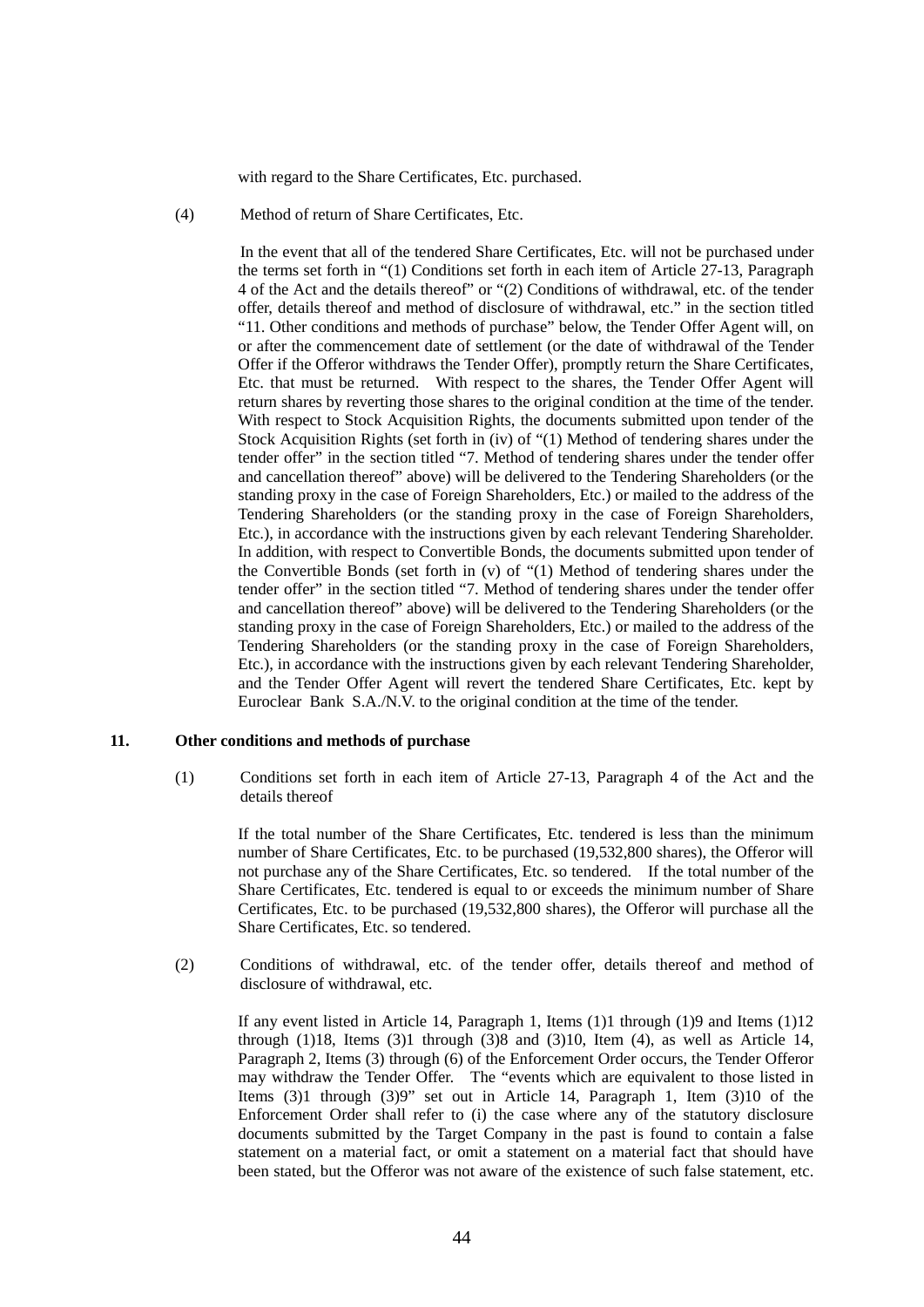with regard to the Share Certificates, Etc. purchased.

(4) Method of return of Share Certificates, Etc.

In the event that all of the tendered Share Certificates, Etc. will not be purchased under the terms set forth in "(1) Conditions set forth in each item of Article 27-13, Paragraph 4 of the Act and the details thereof" or "(2) Conditions of withdrawal, etc. of the tender offer, details thereof and method of disclosure of withdrawal, etc." in the section titled "11. Other conditions and methods of purchase" below, the Tender Offer Agent will, on or after the commencement date of settlement (or the date of withdrawal of the Tender Offer if the Offeror withdraws the Tender Offer), promptly return the Share Certificates, Etc. that must be returned. With respect to the shares, the Tender Offer Agent will return shares by reverting those shares to the original condition at the time of the tender. With respect to Stock Acquisition Rights, the documents submitted upon tender of the Stock Acquisition Rights (set forth in (iv) of "(1) Method of tendering shares under the tender offer" in the section titled "7. Method of tendering shares under the tender offer and cancellation thereof" above) will be delivered to the Tendering Shareholders (or the standing proxy in the case of Foreign Shareholders, Etc.) or mailed to the address of the Tendering Shareholders (or the standing proxy in the case of Foreign Shareholders, Etc.), in accordance with the instructions given by each relevant Tendering Shareholder. In addition, with respect to Convertible Bonds, the documents submitted upon tender of the Convertible Bonds (set forth in (v) of "(1) Method of tendering shares under the tender offer" in the section titled "7. Method of tendering shares under the tender offer and cancellation thereof" above) will be delivered to the Tendering Shareholders (or the standing proxy in the case of Foreign Shareholders, Etc.) or mailed to the address of the Tendering Shareholders (or the standing proxy in the case of Foreign Shareholders, Etc.), in accordance with the instructions given by each relevant Tendering Shareholder, and the Tender Offer Agent will revert the tendered Share Certificates, Etc. kept by Euroclear Bank S.A./N.V. to the original condition at the time of the tender.

#### **11. Other conditions and methods of purchase**

(1) Conditions set forth in each item of Article 27-13, Paragraph 4 of the Act and the details thereof

> If the total number of the Share Certificates, Etc. tendered is less than the minimum number of Share Certificates, Etc. to be purchased (19,532,800 shares), the Offeror will not purchase any of the Share Certificates, Etc. so tendered. If the total number of the Share Certificates, Etc. tendered is equal to or exceeds the minimum number of Share Certificates, Etc. to be purchased (19,532,800 shares), the Offeror will purchase all the Share Certificates, Etc. so tendered.

(2) Conditions of withdrawal, etc. of the tender offer, details thereof and method of disclosure of withdrawal, etc.

If any event listed in Article 14, Paragraph 1, Items (1)1 through (1)9 and Items (1)12 through  $(1)18$ , Items  $(3)1$  through  $(3)8$  and  $(3)10$ , Item  $(4)$ , as well as Article 14, Paragraph 2, Items (3) through (6) of the Enforcement Order occurs, the Tender Offeror may withdraw the Tender Offer. The "events which are equivalent to those listed in Items (3)1 through (3)9" set out in Article 14, Paragraph 1, Item (3)10 of the Enforcement Order shall refer to (i) the case where any of the statutory disclosure documents submitted by the Target Company in the past is found to contain a false statement on a material fact, or omit a statement on a material fact that should have been stated, but the Offeror was not aware of the existence of such false statement, etc.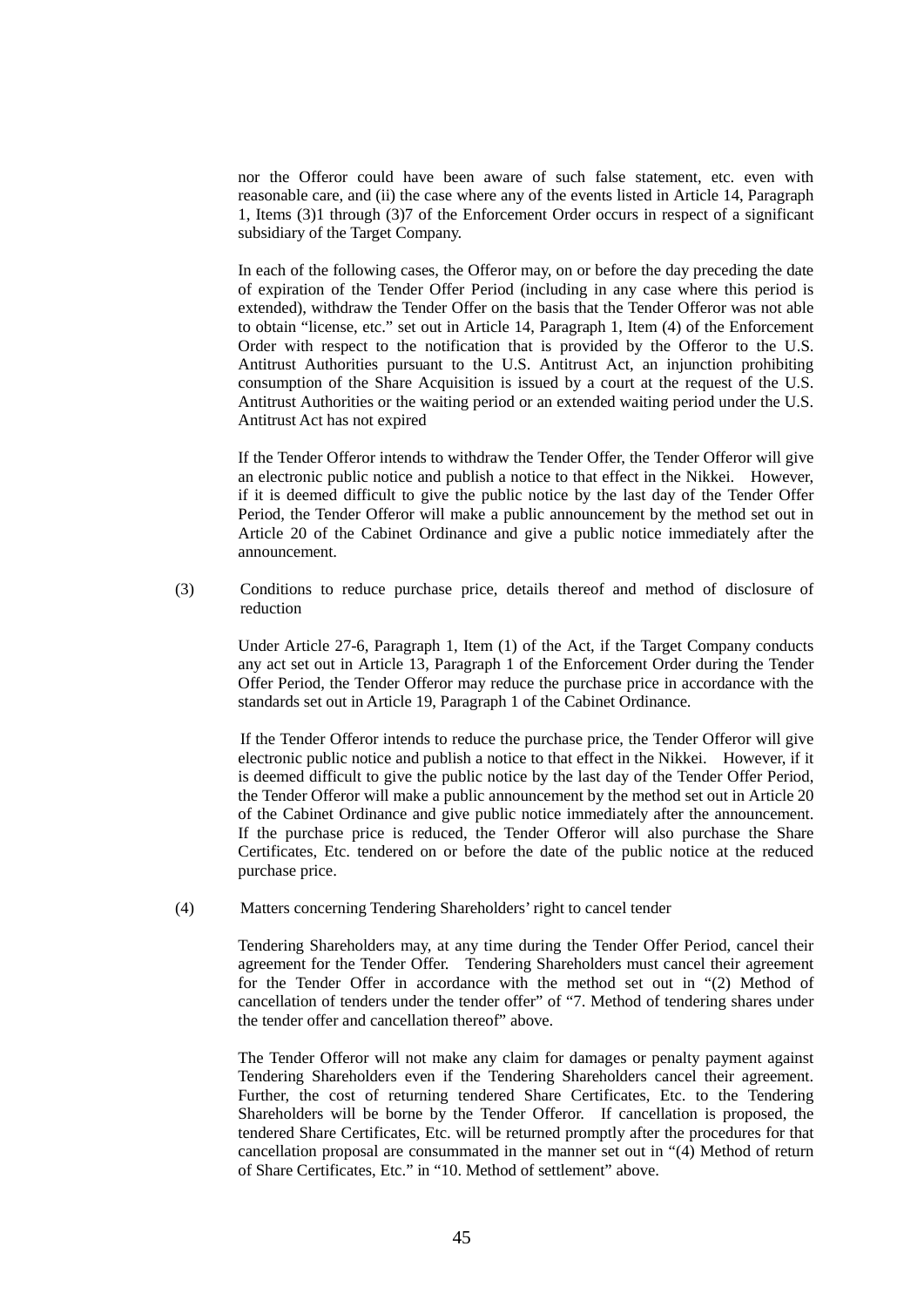nor the Offeror could have been aware of such false statement, etc. even with reasonable care, and (ii) the case where any of the events listed in Article 14, Paragraph 1, Items (3)1 through (3)7 of the Enforcement Order occurs in respect of a significant subsidiary of the Target Company.

In each of the following cases, the Offeror may, on or before the day preceding the date of expiration of the Tender Offer Period (including in any case where this period is extended), withdraw the Tender Offer on the basis that the Tender Offeror was not able to obtain "license, etc." set out in Article 14, Paragraph 1, Item (4) of the Enforcement Order with respect to the notification that is provided by the Offeror to the U.S. Antitrust Authorities pursuant to the U.S. Antitrust Act, an injunction prohibiting consumption of the Share Acquisition is issued by a court at the request of the U.S. Antitrust Authorities or the waiting period or an extended waiting period under the U.S. Antitrust Act has not expired

If the Tender Offeror intends to withdraw the Tender Offer, the Tender Offeror will give an electronic public notice and publish a notice to that effect in the Nikkei. However, if it is deemed difficult to give the public notice by the last day of the Tender Offer Period, the Tender Offeror will make a public announcement by the method set out in Article 20 of the Cabinet Ordinance and give a public notice immediately after the announcement.

(3) Conditions to reduce purchase price, details thereof and method of disclosure of reduction

Under Article 27-6, Paragraph 1, Item (1) of the Act, if the Target Company conducts any act set out in Article 13, Paragraph 1 of the Enforcement Order during the Tender Offer Period, the Tender Offeror may reduce the purchase price in accordance with the standards set out in Article 19, Paragraph 1 of the Cabinet Ordinance.

If the Tender Offeror intends to reduce the purchase price, the Tender Offeror will give electronic public notice and publish a notice to that effect in the Nikkei. However, if it is deemed difficult to give the public notice by the last day of the Tender Offer Period, the Tender Offeror will make a public announcement by the method set out in Article 20 of the Cabinet Ordinance and give public notice immediately after the announcement. If the purchase price is reduced, the Tender Offeror will also purchase the Share Certificates, Etc. tendered on or before the date of the public notice at the reduced purchase price.

(4) Matters concerning Tendering Shareholders' right to cancel tender

Tendering Shareholders may, at any time during the Tender Offer Period, cancel their agreement for the Tender Offer. Tendering Shareholders must cancel their agreement for the Tender Offer in accordance with the method set out in "(2) Method of cancellation of tenders under the tender offer" of "7. Method of tendering shares under the tender offer and cancellation thereof" above.

The Tender Offeror will not make any claim for damages or penalty payment against Tendering Shareholders even if the Tendering Shareholders cancel their agreement. Further, the cost of returning tendered Share Certificates, Etc. to the Tendering Shareholders will be borne by the Tender Offeror. If cancellation is proposed, the tendered Share Certificates, Etc. will be returned promptly after the procedures for that cancellation proposal are consummated in the manner set out in "(4) Method of return of Share Certificates, Etc." in "10. Method of settlement" above.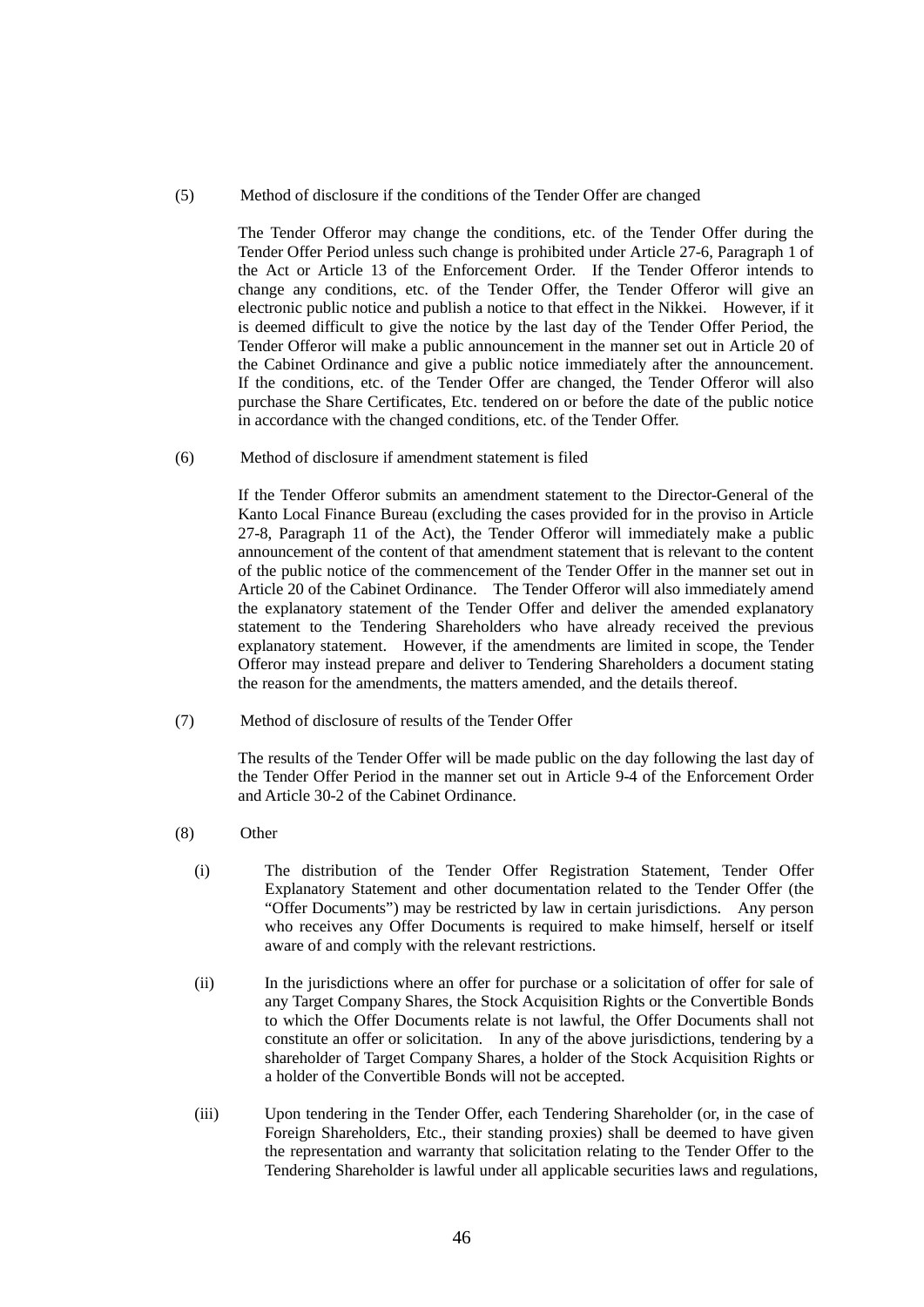(5) Method of disclosure if the conditions of the Tender Offer are changed

The Tender Offeror may change the conditions, etc. of the Tender Offer during the Tender Offer Period unless such change is prohibited under Article 27-6, Paragraph 1 of the Act or Article 13 of the Enforcement Order. If the Tender Offeror intends to change any conditions, etc. of the Tender Offer, the Tender Offeror will give an electronic public notice and publish a notice to that effect in the Nikkei. However, if it is deemed difficult to give the notice by the last day of the Tender Offer Period, the Tender Offeror will make a public announcement in the manner set out in Article 20 of the Cabinet Ordinance and give a public notice immediately after the announcement. If the conditions, etc. of the Tender Offer are changed, the Tender Offeror will also purchase the Share Certificates, Etc. tendered on or before the date of the public notice in accordance with the changed conditions, etc. of the Tender Offer.

(6) Method of disclosure if amendment statement is filed

If the Tender Offeror submits an amendment statement to the Director-General of the Kanto Local Finance Bureau (excluding the cases provided for in the proviso in Article 27-8, Paragraph 11 of the Act), the Tender Offeror will immediately make a public announcement of the content of that amendment statement that is relevant to the content of the public notice of the commencement of the Tender Offer in the manner set out in Article 20 of the Cabinet Ordinance. The Tender Offeror will also immediately amend the explanatory statement of the Tender Offer and deliver the amended explanatory statement to the Tendering Shareholders who have already received the previous explanatory statement. However, if the amendments are limited in scope, the Tender Offeror may instead prepare and deliver to Tendering Shareholders a document stating the reason for the amendments, the matters amended, and the details thereof.

(7) Method of disclosure of results of the Tender Offer

The results of the Tender Offer will be made public on the day following the last day of the Tender Offer Period in the manner set out in Article 9-4 of the Enforcement Order and Article 30-2 of the Cabinet Ordinance.

- (8) Other
	- (i) The distribution of the Tender Offer Registration Statement, Tender Offer Explanatory Statement and other documentation related to the Tender Offer (the "Offer Documents") may be restricted by law in certain jurisdictions. Any person who receives any Offer Documents is required to make himself, herself or itself aware of and comply with the relevant restrictions.
	- (ii) In the jurisdictions where an offer for purchase or a solicitation of offer for sale of any Target Company Shares, the Stock Acquisition Rights or the Convertible Bonds to which the Offer Documents relate is not lawful, the Offer Documents shall not constitute an offer or solicitation. In any of the above jurisdictions, tendering by a shareholder of Target Company Shares, a holder of the Stock Acquisition Rights or a holder of the Convertible Bonds will not be accepted.
	- (iii) Upon tendering in the Tender Offer, each Tendering Shareholder (or, in the case of Foreign Shareholders, Etc., their standing proxies) shall be deemed to have given the representation and warranty that solicitation relating to the Tender Offer to the Tendering Shareholder is lawful under all applicable securities laws and regulations,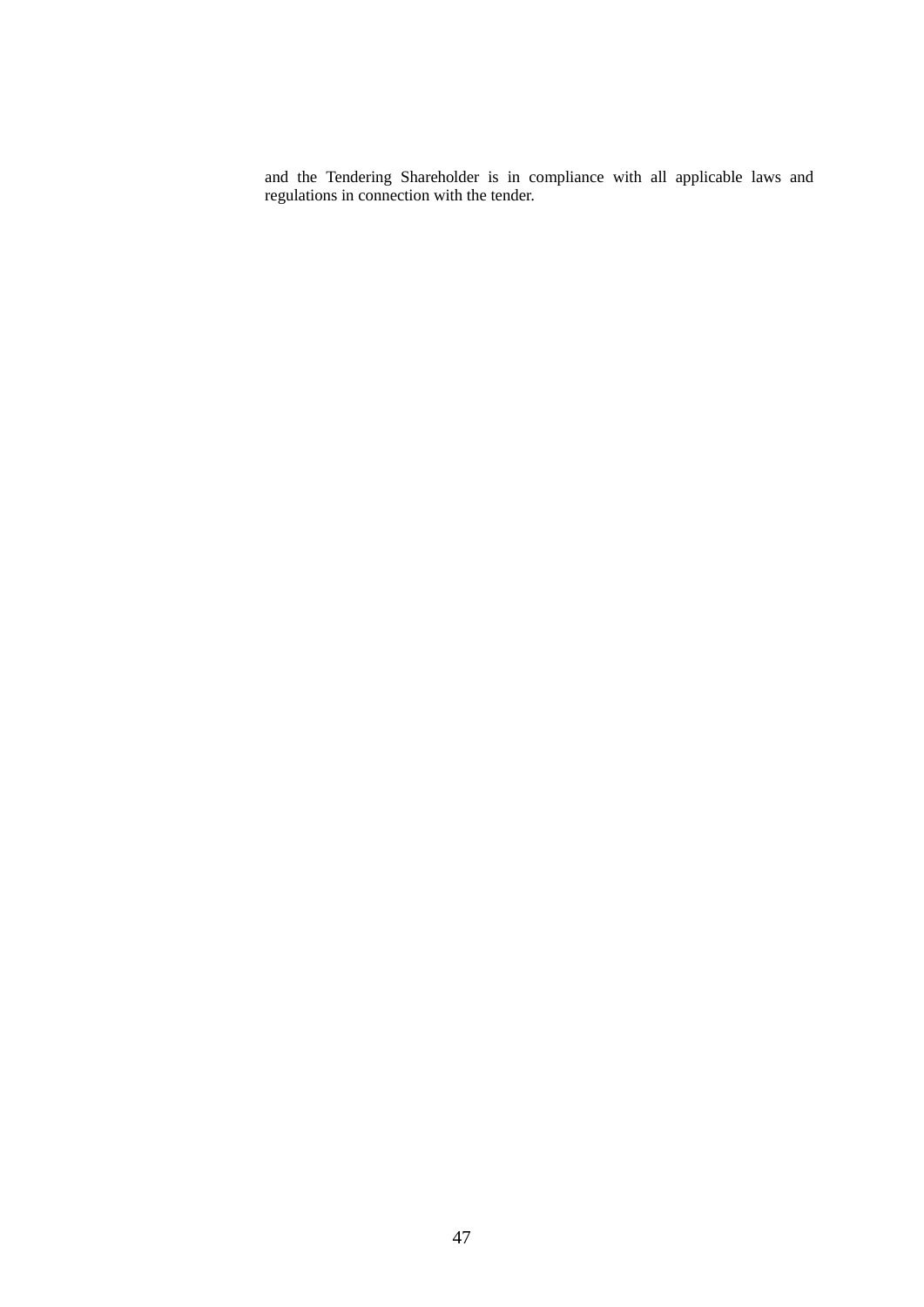and the Tendering Shareholder is in compliance with all applicable laws and regulations in connection with the tender.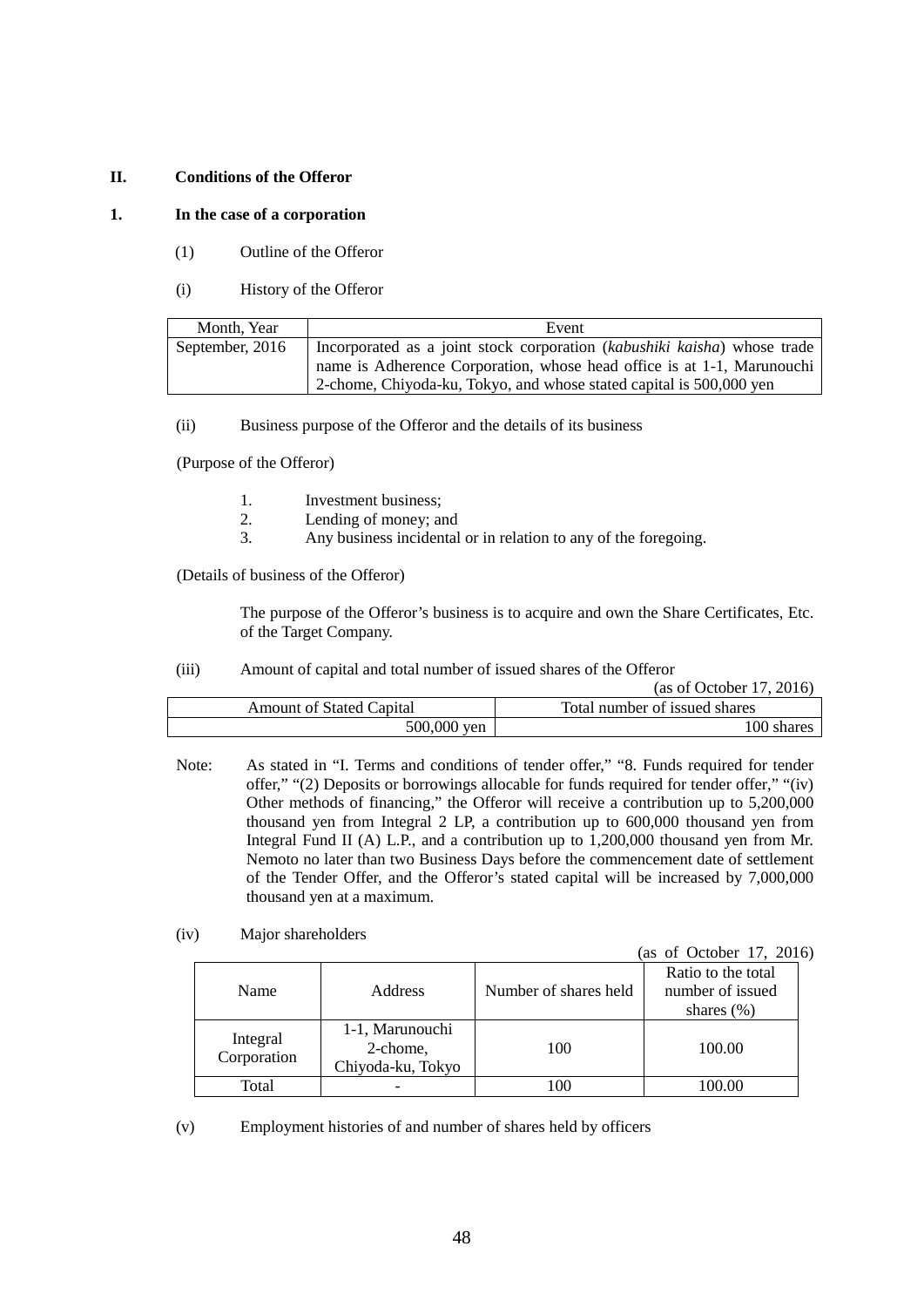## **II. Conditions of the Offeror**

### **1. In the case of a corporation**

- (1) Outline of the Offeror
- (i) History of the Offeror

| Month. Year     | Event                                                                                                                                                                                                                     |
|-----------------|---------------------------------------------------------------------------------------------------------------------------------------------------------------------------------------------------------------------------|
| September, 2016 | Incorporated as a joint stock corporation (kabushiki kaisha) whose trade<br>name is Adherence Corporation, whose head office is at 1-1, Marunouchi<br>2-chome, Chiyoda-ku, Tokyo, and whose stated capital is 500,000 yen |

(ii) Business purpose of the Offeror and the details of its business

(Purpose of the Offeror)

- 1. Investment business;
- 2. Lending of money; and
- 3. Any business incidental or in relation to any of the foregoing.

(Details of business of the Offeror)

The purpose of the Offeror's business is to acquire and own the Share Certificates, Etc. of the Target Company.

## (iii) Amount of capital and total number of issued shares of the Offeror

(as of October 17, 2016)

| <b>Amount of Stated Capital</b> | Total number of issued shares |
|---------------------------------|-------------------------------|
| 500,000                         | 100                           |
| ven                             | shares                        |

- Note: As stated in "I. Terms and conditions of tender offer," "8. Funds required for tender offer," "(2) Deposits or borrowings allocable for funds required for tender offer," "(iv) Other methods of financing," the Offeror will receive a contribution up to 5,200,000 thousand yen from Integral 2 LP, a contribution up to 600,000 thousand yen from Integral Fund II (A) L.P., and a contribution up to 1,200,000 thousand yen from Mr. Nemoto no later than two Business Days before the commencement date of settlement of the Tender Offer, and the Offeror's stated capital will be increased by 7,000,000 thousand yen at a maximum.
- (iv) Major shareholders

(as of October 17, 2016)

| Name                    | <b>Address</b>                                   | Number of shares held | Ratio to the total<br>number of issued<br>shares $(\% )$ |
|-------------------------|--------------------------------------------------|-----------------------|----------------------------------------------------------|
| Integral<br>Corporation | 1-1, Marunouchi<br>2-chome,<br>Chiyoda-ku, Tokyo | 100                   | 100.00                                                   |
| Total                   |                                                  | 00                    | 100 00                                                   |

(v) Employment histories of and number of shares held by officers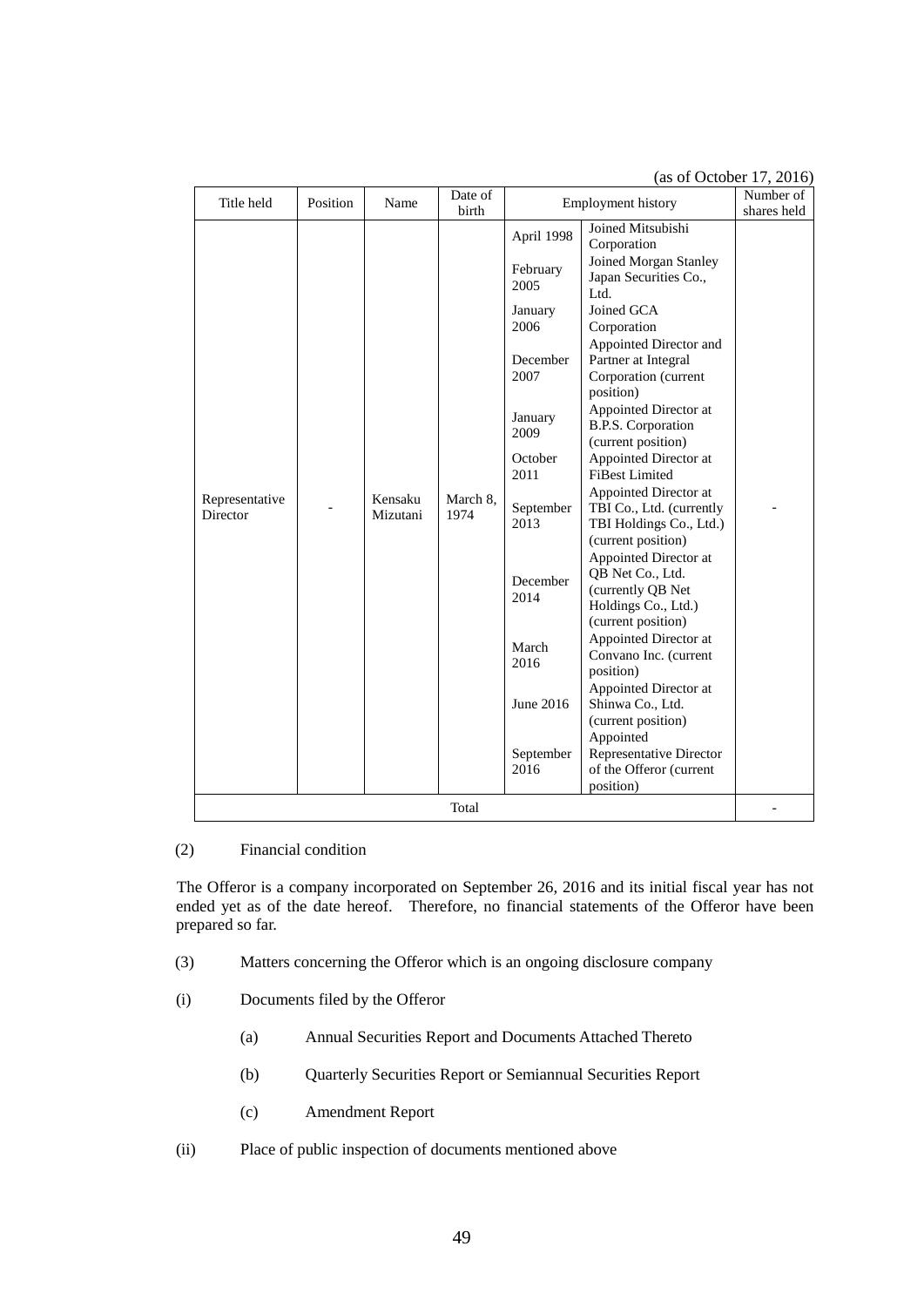(as of October 17, 2016)

| Title held                 | Position | Name                | Date of<br>birth | <b>Employment history</b> | Number of<br>shares held                                                                                                           |  |
|----------------------------|----------|---------------------|------------------|---------------------------|------------------------------------------------------------------------------------------------------------------------------------|--|
|                            |          |                     |                  | April 1998                | Joined Mitsubishi<br>Corporation                                                                                                   |  |
|                            |          |                     |                  | February<br>2005          | Joined Morgan Stanley<br>Japan Securities Co.,<br>Ltd.                                                                             |  |
|                            |          |                     |                  | January                   | Joined GCA                                                                                                                         |  |
|                            |          |                     |                  | 2006                      | Corporation                                                                                                                        |  |
|                            |          |                     |                  | December<br>2007          | Appointed Director and<br>Partner at Integral<br>Corporation (current<br>position)                                                 |  |
|                            |          |                     |                  | January<br>2009           | Appointed Director at<br>B.P.S. Corporation<br>(current position)                                                                  |  |
|                            |          | Kensaku<br>Mizutani |                  | October<br>2011           | Appointed Director at<br><b>FiBest Limited</b>                                                                                     |  |
| Representative<br>Director |          |                     | March 8.<br>1974 | September<br>2013         | Appointed Director at<br>TBI Co., Ltd. (currently<br>TBI Holdings Co., Ltd.)                                                       |  |
|                            |          |                     |                  | December<br>2014          | (current position)<br>Appointed Director at<br>QB Net Co., Ltd.<br>(currently QB Net)<br>Holdings Co., Ltd.)<br>(current position) |  |
|                            |          |                     |                  | March<br>2016             | Appointed Director at<br>Convano Inc. (current<br>position)                                                                        |  |
|                            |          |                     |                  | June 2016                 | Appointed Director at<br>Shinwa Co., Ltd.<br>(current position)                                                                    |  |
|                            |          |                     |                  | September<br>2016         | Appointed<br>Representative Director<br>of the Offeror (current<br>position)                                                       |  |
| Total                      |          |                     |                  |                           |                                                                                                                                    |  |

# (2) Financial condition

The Offeror is a company incorporated on September 26, 2016 and its initial fiscal year has not ended yet as of the date hereof. Therefore, no financial statements of the Offeror have been prepared so far.

- (3) Matters concerning the Offeror which is an ongoing disclosure company
- (i) Documents filed by the Offeror
	- (a) Annual Securities Report and Documents Attached Thereto
	- (b) Quarterly Securities Report or Semiannual Securities Report
	- (c) Amendment Report
- (ii) Place of public inspection of documents mentioned above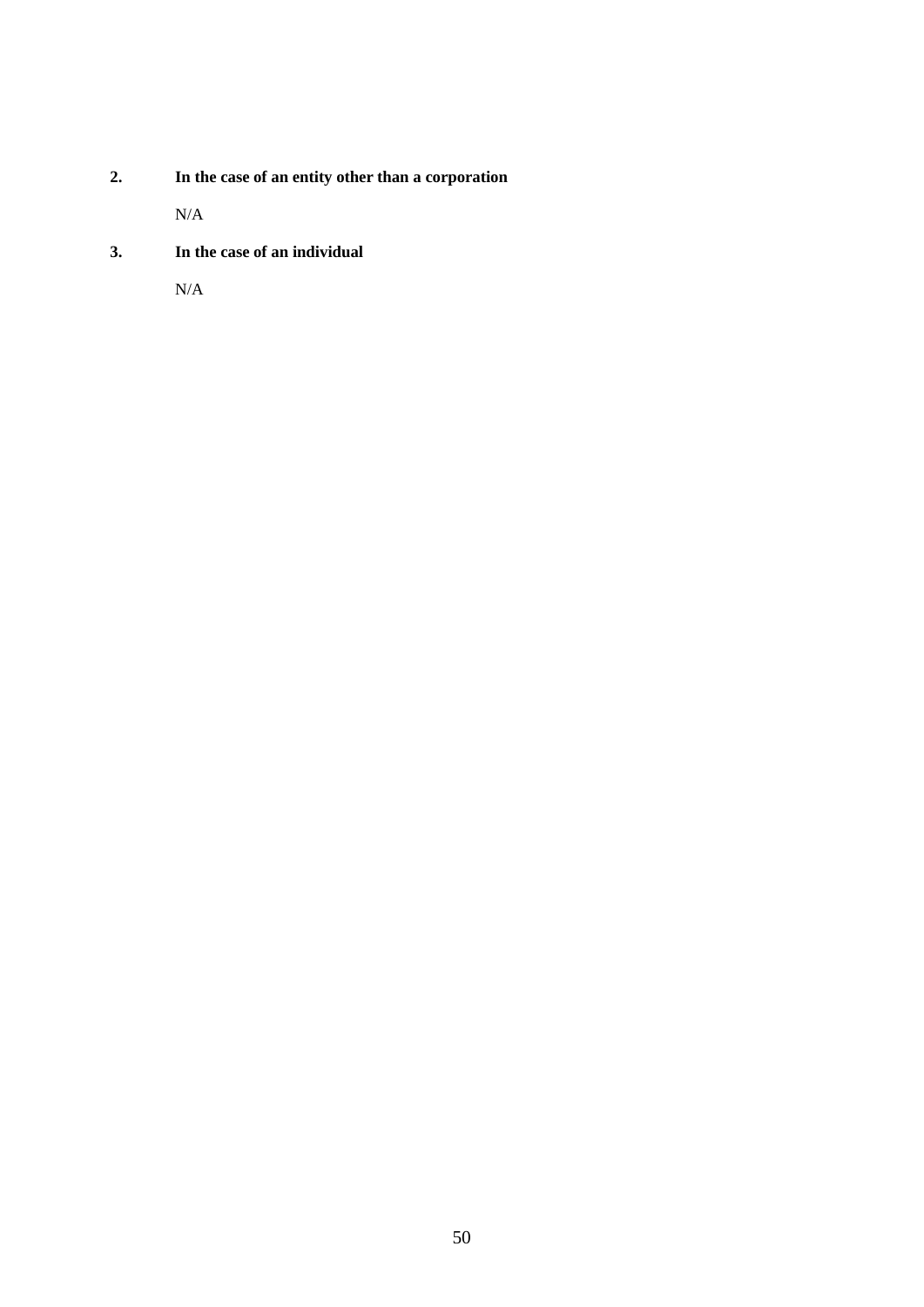**2. In the case of an entity other than a corporation** 

N/A

**3. In the case of an individual** 

N/A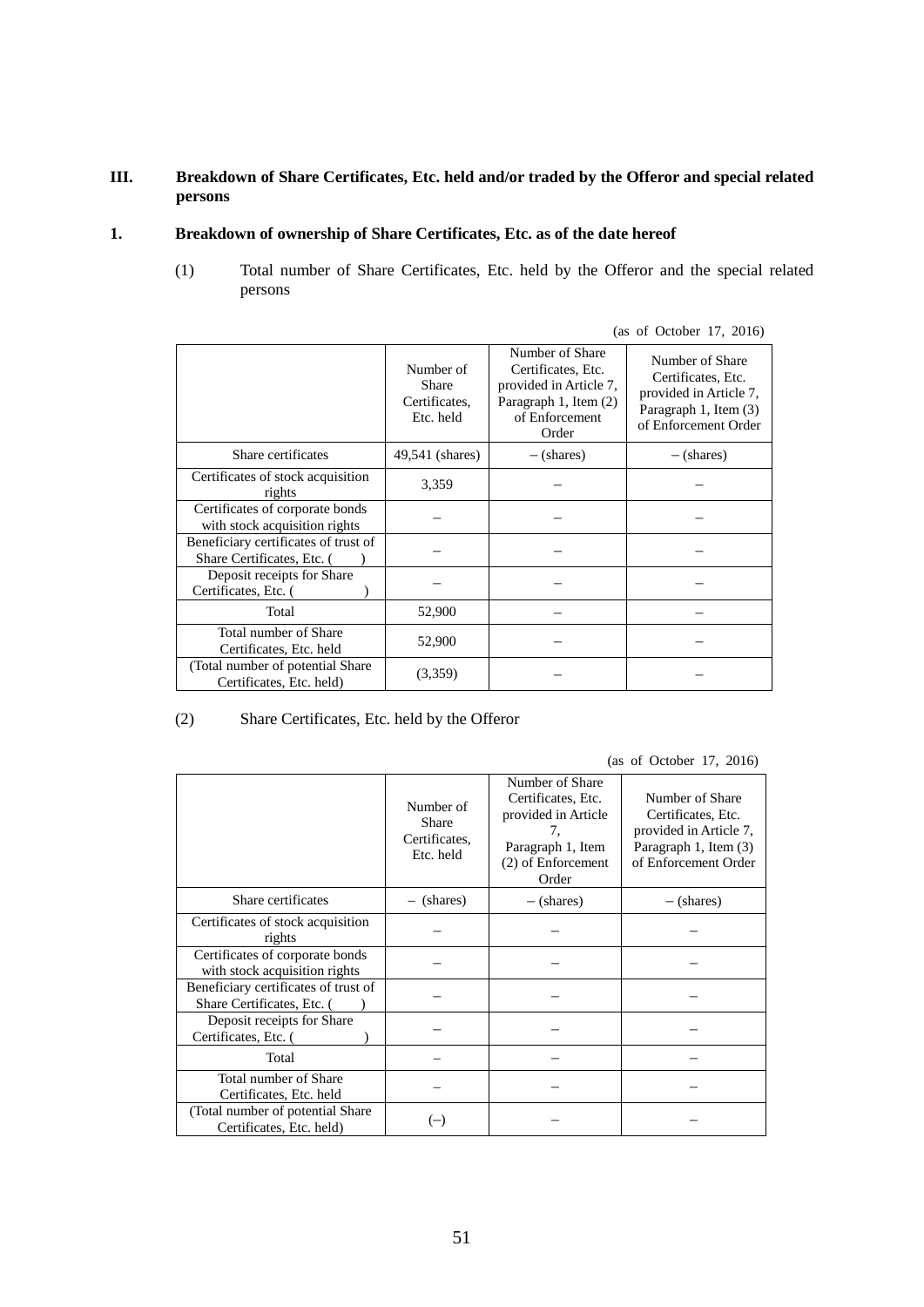# **III. Breakdown of Share Certificates, Etc. held and/or traded by the Offeror and special related persons**

# **1. Breakdown of ownership of Share Certificates, Etc. as of the date hereof**

(1) Total number of Share Certificates, Etc. held by the Offeror and the special related persons

|  |  |  | (as of October 17, 2016) |  |  |
|--|--|--|--------------------------|--|--|
|--|--|--|--------------------------|--|--|

|                                                                    | Number of<br>Share<br>Certificates,<br>Etc. held | Number of Share<br>Certificates, Etc.<br>provided in Article 7,<br>Paragraph 1, Item (2)<br>of Enforcement<br>Order | Number of Share<br>Certificates, Etc.<br>provided in Article 7,<br>Paragraph 1, Item (3)<br>of Enforcement Order |
|--------------------------------------------------------------------|--------------------------------------------------|---------------------------------------------------------------------------------------------------------------------|------------------------------------------------------------------------------------------------------------------|
| Share certificates                                                 | 49,541 (shares)                                  | $-$ (shares)                                                                                                        | $-$ (shares)                                                                                                     |
| Certificates of stock acquisition<br>rights                        | 3,359                                            |                                                                                                                     |                                                                                                                  |
| Certificates of corporate bonds<br>with stock acquisition rights   |                                                  |                                                                                                                     |                                                                                                                  |
| Beneficiary certificates of trust of<br>Share Certificates, Etc. ( |                                                  |                                                                                                                     |                                                                                                                  |
| Deposit receipts for Share<br>Certificates, Etc. (                 |                                                  |                                                                                                                     |                                                                                                                  |
| Total                                                              | 52,900                                           |                                                                                                                     |                                                                                                                  |
| Total number of Share<br>Certificates, Etc. held                   | 52,900                                           |                                                                                                                     |                                                                                                                  |
| (Total number of potential Share<br>Certificates, Etc. held)       | (3,359)                                          |                                                                                                                     |                                                                                                                  |

(2) Share Certificates, Etc. held by the Offeror

(as of October 17, 2016)

|                                                                    | Number of<br>Share<br>Certificates,<br>Etc. held | Number of Share<br>Certificates, Etc.<br>provided in Article<br>7.<br>Paragraph 1, Item<br>(2) of Enforcement<br>Order | Number of Share<br>Certificates, Etc.<br>provided in Article 7,<br>Paragraph 1, Item (3)<br>of Enforcement Order |
|--------------------------------------------------------------------|--------------------------------------------------|------------------------------------------------------------------------------------------------------------------------|------------------------------------------------------------------------------------------------------------------|
| Share certificates                                                 | - (shares)                                       | $-$ (shares)                                                                                                           | $-$ (shares)                                                                                                     |
| Certificates of stock acquisition<br>rights                        |                                                  |                                                                                                                        |                                                                                                                  |
| Certificates of corporate bonds<br>with stock acquisition rights   |                                                  |                                                                                                                        |                                                                                                                  |
| Beneficiary certificates of trust of<br>Share Certificates, Etc. ( |                                                  |                                                                                                                        |                                                                                                                  |
| Deposit receipts for Share<br>Certificates, Etc. (                 |                                                  |                                                                                                                        |                                                                                                                  |
| Total                                                              |                                                  |                                                                                                                        |                                                                                                                  |
| Total number of Share<br>Certificates, Etc. held                   |                                                  |                                                                                                                        |                                                                                                                  |
| (Total number of potential Share)<br>Certificates, Etc. held)      | $(-)$                                            |                                                                                                                        |                                                                                                                  |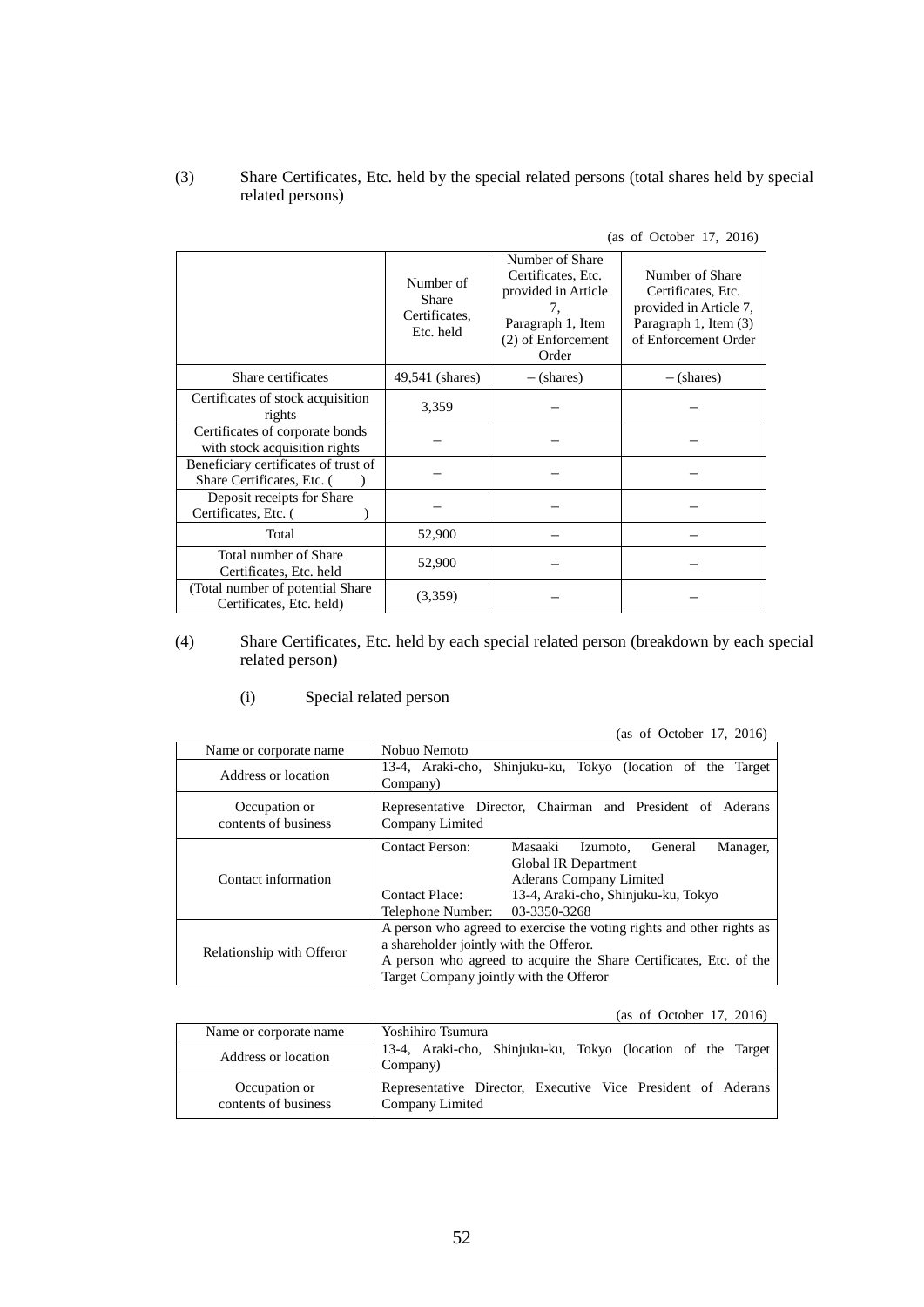# (3) Share Certificates, Etc. held by the special related persons (total shares held by special related persons)

| (as of October 17, 2016) |
|--------------------------|
|--------------------------|

|                                                                    | Number of<br>Share<br>Certificates,<br>Etc. held | Number of Share<br>Certificates, Etc.<br>provided in Article<br>7.<br>Paragraph 1, Item<br>(2) of Enforcement<br>Order | Number of Share<br>Certificates, Etc.<br>provided in Article 7,<br>Paragraph 1, Item (3)<br>of Enforcement Order |
|--------------------------------------------------------------------|--------------------------------------------------|------------------------------------------------------------------------------------------------------------------------|------------------------------------------------------------------------------------------------------------------|
| Share certificates                                                 | 49,541 (shares)                                  | $-$ (shares)                                                                                                           | $-$ (shares)                                                                                                     |
| Certificates of stock acquisition<br>rights                        | 3,359                                            |                                                                                                                        |                                                                                                                  |
| Certificates of corporate bonds<br>with stock acquisition rights   |                                                  |                                                                                                                        |                                                                                                                  |
| Beneficiary certificates of trust of<br>Share Certificates, Etc. ( |                                                  |                                                                                                                        |                                                                                                                  |
| Deposit receipts for Share<br>Certificates, Etc.                   |                                                  |                                                                                                                        |                                                                                                                  |
| Total                                                              | 52,900                                           |                                                                                                                        |                                                                                                                  |
| Total number of Share<br>Certificates, Etc. held                   | 52,900                                           |                                                                                                                        |                                                                                                                  |
| (Total number of potential Share)<br>Certificates, Etc. held)      | (3,359)                                          |                                                                                                                        |                                                                                                                  |

# (4) Share Certificates, Etc. held by each special related person (breakdown by each special related person)

(i) Special related person

|                                       | (40, 01, 000001, 11, 2010)                                                                                                                                                                                                        |  |  |  |
|---------------------------------------|-----------------------------------------------------------------------------------------------------------------------------------------------------------------------------------------------------------------------------------|--|--|--|
| Name or corporate name                | Nobuo Nemoto                                                                                                                                                                                                                      |  |  |  |
| Address or location                   | 13-4, Araki-cho, Shinjuku-ku, Tokyo (location of the Target<br>Company)                                                                                                                                                           |  |  |  |
| Occupation or<br>contents of business | Representative Director, Chairman and President of Aderans<br>Company Limited                                                                                                                                                     |  |  |  |
| Contact information                   | <b>Contact Person:</b><br>Masaaki<br>General<br>Manager,<br>Izumoto.<br>Global IR Department<br>Aderans Company Limited<br>13-4, Araki-cho, Shinjuku-ku, Tokyo<br><b>Contact Place:</b><br>03-3350-3268<br>Telephone Number:      |  |  |  |
| Relationship with Offeror             | A person who agreed to exercise the voting rights and other rights as<br>a shareholder jointly with the Offeror.<br>A person who agreed to acquire the Share Certificates, Etc. of the<br>Target Company jointly with the Offeror |  |  |  |

(as of October 17, 2016)

(as of October 17, 2016)

| Name or corporate name                | Yoshihiro Tsumura                                                               |
|---------------------------------------|---------------------------------------------------------------------------------|
| Address or location                   | 13-4, Araki-cho, Shinjuku-ku, Tokyo (location of the Target<br>Company)         |
| Occupation or<br>contents of business | Representative Director, Executive Vice President of Aderans<br>Company Limited |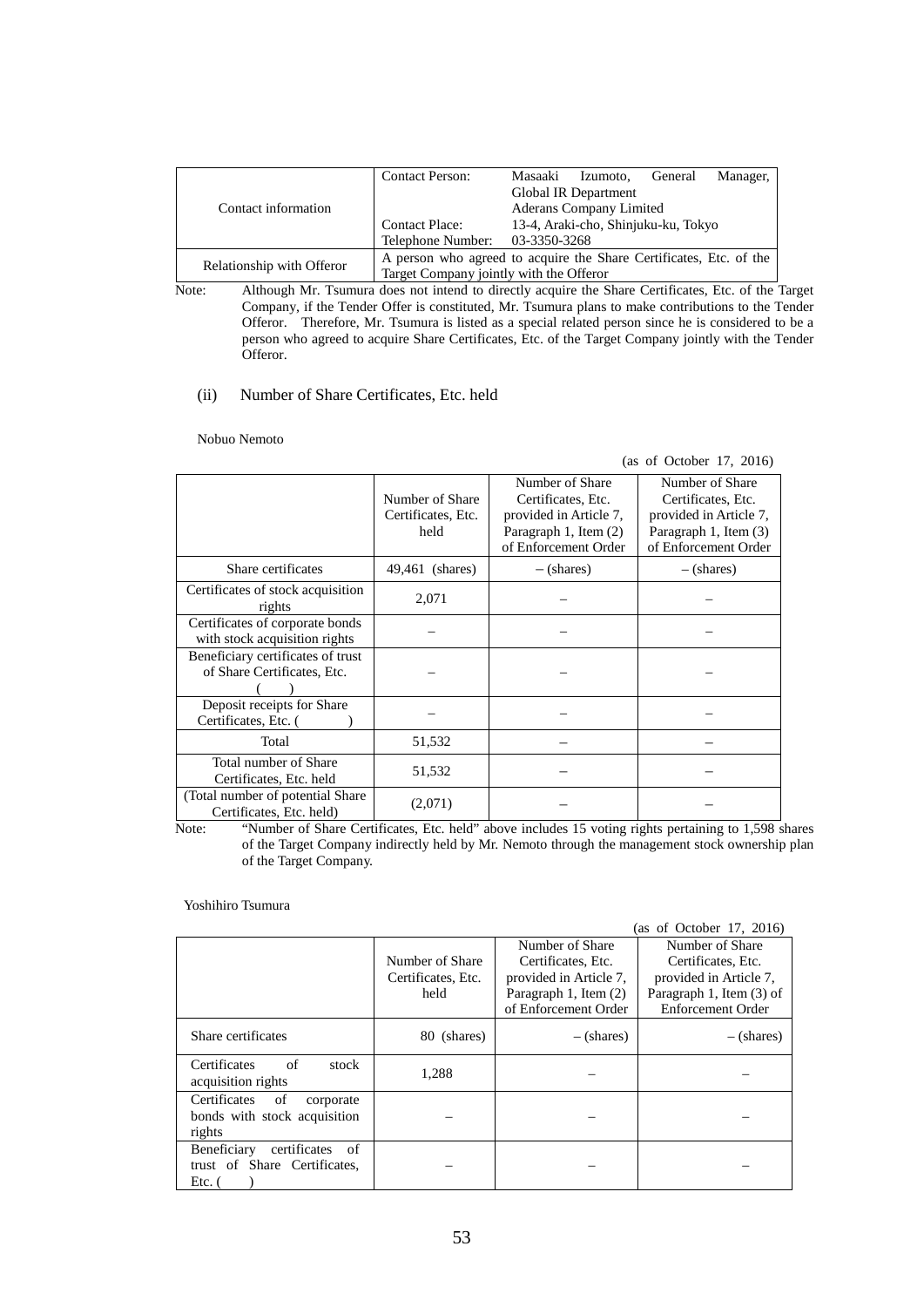| Contact information       | <b>Contact Person:</b>                                             | Masaaki                             | Izumoto,             | General | Manager, |
|---------------------------|--------------------------------------------------------------------|-------------------------------------|----------------------|---------|----------|
|                           |                                                                    |                                     | Global IR Department |         |          |
|                           |                                                                    | <b>Aderans Company Limited</b>      |                      |         |          |
|                           | <b>Contact Place:</b>                                              | 13-4, Araki-cho, Shinjuku-ku, Tokyo |                      |         |          |
|                           | Telephone Number:                                                  | 03-3350-3268                        |                      |         |          |
|                           | A person who agreed to acquire the Share Certificates, Etc. of the |                                     |                      |         |          |
| Relationship with Offeror | Target Company jointly with the Offeror                            |                                     |                      |         |          |

Note: Although Mr. Tsumura does not intend to directly acquire the Share Certificates, Etc. of the Target Company, if the Tender Offer is constituted, Mr. Tsumura plans to make contributions to the Tender Offeror. Therefore, Mr. Tsumura is listed as a special related person since he is considered to be a person who agreed to acquire Share Certificates, Etc. of the Target Company jointly with the Tender Offeror.

#### (ii) Number of Share Certificates, Etc. held

#### Nobuo Nemoto

|                                                                  |                                               |                                                                                                                  | (as of October 17, 2016)                                                                                         |
|------------------------------------------------------------------|-----------------------------------------------|------------------------------------------------------------------------------------------------------------------|------------------------------------------------------------------------------------------------------------------|
|                                                                  | Number of Share<br>Certificates, Etc.<br>held | Number of Share<br>Certificates, Etc.<br>provided in Article 7,<br>Paragraph 1, Item (2)<br>of Enforcement Order | Number of Share<br>Certificates, Etc.<br>provided in Article 7,<br>Paragraph 1, Item (3)<br>of Enforcement Order |
| Share certificates                                               | 49,461 (shares)                               | $-$ (shares)                                                                                                     | $-$ (shares)                                                                                                     |
| Certificates of stock acquisition<br>rights                      | 2,071                                         |                                                                                                                  |                                                                                                                  |
| Certificates of corporate bonds<br>with stock acquisition rights |                                               |                                                                                                                  |                                                                                                                  |
| Beneficiary certificates of trust<br>of Share Certificates, Etc. |                                               |                                                                                                                  |                                                                                                                  |
| Deposit receipts for Share<br>Certificates, Etc. (               |                                               |                                                                                                                  |                                                                                                                  |
| Total                                                            | 51,532                                        |                                                                                                                  |                                                                                                                  |
| Total number of Share<br>Certificates, Etc. held                 | 51,532                                        |                                                                                                                  |                                                                                                                  |
| (Total number of potential Share)<br>Certificates, Etc. held)    | (2,071)                                       |                                                                                                                  |                                                                                                                  |

Note: "Number of Share Certificates, Etc. held" above includes 15 voting rights pertaining to 1,598 shares of the Target Company indirectly held by Mr. Nemoto through the management stock ownership plan of the Target Company.

#### Yoshihiro Tsumura

|                                                                             |                    |                        | (as of October 17, 2016) |
|-----------------------------------------------------------------------------|--------------------|------------------------|--------------------------|
|                                                                             |                    | Number of Share        | Number of Share          |
|                                                                             | Number of Share    | Certificates, Etc.     | Certificates, Etc.       |
|                                                                             | Certificates, Etc. | provided in Article 7. | provided in Article 7,   |
|                                                                             | held               | Paragraph 1, Item (2)  | Paragraph 1, Item (3) of |
|                                                                             |                    | of Enforcement Order   | Enforcement Order        |
| Share certificates                                                          | 80 (shares)        | $-$ (shares)           | $-$ (shares)             |
| Certificates<br>of<br>stock<br>acquisition rights                           | 1,288              |                        |                          |
| Certificates<br>of<br>corporate<br>bonds with stock acquisition<br>rights   |                    |                        |                          |
| Beneficiary<br>of<br>certificates<br>trust of Share Certificates,<br>Etc. 0 |                    |                        |                          |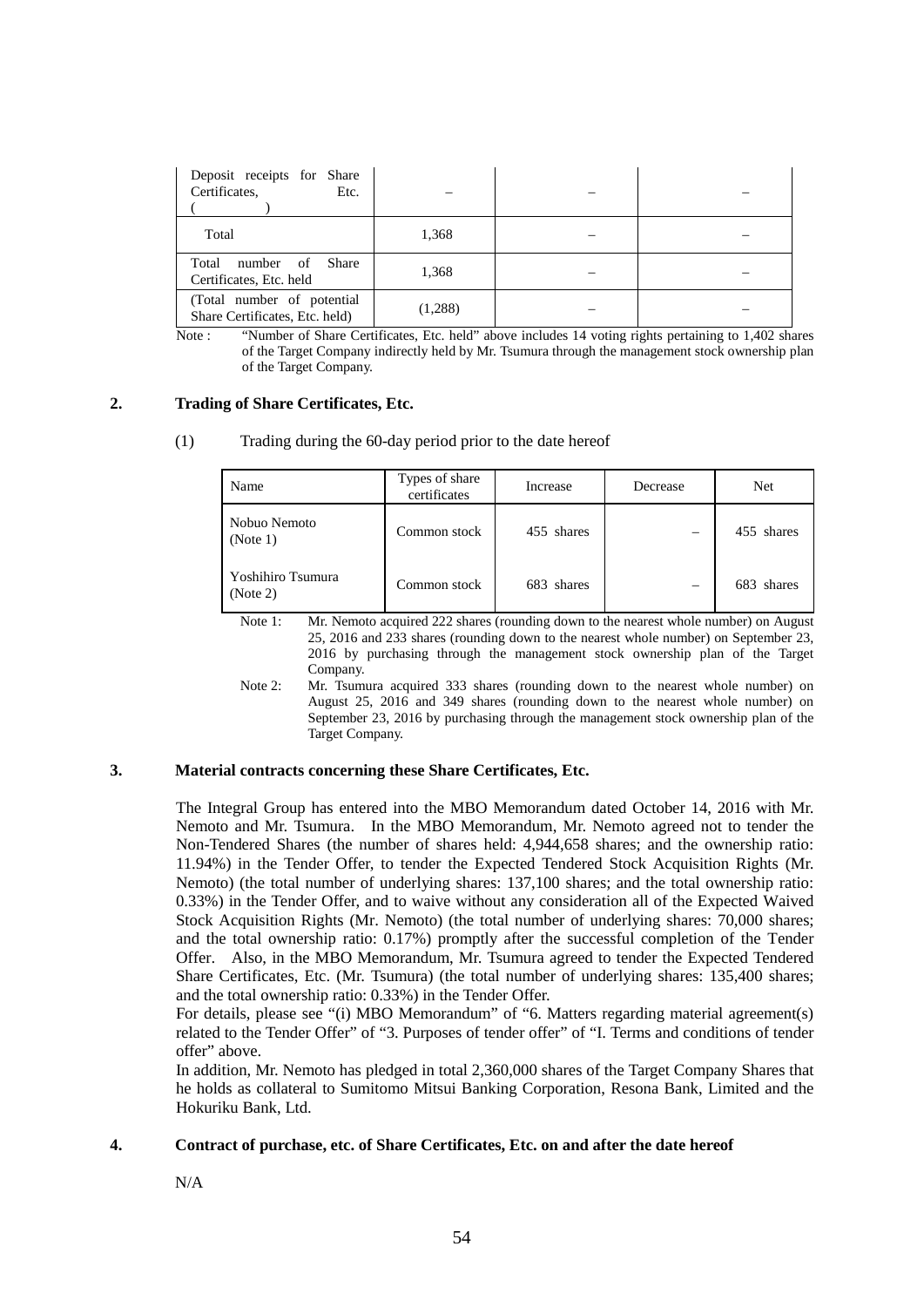| Deposit receipts for Share<br>Certificates,<br>Etc.           |         |  |
|---------------------------------------------------------------|---------|--|
| Total                                                         | 1,368   |  |
| Total number of Share<br>Certificates, Etc. held              | 1,368   |  |
| (Total number of potential)<br>Share Certificates, Etc. held) | (1,288) |  |

Note : "Number of Share Certificates, Etc. held" above includes 14 voting rights pertaining to 1,402 shares of the Target Company indirectly held by Mr. Tsumura through the management stock ownership plan of the Target Company.

## **2. Trading of Share Certificates, Etc.**

| (1) |  | Trading during the 60-day period prior to the date hereof |  |  |
|-----|--|-----------------------------------------------------------|--|--|
|     |  |                                                           |  |  |

| Name                          | Types of share<br>certificates | Increase   | Decrease | Net        |
|-------------------------------|--------------------------------|------------|----------|------------|
| Nobuo Nemoto<br>(Note 1)      | Common stock                   | 455 shares | —        | 455 shares |
| Yoshihiro Tsumura<br>(Note 2) | Common stock                   | 683 shares | —        | 683 shares |

Note 1: Mr. Nemoto acquired 222 shares (rounding down to the nearest whole number) on August 25, 2016 and 233 shares (rounding down to the nearest whole number) on September 23, 2016 by purchasing through the management stock ownership plan of the Target Company.

Note 2: Mr. Tsumura acquired 333 shares (rounding down to the nearest whole number) on August 25, 2016 and 349 shares (rounding down to the nearest whole number) on September 23, 2016 by purchasing through the management stock ownership plan of the Target Company.

### **3. Material contracts concerning these Share Certificates, Etc.**

The Integral Group has entered into the MBO Memorandum dated October 14, 2016 with Mr. Nemoto and Mr. Tsumura. In the MBO Memorandum, Mr. Nemoto agreed not to tender the Non-Tendered Shares (the number of shares held: 4,944,658 shares; and the ownership ratio: 11.94%) in the Tender Offer, to tender the Expected Tendered Stock Acquisition Rights (Mr. Nemoto) (the total number of underlying shares: 137,100 shares; and the total ownership ratio: 0.33%) in the Tender Offer, and to waive without any consideration all of the Expected Waived Stock Acquisition Rights (Mr. Nemoto) (the total number of underlying shares: 70,000 shares; and the total ownership ratio: 0.17%) promptly after the successful completion of the Tender Offer. Also, in the MBO Memorandum, Mr. Tsumura agreed to tender the Expected Tendered Share Certificates, Etc. (Mr. Tsumura) (the total number of underlying shares: 135,400 shares; and the total ownership ratio: 0.33%) in the Tender Offer.

For details, please see "(i) MBO Memorandum" of "6. Matters regarding material agreement(s) related to the Tender Offer" of "3. Purposes of tender offer" of "I. Terms and conditions of tender offer" above.

In addition, Mr. Nemoto has pledged in total 2,360,000 shares of the Target Company Shares that he holds as collateral to Sumitomo Mitsui Banking Corporation, Resona Bank, Limited and the Hokuriku Bank, Ltd.

### **4. Contract of purchase, etc. of Share Certificates, Etc. on and after the date hereof**

N/A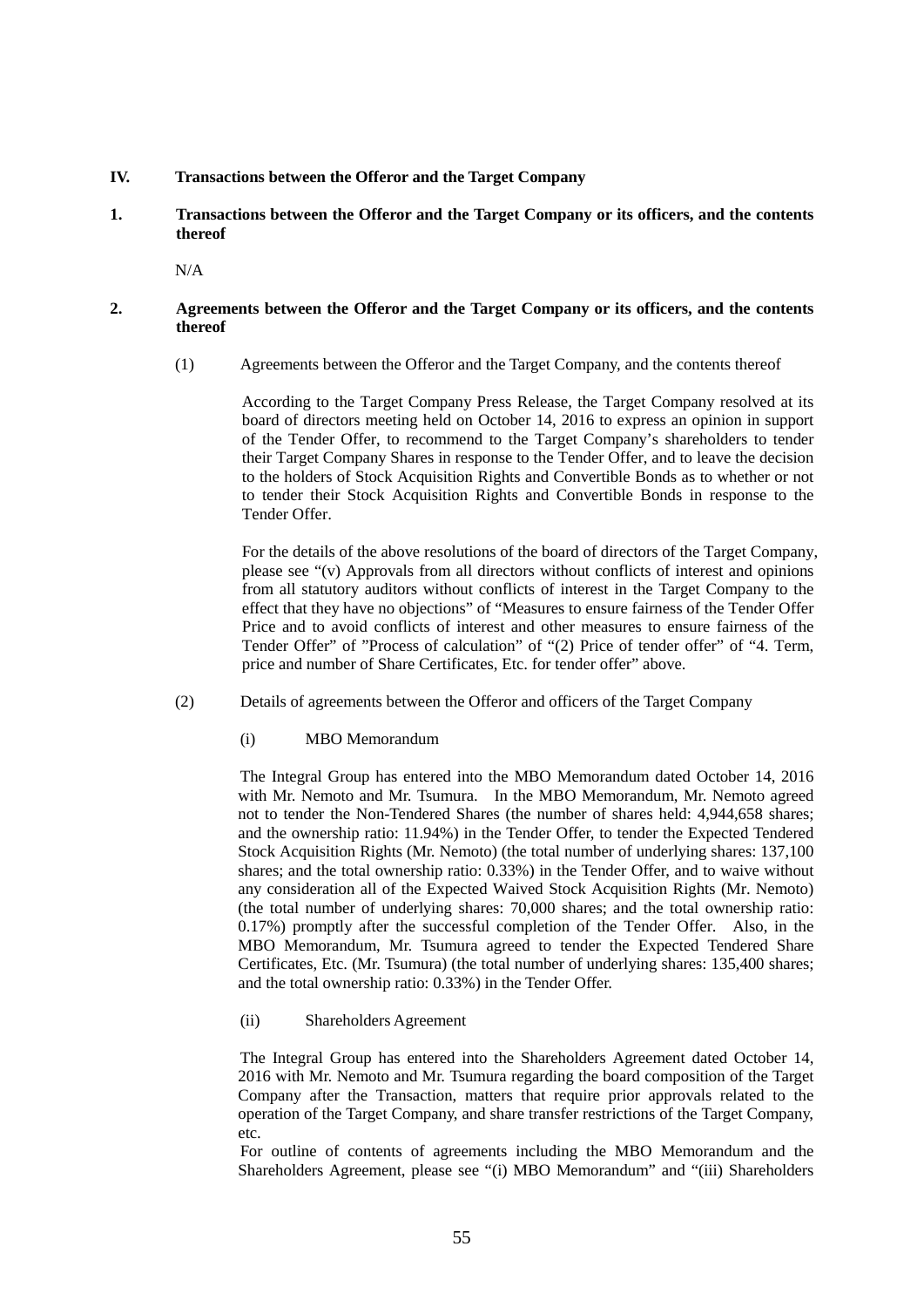### **IV. Transactions between the Offeror and the Target Company**

**1. Transactions between the Offeror and the Target Company or its officers, and the contents thereof** 

N/A

### **2. Agreements between the Offeror and the Target Company or its officers, and the contents thereof**

(1) Agreements between the Offeror and the Target Company, and the contents thereof

According to the Target Company Press Release, the Target Company resolved at its board of directors meeting held on October 14, 2016 to express an opinion in support of the Tender Offer, to recommend to the Target Company's shareholders to tender their Target Company Shares in response to the Tender Offer, and to leave the decision to the holders of Stock Acquisition Rights and Convertible Bonds as to whether or not to tender their Stock Acquisition Rights and Convertible Bonds in response to the Tender Offer.

For the details of the above resolutions of the board of directors of the Target Company, please see "(v) Approvals from all directors without conflicts of interest and opinions from all statutory auditors without conflicts of interest in the Target Company to the effect that they have no objections" of "Measures to ensure fairness of the Tender Offer Price and to avoid conflicts of interest and other measures to ensure fairness of the Tender Offer" of "Process of calculation" of "(2) Price of tender offer" of "4. Term, price and number of Share Certificates, Etc. for tender offer" above.

- (2) Details of agreements between the Offeror and officers of the Target Company
	- (i) MBO Memorandum

The Integral Group has entered into the MBO Memorandum dated October 14, 2016 with Mr. Nemoto and Mr. Tsumura. In the MBO Memorandum, Mr. Nemoto agreed not to tender the Non-Tendered Shares (the number of shares held: 4,944,658 shares; and the ownership ratio: 11.94%) in the Tender Offer, to tender the Expected Tendered Stock Acquisition Rights (Mr. Nemoto) (the total number of underlying shares: 137,100 shares; and the total ownership ratio: 0.33%) in the Tender Offer, and to waive without any consideration all of the Expected Waived Stock Acquisition Rights (Mr. Nemoto) (the total number of underlying shares: 70,000 shares; and the total ownership ratio: 0.17%) promptly after the successful completion of the Tender Offer. Also, in the MBO Memorandum, Mr. Tsumura agreed to tender the Expected Tendered Share Certificates, Etc. (Mr. Tsumura) (the total number of underlying shares: 135,400 shares; and the total ownership ratio: 0.33%) in the Tender Offer.

(ii) Shareholders Agreement

The Integral Group has entered into the Shareholders Agreement dated October 14, 2016 with Mr. Nemoto and Mr. Tsumura regarding the board composition of the Target Company after the Transaction, matters that require prior approvals related to the operation of the Target Company, and share transfer restrictions of the Target Company, etc.

For outline of contents of agreements including the MBO Memorandum and the Shareholders Agreement, please see "(i) MBO Memorandum" and "(iii) Shareholders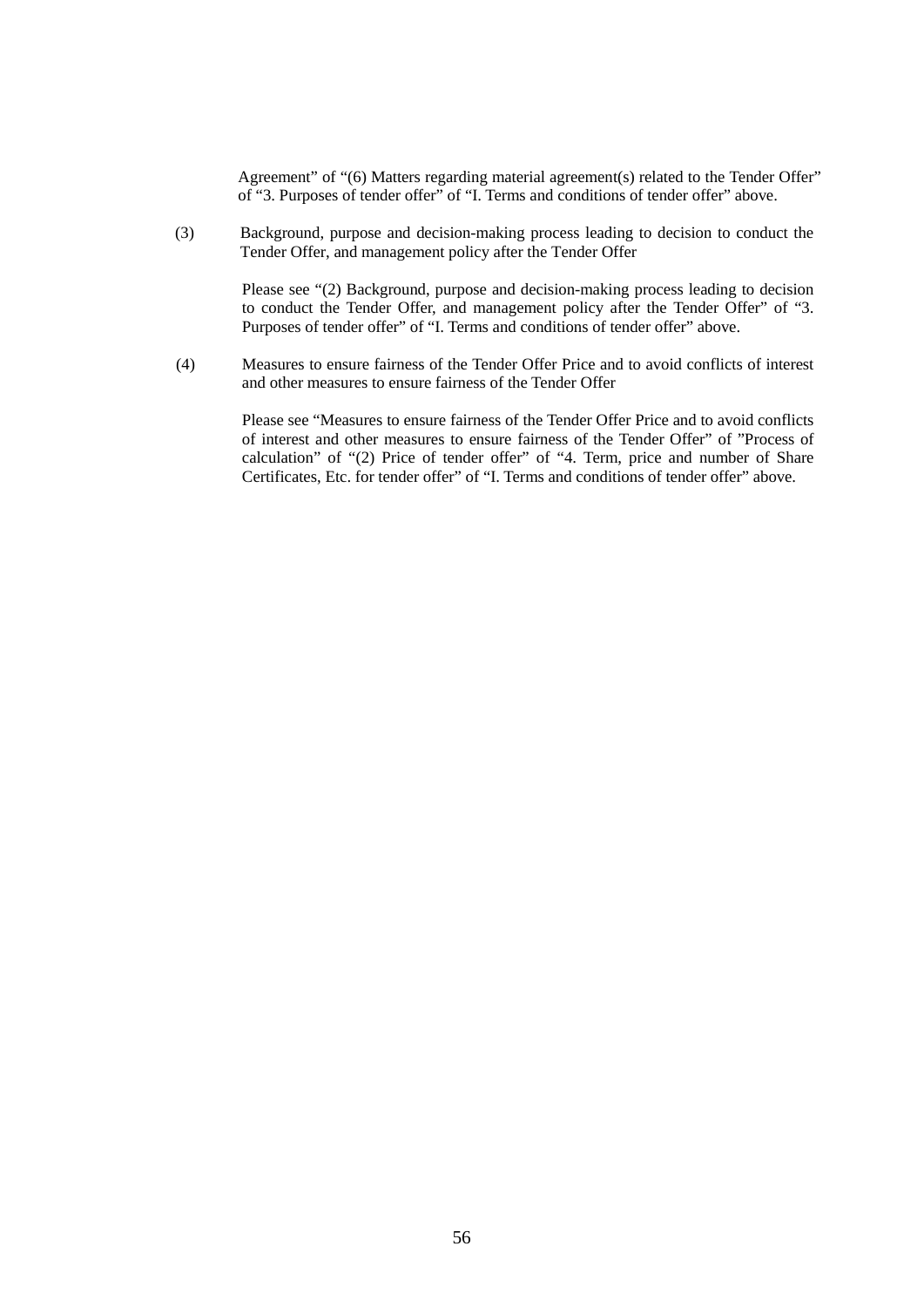Agreement" of "(6) Matters regarding material agreement(s) related to the Tender Offer" of "3. Purposes of tender offer" of "I. Terms and conditions of tender offer" above.

(3) Background, purpose and decision-making process leading to decision to conduct the Tender Offer, and management policy after the Tender Offer

> Please see "(2) Background, purpose and decision-making process leading to decision to conduct the Tender Offer, and management policy after the Tender Offer" of "3. Purposes of tender offer" of "I. Terms and conditions of tender offer" above.

(4) Measures to ensure fairness of the Tender Offer Price and to avoid conflicts of interest and other measures to ensure fairness of the Tender Offer

> Please see "Measures to ensure fairness of the Tender Offer Price and to avoid conflicts of interest and other measures to ensure fairness of the Tender Offer" of "Process of calculation" of "(2) Price of tender offer" of "4. Term, price and number of Share Certificates, Etc. for tender offer" of "I. Terms and conditions of tender offer" above.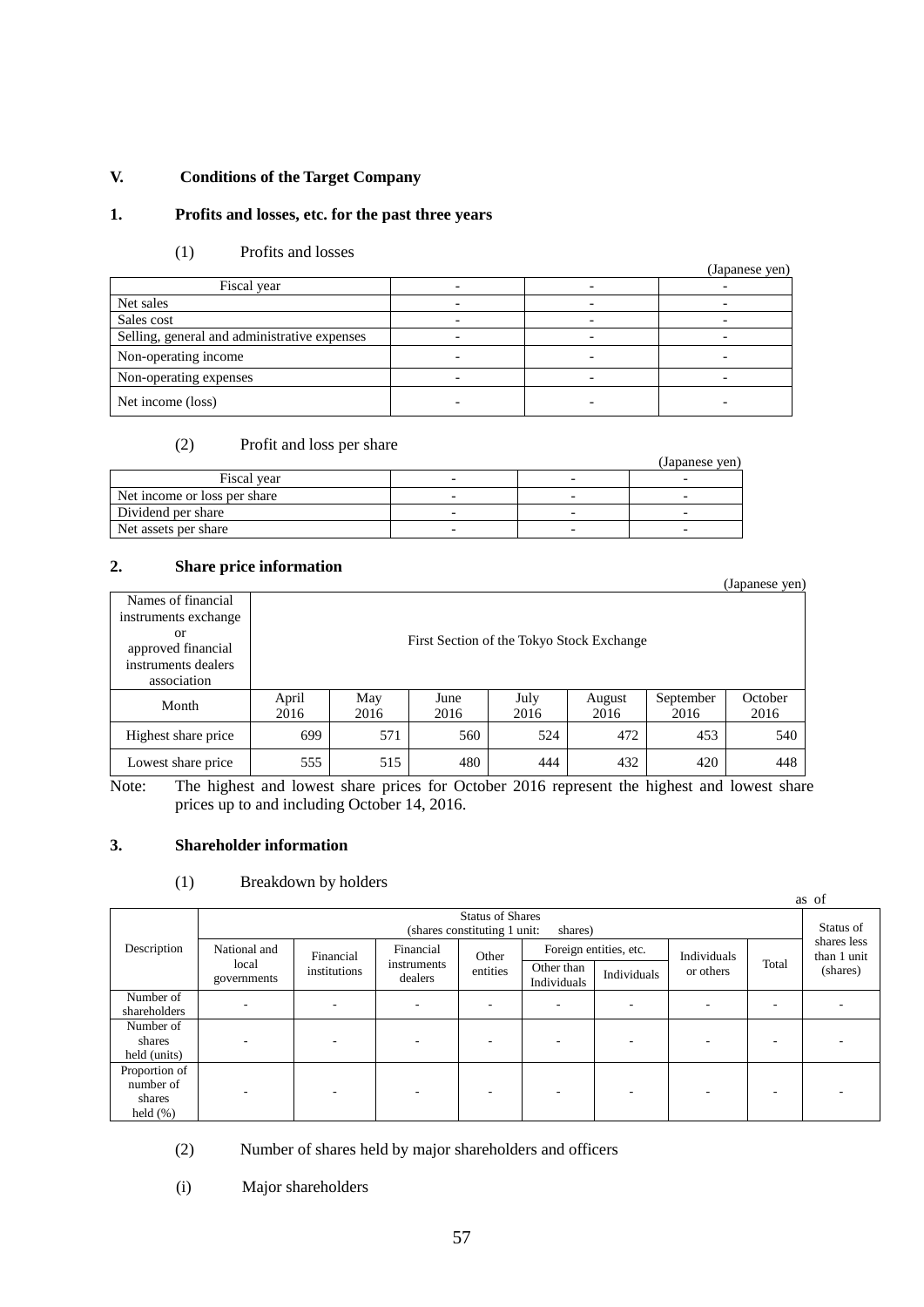# **V. Conditions of the Target Company**

# **1. Profits and losses, etc. for the past three years**

# (1) Profits and losses

|                                              |  | (Japanese yen) |
|----------------------------------------------|--|----------------|
| Fiscal year                                  |  |                |
| Net sales                                    |  |                |
| Sales cost                                   |  |                |
| Selling, general and administrative expenses |  |                |
| Non-operating income                         |  |                |
| Non-operating expenses                       |  |                |
| Net income (loss)                            |  |                |

# (2) Profit and loss per share

|                              |                          | (Japanese ven) |
|------------------------------|--------------------------|----------------|
| Fiscal vear                  |                          |                |
| Net income or loss per share | -                        |                |
| Dividend per share           |                          |                |
| Net assets per share         | $\overline{\phantom{0}}$ |                |

# **2. Share price information**

| ---------            |       |                                           |      |      |        |           | (Japanese yen) |  |  |
|----------------------|-------|-------------------------------------------|------|------|--------|-----------|----------------|--|--|
| Names of financial   |       |                                           |      |      |        |           |                |  |  |
| instruments exchange |       |                                           |      |      |        |           |                |  |  |
| or                   |       |                                           |      |      |        |           |                |  |  |
| approved financial   |       | First Section of the Tokyo Stock Exchange |      |      |        |           |                |  |  |
| instruments dealers  |       |                                           |      |      |        |           |                |  |  |
| association          |       |                                           |      |      |        |           |                |  |  |
|                      | April | May                                       | June | July | August | September | October        |  |  |
| Month                | 2016  | 2016                                      | 2016 | 2016 | 2016   | 2016      | 2016           |  |  |
| Highest share price  | 699   | 571                                       | 560  | 524  | 472    | 453       | 540            |  |  |
| Lowest share price   | 555   | 515                                       | 480  | 444  | 432    | 420       | 448            |  |  |

Note: The highest and lowest share prices for October 2016 represent the highest and lowest share prices up to and including October 14, 2016.

# **3. Shareholder information**

# (1) Breakdown by holders

|                                                                                                                         |                          |                           |             |           |                        |          |             |  | as of                      |
|-------------------------------------------------------------------------------------------------------------------------|--------------------------|---------------------------|-------------|-----------|------------------------|----------|-------------|--|----------------------------|
| <b>Status of Shares</b><br>(shares constituting 1 unit:<br>shares)                                                      |                          |                           |             |           |                        |          |             |  | Status of                  |
| Description<br>National and<br>Financial<br>Financial<br>local<br>instruments<br>institutions<br>dealers<br>governments |                          |                           |             | Other     | Foreign entities, etc. |          | Individuals |  | shares less<br>than 1 unit |
|                                                                                                                         | entities                 | Other than<br>Individuals | Individuals | or others | Total                  | (shares) |             |  |                            |
| Number of<br>shareholders                                                                                               |                          |                           |             |           | ٠.                     | ۰        |             |  |                            |
| Number of<br>shares<br>held (units)                                                                                     | $\overline{\phantom{a}}$ |                           |             | -         | ٠.                     | ۰        |             |  |                            |
| Proportion of<br>number of<br>shares<br>held $(\%)$                                                                     |                          |                           |             |           |                        |          |             |  |                            |

(2) Number of shares held by major shareholders and officers

(i) Major shareholders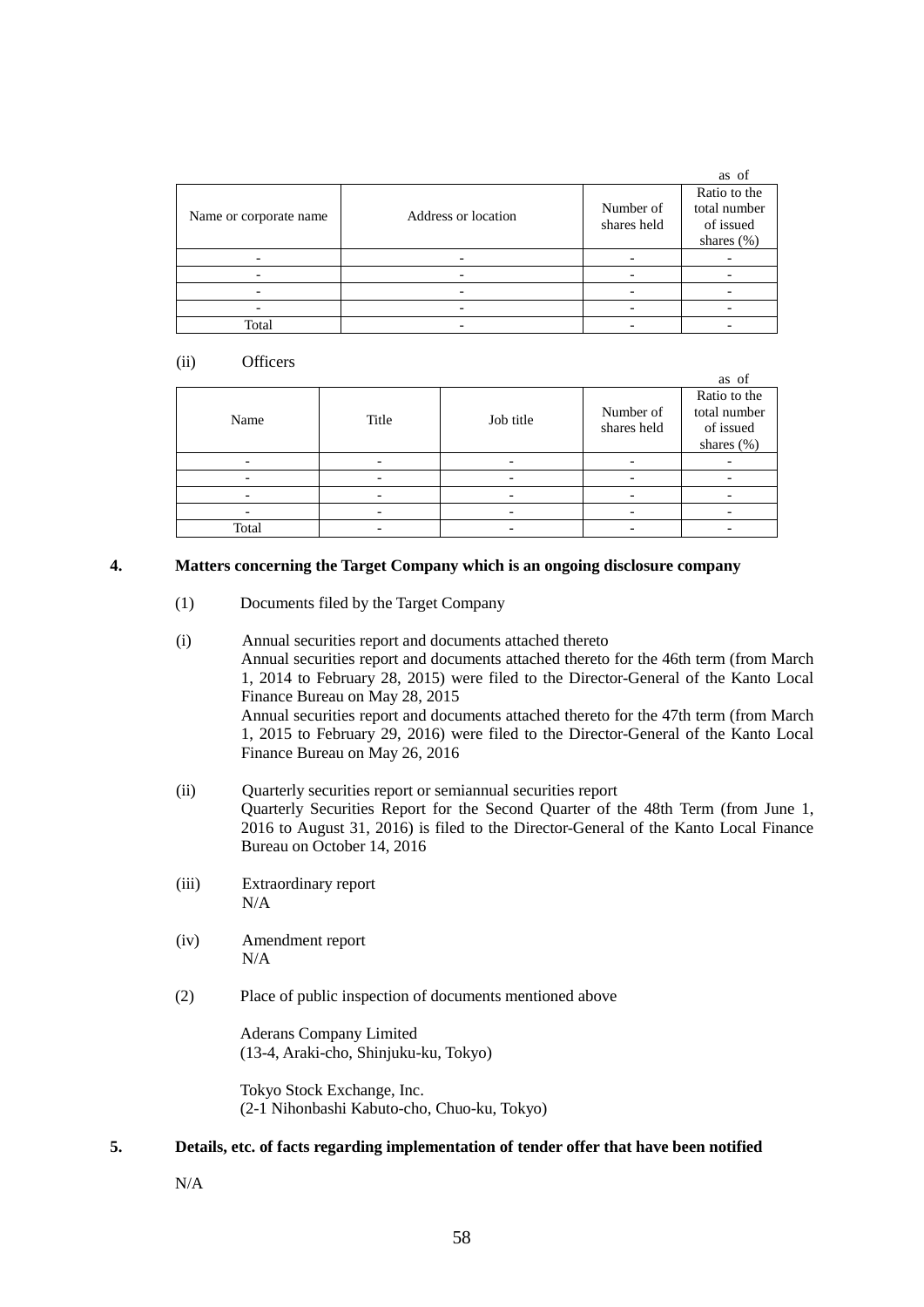|                        |                          |                          | as of                                                       |
|------------------------|--------------------------|--------------------------|-------------------------------------------------------------|
| Name or corporate name | Address or location      | Number of<br>shares held | Ratio to the<br>total number<br>of issued<br>shares $(\% )$ |
|                        |                          |                          |                                                             |
|                        |                          |                          |                                                             |
|                        | $\overline{\phantom{0}}$ |                          |                                                             |
|                        |                          |                          |                                                             |
| Total                  |                          |                          |                                                             |

### (ii) Officers

|       |       |           |                          | as of                                                   |
|-------|-------|-----------|--------------------------|---------------------------------------------------------|
| Name  | Title | Job title | Number of<br>shares held | Ratio to the<br>total number<br>of issued<br>shares (%) |
|       |       |           |                          |                                                         |
|       |       |           |                          |                                                         |
|       |       |           |                          |                                                         |
|       |       |           |                          |                                                         |
| Total |       |           |                          |                                                         |

## **4. Matters concerning the Target Company which is an ongoing disclosure company**

- (1) Documents filed by the Target Company
- (i) Annual securities report and documents attached thereto Annual securities report and documents attached thereto for the 46th term (from March 1, 2014 to February 28, 2015) were filed to the Director-General of the Kanto Local Finance Bureau on May 28, 2015 Annual securities report and documents attached thereto for the 47th term (from March 1, 2015 to February 29, 2016) were filed to the Director-General of the Kanto Local Finance Bureau on May 26, 2016
- (ii) Quarterly securities report or semiannual securities report Quarterly Securities Report for the Second Quarter of the 48th Term (from June 1, 2016 to August 31, 2016) is filed to the Director-General of the Kanto Local Finance Bureau on October 14, 2016
- (iii) Extraordinary report N/A
- (iv) Amendment report N/A
- (2) Place of public inspection of documents mentioned above

Aderans Company Limited (13-4, Araki-cho, Shinjuku-ku, Tokyo)

Tokyo Stock Exchange, Inc. (2-1 Nihonbashi Kabuto-cho, Chuo-ku, Tokyo)

# **5. Details, etc. of facts regarding implementation of tender offer that have been notified**

N/A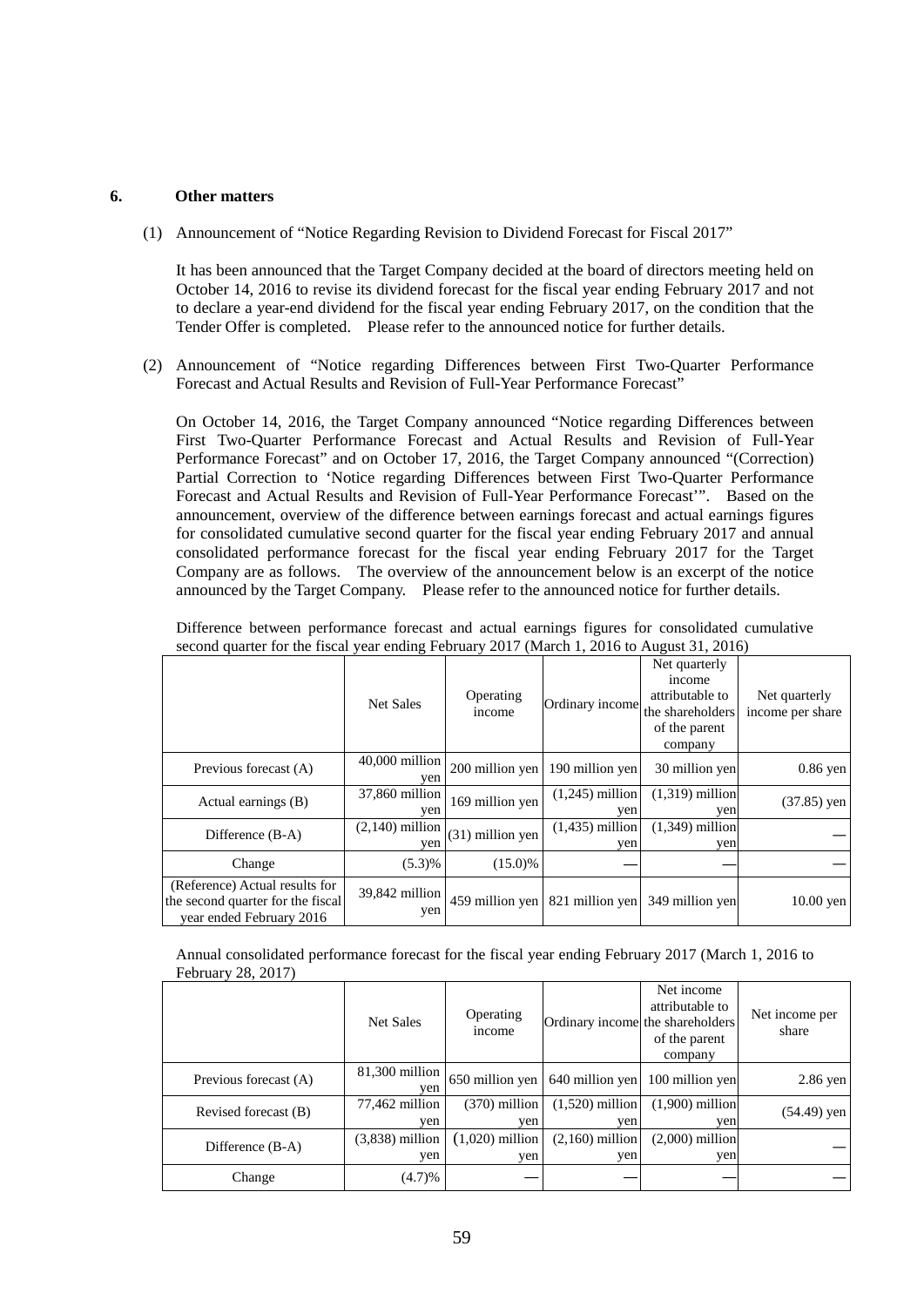## **6. Other matters**

(1) Announcement of "Notice Regarding Revision to Dividend Forecast for Fiscal 2017"

It has been announced that the Target Company decided at the board of directors meeting held on October 14, 2016 to revise its dividend forecast for the fiscal year ending February 2017 and not to declare a year-end dividend for the fiscal year ending February 2017, on the condition that the Tender Offer is completed. Please refer to the announced notice for further details.

(2) Announcement of "Notice regarding Differences between First Two-Quarter Performance Forecast and Actual Results and Revision of Full-Year Performance Forecast"

On October 14, 2016, the Target Company announced "Notice regarding Differences between First Two-Quarter Performance Forecast and Actual Results and Revision of Full-Year Performance Forecast" and on October 17, 2016, the Target Company announced "(Correction) Partial Correction to 'Notice regarding Differences between First Two-Quarter Performance Forecast and Actual Results and Revision of Full-Year Performance Forecast'". Based on the announcement, overview of the difference between earnings forecast and actual earnings figures for consolidated cumulative second quarter for the fiscal year ending February 2017 and annual consolidated performance forecast for the fiscal year ending February 2017 for the Target Company are as follows. The overview of the announcement below is an excerpt of the notice announced by the Target Company. Please refer to the announced notice for further details.

|  |  |  |  | Difference between performance forecast and actual earnings figures for consolidated cumulative |  |
|--|--|--|--|-------------------------------------------------------------------------------------------------|--|
|  |  |  |  | second quarter for the fiscal year ending February 2017 (March 1, 2016 to August 31, 2016)      |  |

|                                                                                                 | <b>Net Sales</b>         | Operating<br><i>n</i> come | Ordinary income          | Net quarterly<br>income<br>attributable to<br>the shareholders<br>of the parent<br>company | Net quarterly<br>income per share |
|-------------------------------------------------------------------------------------------------|--------------------------|----------------------------|--------------------------|--------------------------------------------------------------------------------------------|-----------------------------------|
| Previous forecast (A)                                                                           | $40,000$ million<br>yen  | 200 million yen            | 190 million yen          | 30 million yen                                                                             | $0.86$ yen                        |
| Actual earnings (B)                                                                             | 37,860 million<br>ven    | 169 million yen            | $(1,245)$ million<br>ven | $(1,319)$ million<br>ven                                                                   | $(37.85)$ yen                     |
| Difference (B-A)                                                                                | $(2,140)$ million<br>yen | (31) million yen           | $(1,435)$ million<br>yen | $(1,349)$ million<br>yen                                                                   |                                   |
| Change                                                                                          | (5.3)%                   | $(15.0)\%$                 |                          |                                                                                            |                                   |
| (Reference) Actual results for<br>the second quarter for the fiscal<br>year ended February 2016 | 39,842 million<br>yen    | 459 million yen            | 821 million yen          | 349 million yen                                                                            | $10.00$ yen                       |

Annual consolidated performance forecast for the fiscal year ending February 2017 (March 1, 2016 to February 28, 2017)

|                       | <b>Net Sales</b>         | Operating<br><i>n</i> come |                                   | Net income<br>attributable to<br>Ordinary income the shareholders<br>of the parent<br>company | Net income per<br>share |
|-----------------------|--------------------------|----------------------------|-----------------------------------|-----------------------------------------------------------------------------------------------|-------------------------|
| Previous forecast (A) | 81,300 million<br>ven    |                            | 650 million yen   640 million yen | 100 million yen                                                                               | $2.86$ yen              |
| Revised forecast (B)  | 77,462 million<br>yen    | $(370)$ million<br>yen     | $(1,520)$ million<br>yen          | $(1,900)$ million<br>yen                                                                      | (54.49) yen             |
| Difference (B-A)      | $(3,838)$ million<br>yen | $(1,020)$ million<br>yen   | $(2,160)$ million<br>yen          | $(2,000)$ million<br>yen                                                                      |                         |
| Change                | (4.7)%                   |                            |                                   |                                                                                               |                         |